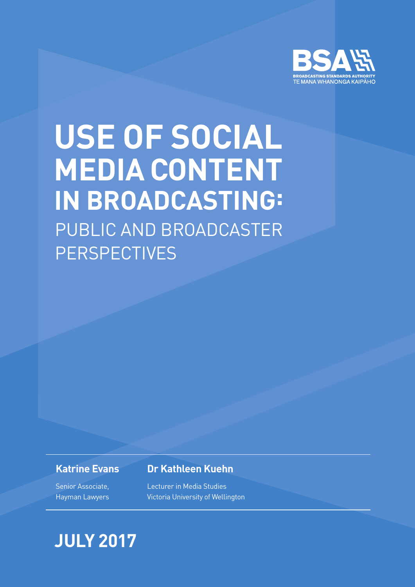

JULY 2017 **| 1** Aims and Methodology

## PUBLIC AND BROADCASTER **PERSPECTIVES USE OF SOCIAL MEDIA CONTENT IN BROADCASTING:**

### **Katrine Evans**

Senior Associate, Hayman Lawyers

### **Dr Kathleen Kuehn**

Lecturer in Media Studies Victoria University of Wellington

## **JULY 2017**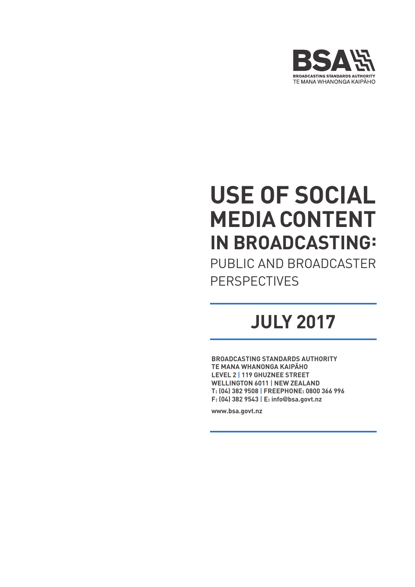

## **USE OF SOCIAL MEDIA CONTENT IN BROADCASTING:**

PUBLIC AND BROADCASTER **PERSPECTIVES** 

## **JULY 2017**

**BROADCASTING STANDARDS AUTHORITY TE MANA WHANONGA KAIPĀHO LEVEL 2 | 119 GHUZNEE STREET WELLINGTON 6011 | NEW ZEALAND T: (04) 382 9508 | FREEPHONE: 0800 366 996 F: (04) 382 9543 | E: info**@**bsa.govt.nz**

**www.bsa.govt.nz**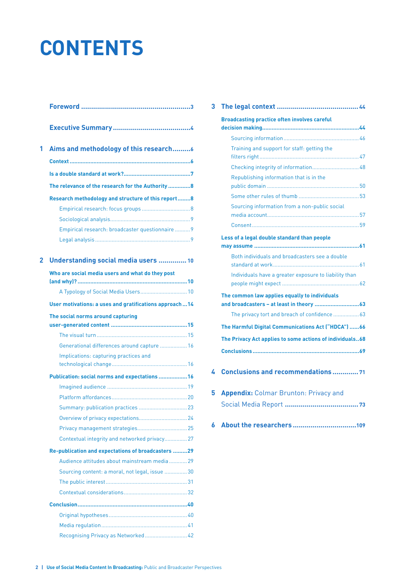## **CONTENTS**

| 1 | Aims and methodology of this research                  |
|---|--------------------------------------------------------|
|   |                                                        |
|   |                                                        |
|   | The relevance of the research for the Authority 8      |
|   | Research methodology and structure of this report8     |
|   |                                                        |
|   |                                                        |
|   | Empirical research: broadcaster questionnaire  9       |
|   |                                                        |
| 2 | Understanding social media users  10                   |
|   | Who are social media users and what do they post       |
|   | A Typology of Social Media Users 10                    |
|   | User motivations: a uses and gratifications approach14 |
|   | The social norms around capturing                      |
|   |                                                        |
|   |                                                        |
|   | Generational differences around capture  16            |
|   | Implications: capturing practices and                  |
|   | Publication: social norms and expectations  16         |
|   |                                                        |
|   |                                                        |
|   |                                                        |
|   |                                                        |
|   |                                                        |
|   | Contextual integrity and networked privacy 27          |
|   | Re-publication and expectations of broadcasters  29    |
|   | Audience attitudes about mainstream media 29           |
|   | Sourcing content: a moral, not legal, issue 30         |
|   |                                                        |
|   |                                                        |
|   |                                                        |
|   |                                                        |
|   |                                                        |
|   | Recognising Privacy as Networked 42                    |

| 3                                                                                                              |                                                       |  |
|----------------------------------------------------------------------------------------------------------------|-------------------------------------------------------|--|
|                                                                                                                | <b>Broadcasting practice often involves careful</b>   |  |
|                                                                                                                |                                                       |  |
|                                                                                                                | Training and support for staff: getting the           |  |
|                                                                                                                |                                                       |  |
|                                                                                                                | Republishing information that is in the               |  |
|                                                                                                                |                                                       |  |
|                                                                                                                | Sourcing information from a non-public social         |  |
|                                                                                                                |                                                       |  |
|                                                                                                                | Less of a legal double standard than people           |  |
|                                                                                                                | Both individuals and broadcasters see a double        |  |
|                                                                                                                | Individuals have a greater exposure to liability than |  |
|                                                                                                                | The common law applies equally to individuals         |  |
|                                                                                                                | The privacy tort and breach of confidence  63         |  |
| The Harmful Digital Communications Act ("HDCA") 66<br>The Privacy Act applies to some actions of individuals68 |                                                       |  |
|                                                                                                                |                                                       |  |
| 4                                                                                                              | <b>Conclusions and recommendations  71</b>            |  |
| 5                                                                                                              | <b>Appendix: Colmar Brunton: Privacy and</b>          |  |

**6 About the researchers [................................109](#page-110-0)**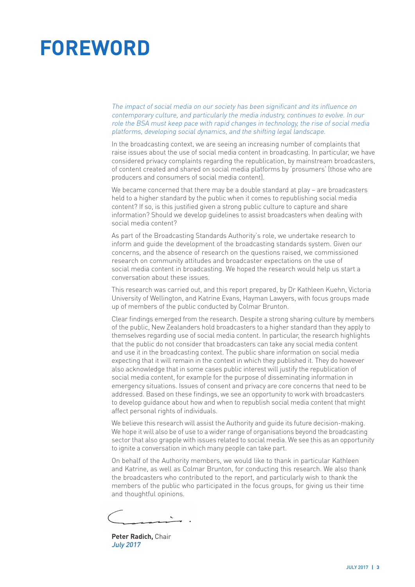## <span id="page-4-0"></span>**FOREWORD**

The impact of social media on our society has been significant and its influence on contemporary culture, and particularly the media industry, continues to evolve. In our role the BSA must keep pace with rapid changes in technology, the rise of social media platforms, developing social dynamics, and the shifting legal landscape.

In the broadcasting context, we are seeing an increasing number of complaints that raise issues about the use of social media content in broadcasting. In particular, we have considered privacy complaints regarding the republication, by mainstream broadcasters, of content created and shared on social media platforms by 'prosumers' (those who are producers and consumers of social media content).

We became concerned that there may be a double standard at play – are broadcasters held to a higher standard by the public when it comes to republishing social media content? If so, is this justified given a strong public culture to capture and share information? Should we develop guidelines to assist broadcasters when dealing with social media content?

As part of the Broadcasting Standards Authority's role, we undertake research to inform and guide the development of the broadcasting standards system. Given our concerns, and the absence of research on the questions raised, we commissioned research on community attitudes and broadcaster expectations on the use of social media content in broadcasting. We hoped the research would help us start a conversation about these issues.

This research was carried out, and this report prepared, by Dr Kathleen Kuehn, Victoria University of Wellington, and Katrine Evans, Hayman Lawyers, with focus groups made up of members of the public conducted by Colmar Brunton.

Clear findings emerged from the research. Despite a strong sharing culture by members of the public, New Zealanders hold broadcasters to a higher standard than they apply to themselves regarding use of social media content. In particular, the research highlights that the public do not consider that broadcasters can take any social media content and use it in the broadcasting context. The public share information on social media expecting that it will remain in the context in which they published it. They do however also acknowledge that in some cases public interest will justify the republication of social media content, for example for the purpose of disseminating information in emergency situations. Issues of consent and privacy are core concerns that need to be addressed. Based on these findings, we see an opportunity to work with broadcasters to develop guidance about how and when to republish social media content that might affect personal rights of individuals.

We believe this research will assist the Authority and guide its future decision-making. We hope it will also be of use to a wider range of organisations beyond the broadcasting sector that also grapple with issues related to social media. We see this as an opportunity to ignite a conversation in which many people can take part.

On behalf of the Authority members, we would like to thank in particular Kathleen and Katrine, as well as Colmar Brunton, for conducting this research. We also thank the broadcasters who contributed to the report, and particularly wish to thank the members of the public who participated in the focus groups, for giving us their time and thoughtful opinions.

**Peter Radich,** Chair July 2017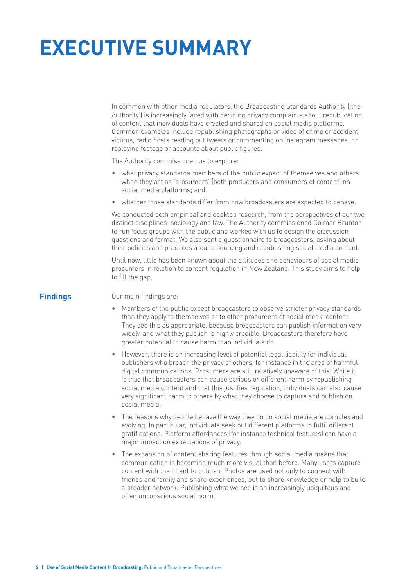## <span id="page-5-0"></span>**EXECUTIVE SUMMARY**

In common with other media regulators, the Broadcasting Standards Authority ('the Authority') is increasingly faced with deciding privacy complaints about republication of content that individuals have created and shared on social media platforms. Common examples include republishing photographs or video of crime or accident victims, radio hosts reading out tweets or commenting on Instagram messages, or replaying footage or accounts about public figures.

The Authority commissioned us to explore:

- what privacy standards members of the public expect of themselves and others when they act as 'prosumers' (both producers and consumers of content) on social media platforms; and
- whether those standards differ from how broadcasters are expected to behave.

We conducted both empirical and desktop research, from the perspectives of our two distinct disciplines: sociology and law. The Authority commissioned Colmar Brunton to run focus groups with the public and worked with us to design the discussion questions and format. We also sent a questionnaire to broadcasters, asking about their policies and practices around sourcing and republishing social media content.

Until now, little has been known about the attitudes and behaviours of social media prosumers in relation to content regulation in New Zealand. This study aims to help to fill the gap.

**Findings** Our main findings are:

- Members of the public expect broadcasters to observe stricter privacy standards than they apply to themselves or to other prosumers of social media content. They see this as appropriate, because broadcasters can publish information very widely, and what they publish is highly credible. Broadcasters therefore have greater potential to cause harm than individuals do.
- However, there is an increasing level of potential legal liability for individual publishers who breach the privacy of others, for instance in the area of harmful digital communications. Prosumers are still relatively unaware of this. While it is true that broadcasters can cause serious or different harm by republishing social media content and that this justifies regulation, individuals can also cause very significant harm to others by what they choose to capture and publish on social media.
- The reasons why people behave the way they do on social media are complex and evolving. In particular, individuals seek out different platforms to fulfil different gratifications. Platform affordances (for instance technical features) can have a major impact on expectations of privacy.
- The expansion of content sharing features through social media means that communication is becoming much more visual than before. Many users capture content with the intent to publish. Photos are used not only to connect with friends and family and share experiences, but to share knowledge or help to build a broader network. Publishing what we see is an increasingly ubiquitous and often unconscious social norm.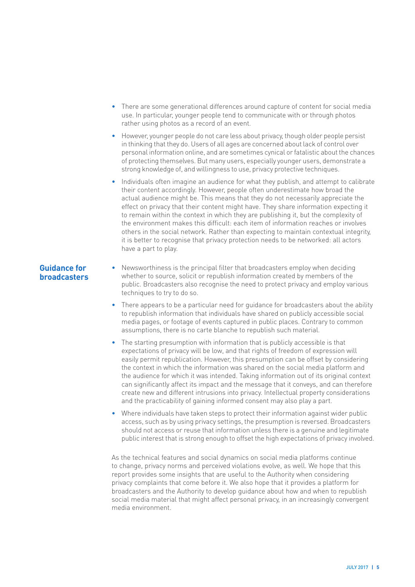- There are some generational differences around capture of content for social media use. In particular, younger people tend to communicate with or through photos rather using photos as a record of an event.
- However, younger people do not care less about privacy, though older people persist in thinking that they do. Users of all ages are concerned about lack of control over personal information online, and are sometimes cynical or fatalistic about the chances of protecting themselves. But many users, especially younger users, demonstrate a strong knowledge of, and willingness to use, privacy protective techniques.
- Individuals often imagine an audience for what they publish, and attempt to calibrate their content accordingly. However, people often underestimate how broad the actual audience might be. This means that they do not necessarily appreciate the effect on privacy that their content might have. They share information expecting it to remain within the context in which they are publishing it, but the complexity of the environment makes this difficult: each item of information reaches or involves others in the social network. Rather than expecting to maintain contextual integrity, it is better to recognise that privacy protection needs to be networked: all actors have a part to play.

#### **Guidance for broadcasters**

- Newsworthiness is the principal filter that broadcasters employ when deciding whether to source, solicit or republish information created by members of the public. Broadcasters also recognise the need to protect privacy and employ various techniques to try to do so.
	- There appears to be a particular need for guidance for broadcasters about the ability to republish information that individuals have shared on publicly accessible social media pages, or footage of events captured in public places. Contrary to common assumptions, there is no carte blanche to republish such material.
	- The starting presumption with information that is publicly accessible is that expectations of privacy will be low, and that rights of freedom of expression will easily permit republication. However, this presumption can be offset by considering the context in which the information was shared on the social media platform and the audience for which it was intended. Taking information out of its original context can significantly affect its impact and the message that it conveys, and can therefore create new and different intrusions into privacy. Intellectual property considerations and the practicability of gaining informed consent may also play a part.
	- Where individuals have taken steps to protect their information against wider public access, such as by using privacy settings, the presumption is reversed. Broadcasters should not access or reuse that information unless there is a genuine and legitimate public interest that is strong enough to offset the high expectations of privacy involved.

As the technical features and social dynamics on social media platforms continue to change, privacy norms and perceived violations evolve, as well. We hope that this report provides some insights that are useful to the Authority when considering privacy complaints that come before it. We also hope that it provides a platform for broadcasters and the Authority to develop guidance about how and when to republish social media material that might affect personal privacy, in an increasingly convergent media environment.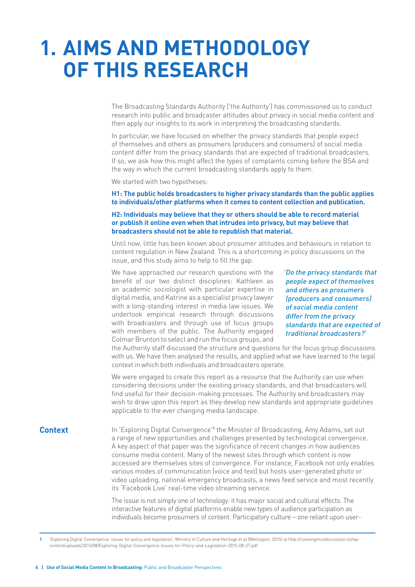## <span id="page-7-0"></span>**1. AIMS AND METHODOLOGY OF THIS RESEARCH**

The Broadcasting Standards Authority ('the Authority') has commissioned us to conduct research into public and broadcaster attitudes about privacy in social media content and then apply our insights to its work in interpreting the broadcasting standards.

In particular, we have focused on whether the privacy standards that people expect of themselves and others as prosumers (producers and consumers) of social media content differ from the privacy standards that are expected of traditional broadcasters. If so, we ask how this might affect the types of complaints coming before the BSA and the way in which the current broadcasting standards apply to them.

We started with two hypotheses:

**H1: The public holds broadcasters to higher privacy standards than the public applies to individuals/other platforms when it comes to content collection and publication.** 

#### **H2: Individuals may believe that they or others should be able to record material or publish it online even when that intrudes into privacy, but may believe that broadcasters should not be able to republish that material.**

Until now, little has been known about prosumer attitudes and behaviours in relation to content regulation in New Zealand. This is a shortcoming in policy discussions on the issue, and this study aims to help to fill the gap.

We have approached our research questions with the benefit of our two distinct disciplines: Kathleen as an academic sociologist with particular expertise in digital media, and Katrine as a specialist privacy lawyer with a long-standing interest in media law issues. We undertook empirical research through discussions with broadcasters and through use of focus groups with members of the public. The Authority engaged Colmar Brunton to select and run the focus groups, and

'Do the privacy standards that people expect of themselves and others as prosumers (producers and consumers) of social media content differ from the privacy standards that are expected of traditional broadcasters?'

the Authority staff discussed the structure and questions for the focus group discussions with us. We have then analysed the results, and applied what we have learned to the legal context in which both individuals and broadcasters operate.

We were engaged to create this report as a resource that the Authority can use when considering decisions under the existing privacy standards, and that broadcasters will find useful for their decision-making processes. The Authority and broadcasters may wish to draw upon this report as they develop new standards and appropriate guidelines applicable to the ever changing media landscape.

**Context** In 'Exploring Digital Convergence'**<sup>1</sup>** the Minister of Broadcasting, Amy Adams, set out a range of new opportunities and challenges presented by technological convergence. A key aspect of that paper was the significance of recent changes in how audiences consume media content. Many of the newest sites through which content is now accessed are themselves sites of convergence. For instance, Facebook not only enables various modes of communication (voice and text) but hosts user-generated photo or video uploading, national emergency broadcasts, a news feed service and most recently its 'Facebook Live' real-time video streaming service.

> The issue is not simply one of technology: it has major social and cultural effects. The interactive features of digital platforms enable new types of audience participation as individuals become prosumers of content. Participatory culture – one reliant upon user-

**1** 'Exploring Digital Convergence: issues for policy and legislation', Ministry of Culture and Heritage et al (Wellington, 2015) at http://convergencediscussion.nz/wpcontent/uploads/2015/08/Exploring-Digital-Convergence-Issues-for-Policy-and-Legislation-2015-08-27.pdf.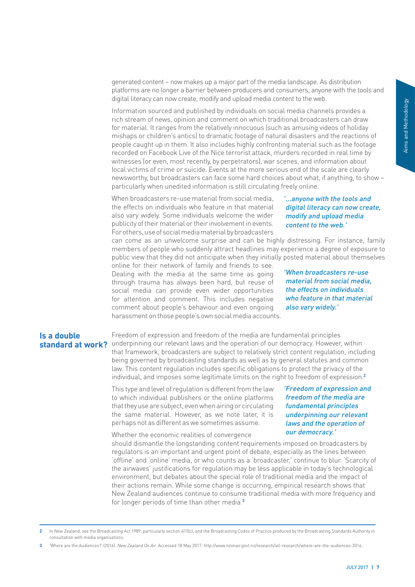<span id="page-8-0"></span>generated content – now makes up a major part of the media landscape. As distribution platforms are no longer a barrier between producers and consumers, anyone with the tools and digital literacy can now create, modify and upload media content to the web.

orides a<br>
an draw<br>
holiday<br>
holiday<br>
actions of<br>
the footage<br>
the media<br>
1 about<br>
2 clearly<br> **1** about<br>
2 clearly<br> **1** about<br>
2 clearly<br> **1** about<br> **1** about<br> **1** about<br> **1** about<br> **1** and **now create,**<br> **1**<br> **1** and<br> **1**<br> Information sourced and published by individuals on social media channels provides a rich stream of news, opinion and comment on which traditional broadcasters can draw for material. It ranges from the relatively innocuous (such as amusing videos of holiday mishaps or children's antics) to dramatic footage of natural disasters and the reactions of people caught up in them. It also includes highly confronting material such as the footage recorded on Facebook Live of the Nice terrorist attack, murders recorded in real time by witnesses (or even, most recently, by perpetrators), war scenes, and information about local victims of crime or suicide. Events at the more serious end of the scale are clearly newsworthy, but broadcasters can face some hard choices about what, if anything, to show – particularly when unedited information is still circulating freely online.

When broadcasters re-use material from social media, the effects on individuals who feature in that material also vary widely. Some individuals welcome the wider publicity of their material or their involvement in events. For others, use of social media material by broadcasters

#### '...anyone with the tools and digital literacy can now create, modify and upload media content to the web.'

can come as an unwelcome surprise and can be highly distressing. For instance, family members of people who suddenly attract headlines may experience a degree of exposure to public view that they did not anticipate when they initially posted material about themselves online for their network of family and friends to see.

Dealing with the media at the same time as going through trauma has always been hard, but reuse of social media can provide even wider opportunities for attention and comment. This includes negative comment about people's behaviour and even ongoing harassment on those people's own social media accounts.

'When broadcasters re-use material from social media, the effects on individuals who feature in that material also vary widely.'

#### **Is a double standard at work?**

Freedom of expression and freedom of the media are fundamental principles underpinning our relevant laws and the operation of our democracy. However, within that framework, broadcasters are subject to relatively strict content regulation, including being governed by broadcasting standards as well as by general statutes and common law. This content regulation includes specific obligations to protect the privacy of the individual, and imposes some legitimate limits on the right to freedom of expression.**<sup>2</sup>**

This type and level of regulation is different from the law to which individual publishers or the online platforms that they use are subject, even when airing or circulating the same material. However, as we note later, it is perhaps not as different as we sometimes assume.

'Freedom of expression and freedom of the media are fundamental principles underpinning our relevant laws and the operation of our democracy.'

Whether the economic realities of convergence

should dismantle the longstanding content requirements imposed on broadcasters by regulators is an important and urgent point of debate, especially as the lines between 'offline' and 'online' media, or who counts as a 'broadcaster,' continue to blur. 'Scarcity of the airwaves' justifications for regulation may be less applicable in today's technological environment, but debates about the special role of traditional media and the impact of their actions remain. While some change is occurring, empirical research shows that New Zealand audiences continue to consume traditional media with more frequency and for longer periods of time than other media.**<sup>3</sup>**

**<sup>2</sup>** In New Zealand, see the Broadcasting Act 1989, particularly section 4(1)(c), and the Broadcasting Codes of Practice produced by the Broadcasting Standards Authority in consultation with media organisations.

**<sup>3</sup>** 'Where are the Audiences?' (2016). New Zealand On Air. Accessed 18 May 2017: http://www.nzonair.govt.nz/research/all-research/where-are-the-audiences-2016.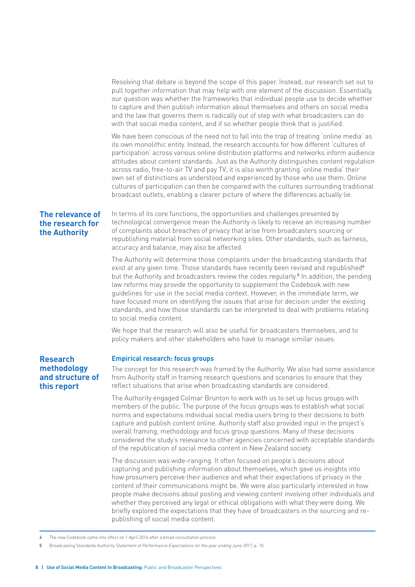<span id="page-9-0"></span>Resolving that debate is beyond the scope of this paper. Instead, our research set out to pull together information that may help with one element of the discussion. Essentially, our question was whether the frameworks that individual people use to decide whether to capture and then publish information about themselves and others on social media and the law that governs them is radically out of step with what broadcasters can do with that social media content, and if so whether people think that is justified.

We have been conscious of the need not to fall into the trap of treating 'online media' as its own monolithic entity. Instead, the research accounts for how different 'cultures of participation' across various online distribution platforms and networks inform audience attitudes about content standards. Just as the Authority distinguishes content regulation across radio, free-to-air TV and pay TV, it is also worth granting 'online media' their own set of distinctions as understood and experienced by those who use them. Online cultures of participation can then be compared with the cultures surrounding traditional broadcast outlets, enabling a clearer picture of where the differences actually lie.

#### **The relevance of the research for the Authority**

In terms of its core functions, the opportunities and challenges presented by technological convergence mean the Authority is likely to receive an increasing number of complaints about breaches of privacy that arise from broadcasters sourcing or republishing material from social networking sites. Other standards, such as fairness, accuracy and balance, may also be affected.

The Authority will determine those complaints under the broadcasting standards that exist at any given time. Those standards have recently been revised and republished**<sup>4</sup>** but the Authority and broadcasters review the codes regularly.**<sup>5</sup>** In addition, the pending law reforms may provide the opportunity to supplement the Codebook with new guidelines for use in the social media context. However, in the immediate term, we have focused more on identifying the issues that arise for decision under the existing standards, and how those standards can be interpreted to deal with problems relating to social media content.

We hope that the research will also be useful for broadcasters themselves, and to policy makers and other stakeholders who have to manage similar issues.

#### **Research methodology and structure of this report**

#### **Empirical research: focus groups**

The concept for this research was framed by the Authority. We also had some assistance from Authority staff in framing research questions and scenarios to ensure that they reflect situations that arise when broadcasting standards are considered.

The Authority engaged Colmar Brunton to work with us to set up focus groups with members of the public. The purpose of the focus groups was to establish what social norms and expectations individual social media users bring to their decisions to both capture and publish content online. Authority staff also provided input in the project's overall framing, methodology and focus group questions. Many of these decisions considered the study's relevance to other agencies concerned with acceptable standards of the republication of social media content in New Zealand society.

The discussion was wide-ranging. It often focused on people's decisions about capturing and publishing information about themselves, which gave us insights into how prosumers perceive their audience and what their expectations of privacy in the content of their communications might be. We were also particularly interested in how people make decisions about posting and viewing content involving other individuals and whether they perceived any legal or ethical obligations with what they were doing. We briefly explored the expectations that they have of broadcasters in the sourcing and republishing of social media content.

**4** The new Codebook came into effect on 1 April 2016 after a broad consultation process.

**<sup>5</sup>** Broadcasting Standards Authority Statement of Performance Expectations for the year ending June 2017, p. 10.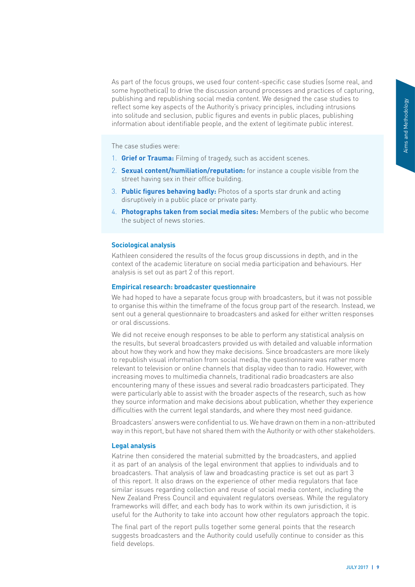<span id="page-10-0"></span>As part of the focus groups, we used four content-specific case studies (some real, and some hypothetical) to drive the discussion around processes and practices of capturing, publishing and republishing social media content. We designed the case studies to reflect some key aspects of the Authority's privacy principles, including intrusions into solitude and seclusion, public figures and events in public places, publishing information about identifiable people, and the extent of legitimate public interest.

The case studies were:

- 1. **Grief or Trauma:** Filming of tragedy, such as accident scenes.
- 2. **Sexual content/humiliation/reputation:** for instance a couple visible from the street having sex in their office building.
- 3. **Public figures behaving badly:** Photos of a sports star drunk and acting disruptively in a public place or private party.
- 4. **Photographs taken from social media sites:** Members of the public who become the subject of news stories.

#### **Sociological analysis**

Kathleen considered the results of the focus group discussions in depth, and in the context of the academic literature on social media participation and behaviours. Her analysis is set out as part 2 of this report.

#### **Empirical research: broadcaster questionnaire**

We had hoped to have a separate focus group with broadcasters, but it was not possible to organise this within the timeframe of the focus group part of the research. Instead, we sent out a general questionnaire to broadcasters and asked for either written responses or oral discussions.

St.<br>
In the become<br>
St.<br>
In the become<br>
St.<br>
It is ... Her possible<br>
stead, we<br>
sponses wiss on<br>
ormation re likely<br>
r more<br>
er, with<br>
so ... They<br>
show<br>
sperience<br>
e.<br>
attributed<br>
wherence<br>
e.<br>
attributed<br>
wherence<br>
e.<br>
a We did not receive enough responses to be able to perform any statistical analysis on the results, but several broadcasters provided us with detailed and valuable information about how they work and how they make decisions. Since broadcasters are more likely to republish visual information from social media, the questionnaire was rather more relevant to television or online channels that display video than to radio. However, with increasing moves to multimedia channels, traditional radio broadcasters are also encountering many of these issues and several radio broadcasters participated. They were particularly able to assist with the broader aspects of the research, such as how they source information and make decisions about publication, whether they experience difficulties with the current legal standards, and where they most need guidance.

Broadcasters' answers were confidential to us. We have drawn on them in a non-attributed way in this report, but have not shared them with the Authority or with other stakeholders.

#### **Legal analysis**

Katrine then considered the material submitted by the broadcasters, and applied it as part of an analysis of the legal environment that applies to individuals and to broadcasters. That analysis of law and broadcasting practice is set out as part 3 of this report. It also draws on the experience of other media regulators that face similar issues regarding collection and reuse of social media content, including the New Zealand Press Council and equivalent regulators overseas. While the regulatory frameworks will differ, and each body has to work within its own jurisdiction, it is useful for the Authority to take into account how other regulators approach the topic.

The final part of the report pulls together some general points that the research suggests broadcasters and the Authority could usefully continue to consider as this field develops.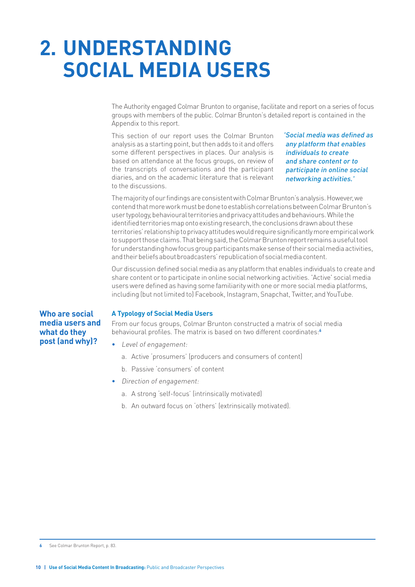## <span id="page-11-0"></span>**2. UNDERSTANDING SOCIAL MEDIA USERS**

The Authority engaged Colmar Brunton to organise, facilitate and report on a series of focus groups with members of the public. Colmar Brunton's detailed report is contained in the Appendix to this report.

This section of our report uses the Colmar Brunton analysis as a starting point, but then adds to it and offers some different perspectives in places. Our analysis is based on attendance at the focus groups, on review of the transcripts of conversations and the participant diaries, and on the academic literature that is relevant to the discussions.

'Social media was defined as any platform that enables individuals to create and share content or to participate in online social networking activities.'

The majority of our findings are consistent with Colmar Brunton's analysis. However, we contend that more work must be done to establish correlations between Colmar Brunton's user typology, behavioural territories and privacy attitudes and behaviours. While the identified territories map onto existing research, the conclusions drawn about these territories' relationship to privacy attitudes would require significantly more empirical work to support those claims. That being said, the Colmar Brunton report remains a useful tool for understanding how focus group participants make sense of their social media activities, and their beliefs about broadcasters' republication of social media content.

Our discussion defined social media as any platform that enables individuals to create and share content or to participate in online social networking activities. 'Active' social media users were defined as having some familiarity with one or more social media platforms, including (but not limited to) Facebook, Instagram, Snapchat, Twitter, and YouTube.

#### **Who are social media users and what do they post (and why)?**

#### **A Typology of Social Media Users**

From our focus groups, Colmar Brunton constructed a matrix of social media behavioural profiles. The matrix is based on two different coordinates:**<sup>6</sup>**

- Level of engagement:
	- a. Active 'prosumers' (producers and consumers of content)
	- b. Passive 'consumers' of content
- Direction of engagement:
	- a. A strong 'self-focus' (intrinsically motivated)
	- b. An outward focus on 'others' (extrinsically motivated).

**<sup>6</sup>** See Colmar Brunton Report, p. 83.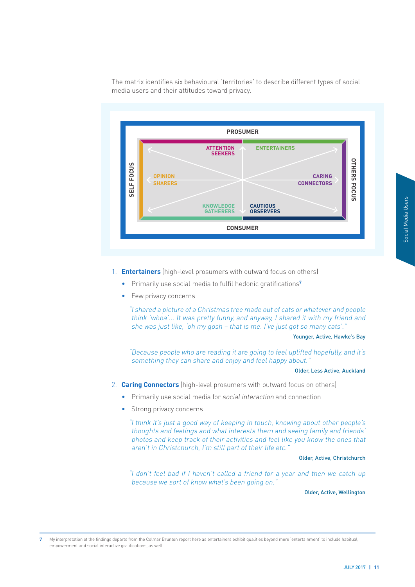The matrix identifies six behavioural 'territories' to describe different types of social media users and their attitudes toward privacy.



- 1. **Entertainers** (high-level prosumers with outward focus on others)
	- Primarily use social media to fulfil hedonic gratifications**<sup>7</sup>**
	- Few privacy concerns

"I shared a picture of a Christmas tree made out of cats or whatever and people think 'whoa'... It was pretty funny, and anyway, I shared it with my friend and she was just like, 'oh my gosh – that is me. I've just got so many cats'."

#### Younger, Active, Hawke's Bay

"Because people who are reading it are going to feel uplifted hopefully, and it's something they can share and enjoy and feel happy about."

#### Older, Less Active, Auckland

- 2. **Caring Connectors** (high-level prosumers with outward focus on others)
	- Primarily use social media for social interaction and connection
	- Strong privacy concerns

"I think it's just a good way of keeping in touch, knowing about other people's thoughts and feelings and what interests them and seeing family and friends' photos and keep track of their activities and feel like you know the ones that aren't in Christchurch, I'm still part of their life etc."

#### Older, Active, Christchurch

"I don't feel bad if I haven't called a friend for a year and then we catch up because we sort of know what's been going on."

Older, Active, Wellington

**7** My interpretation of the findings departs from the Colmar Brunton report here as entertainers exhibit qualities beyond mere 'entertainment' to include habitual, empowerment and social interactive gratifications, as well.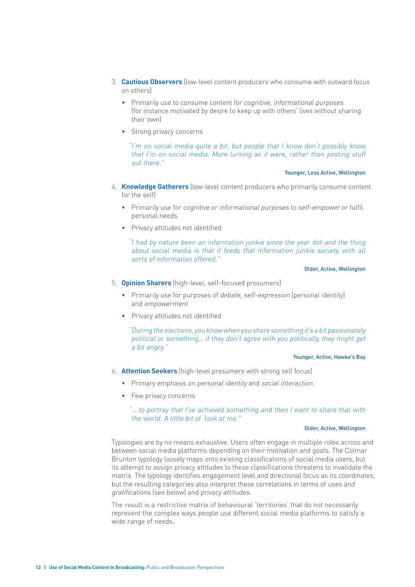- 3. **Cautious Observers** (low-level content producers who consume with outward focus on others)
	- Primarily use to consume content for *cognitive*, *informational purposes* (for instance motivated by desire to keep up with others' lives without sharing their own)
	- Strong privacy concerns

"I'm on social media quite a bit, but people that I know don't possibly know that I'm on social media. More lurking as it were, rather than posting stuff out there."

Younger, Less Active, Wellington

- 4. **Knowledge Gatherers** (low-level content producers who primarily consume content for the self)
	- Primarily use for cognitive or informational purposes to self-empower or fulfil personal needs
	- Privacy attitudes not identified

"I had by nature been an information junkie since the year dot and the thing about social media is that it feeds that information junkie society, with all sorts of information offered."

#### Older, Active, Wellington

- 5. **Opinion Sharers** (high-level, self-focused prosumers)
	- Primarily use for purposes of *debate, self-expression* (personal identity) and empowermen<sup>t</sup>
	- Privacy attitudes not identified

"During the elections, you know when you share something it's a bit passionately political or something… if they don't agree with you politically, they might get a bit angry."

#### Younger, Active, Hawke's Bay

- 6. **Attention Seekers** (high-level prosumers with strong self focus)
	- Primary emphasis on personal identity and social interaction.
	- Few privacy concerns

"… to portray that I've achieved something and then I want to share that with the world. A little bit of 'look at me."

#### Older, Active, Wellington

Typologies are by no means exhaustive. Users often engage in multiple roles across and between social media platforms depending on their motivation and goals. The Colmar Brunton typology loosely maps onto existing classifications of social media users, but its attempt to assign privacy attitudes to these classifications threatens to invalidate the matrix. The typology identifies engagement level and directional focus as its coordinates, but the resulting categories also interpret these correlations in terms of uses and gratifications (see below) and privacy attitudes.

The result is a restrictive matrix of behavioural 'territories' that do not necessarily represent the complex ways people use different social media platforms to satisfy a wide range of needs.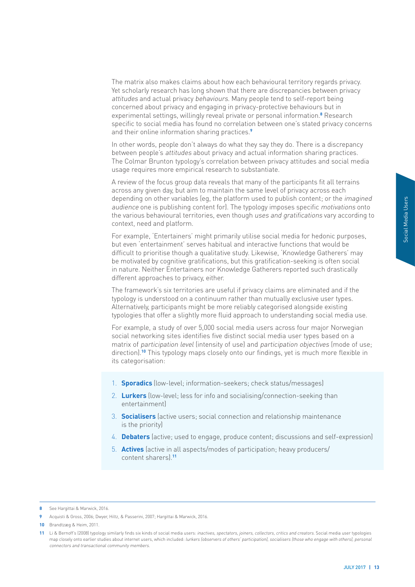The matrix also makes claims about how each behavioural territory regards privacy. Yet scholarly research has long shown that there are discrepancies between privacy attitudes and actual privacy behaviours. Many people tend to self-report being concerned about privacy and engaging in privacy-protective behaviours but in experimental settings, willingly reveal private or personal information.**<sup>8</sup>** Research specific to social media has found no correlation between one's stated privacy concerns and their online information sharing practices.**<sup>9</sup>**

In other words, people don't always do what they say they do. There is a discrepancy between people's attitudes about privacy and actual information sharing practices. The Colmar Brunton typology's correlation between privacy attitudes and social media usage requires more empirical research to substantiate.

A review of the focus group data reveals that many of the participants fit all terrains across any given day, but aim to maintain the same level of privacy across each depending on other variables (eg, the platform used to publish content; or the imagined audience one is publishing content for). The typology imposes specific motivations onto the various behavioural territories, even though uses and gratifications vary according to context, need and platform.

For example, 'Entertainers' might primarily utilise social media for hedonic purposes, but even 'entertainment' serves habitual and interactive functions that would be difficult to prioritise though a qualitative study. Likewise, 'Knowledge Gatherers' may be motivated by cognitive gratifications, but this gratification-seeking is often social in nature. Neither Entertainers nor Knowledge Gatherers reported such drastically different approaches to privacy, either.

The framework's six territories are useful if privacy claims are eliminated and if the typology is understood on a continuum rather than mutually exclusive user types. Alternatively, participants might be more reliably categorised alongside existing typologies that offer a slightly more fluid approach to understanding social media use.

Frame and times onto<br>
Interpresses,<br>
Dependence of the control of the sense of the sense of the sense of the sense of the sense of the sense of the sense of the sense of the sense of the sense of the sense of the sense of For example, a study of over 5,000 social media users across four major Norwegian social networking sites identifies five distinct social media user types based on a matrix of participation level (intensity of use) and participation objectives (mode of use; direction).**10** This typology maps closely onto our findings, yet is much more flexible in its categorisation:

- 1. **Sporadics** (low-level; information-seekers; check status/messages)
- 2. **Lurkers** (low-level; less for info and socialising/connection-seeking than entertainment)
- 3. **Socialisers** (active users; social connection and relationship maintenance is the priority)
- 4. **Debaters** (active; used to engage, produce content; discussions and self-expression)
- 5. **Actives** (active in all aspects/modes of participation; heavy producers/ content sharers).**<sup>11</sup>**

**<sup>8</sup>** See Hargittai & Marwick, 2016.

**<sup>9</sup>** Acquisti & Gross, 2006; Dwyer, Hiltz, & Passerini, 2007; Hargittai & Marwick, 2016.

**<sup>10</sup>** Brandtzæg & Heim, 2011.

<sup>11</sup> Li & Bernoff's (2008) typology similarly finds six kinds of social media users: inactives, spectators, joiners, collectors, critics and creators. Social media user typologies map closely onto earlier studies about internet users, which included: lurkers (observers of others' participation), socialisers (those who engage with others), personal connectors and transactional community members.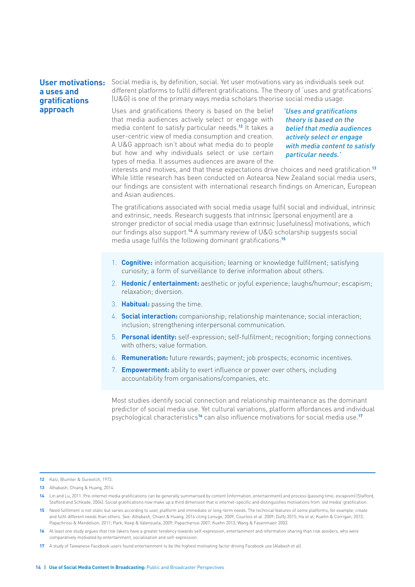#### <span id="page-15-0"></span>**User motivations: a uses and gratifications approach**

Social media is, by definition, social. Yet user motivations vary as individuals seek out different platforms to fulfil different gratifications. The theory of 'uses and gratifications' (U&G) is one of the primary ways media scholars theorise social media usage.

Uses and gratifications theory is based on the belief that media audiences actively select or engage with media content to satisfy particular needs.**12** It takes a user-centric view of media consumption and creation. A U&G approach isn't about what media do to people but how and why individuals select or use certain types of media. It assumes audiences are aware of the

'Uses and gratifications theory is based on the belief that media audiences actively select or engage with media content to satisfy particular needs.'

interests and motives, and that these expectations drive choices and need gratification.**<sup>13</sup>** While little research has been conducted on Aotearoa New Zealand social media users, our findings are consistent with international research findings on American, European and Asian audiences.

The gratifications associated with social media usage fulfil social and individual, intrinsic and extrinsic, needs. Research suggests that intrinsic (personal enjoyment) are a stronger predictor of social media usage than extrinsic (usefulness) motivations, which our findings also support.**14** A summary review of U&G scholarship suggests social media usage fulfils the following dominant gratifications:**<sup>15</sup>**

- 1. **Cognitive:** information acquisition; learning or knowledge fulfilment; satisfying curiosity; a form of surveillance to derive information about others.
- 2. **Hedonic / entertainment:** aesthetic or joyful experience; laughs/humour; escapism; relaxation; diversion.
- 3. **Habitual:** passing the time.
- 4. **Social interaction:** companionship; relationship maintenance; social interaction; inclusion; strengthening interpersonal communication.
- 5. **Personal identity:** self-expression; self-fulfilment; recognition; forging connections with others; value formation.
- 6. **Remuneration:** future rewards; payment; job prospects; economic incentives.
- 7. **Empowerment:** ability to exert influence or power over others, including accountability from organisations/companies, etc.

Most studies identify social connection and relationship maintenance as the dominant predictor of social media use. Yet cultural variations, platform affordances and individual psychological characteristics**16** can also influence motivations for social media use.**<sup>17</sup>**

**<sup>12</sup>** Katz, Blumler & Gurevitch, 1973.

**<sup>13</sup>** Alhabash, Chiang & Huang, 2014.

**<sup>14</sup>** Lin and Lu, 2011. Pre-internet media gratifications can be generally summarised by content (information, entertainment) and process (passing time, escapism) (Stafford, Stafford and Schkade, 2004). Social gratifications now make up a third dimension that is internet-specific and distinguishes motivations from 'old media' gratification.

<sup>15</sup> Need fulfilment is not static but varies according to user, platform and immediate or long-term needs. The technical features of some platforms, for example, create and fulfil different needs than others. See: Alhabash, Chiant & Huang, 2014 citing Lenuge, 2009; Courtois et al. 2009; Duffy 2015; Ha et al; Kuehn & Corrigan, 2013; Papachrissi & Mendelson, 2011; Park, Keep & Valenzuela, 2009; Papacharissi 2007; Kuehn 2013; Wang & Fasenmaeir 2003.

**<sup>16</sup>** At least one study argues that risk takers have a greater tendency towards self-expression, entertainment and information sharing than risk avoiders, who were comparatively motivated by entertainment, socialisation and self-expression.

**<sup>17</sup>** A study of Taiwanese Facebook users found entertainment to be the highest motivating factor driving Facebook use (Alabash et al).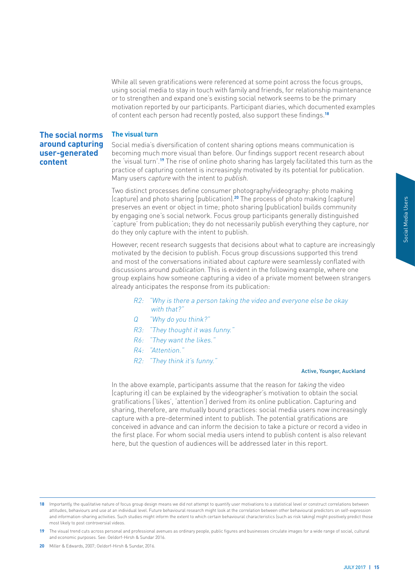<span id="page-16-0"></span>While all seven gratifications were referenced at some point across the focus groups, using social media to stay in touch with family and friends, for relationship maintenance or to strengthen and expand one's existing social network seems to be the primary motivation reported by our participants. Participant diaries, which documented examples of content each person had recently posted, also support these findings.**<sup>18</sup>**

#### **The visual turn**

**The social norms around capturing user-generated content**

Social media's diversification of content sharing options means communication is becoming much more visual than before. Our findings support recent research about the 'visual turn'.**19** The rise of online photo sharing has largely facilitated this turn as the practice of capturing content is increasingly motivated by its potential for publication. Many users capture with the intent to publish.

Two distinct processes define consumer photography/videography: photo making (capture) and photo sharing (publication).**20** The process of photo making (capture) preserves an event or object in time; photo sharing (publication) builds community by engaging one's social network. Focus group participants generally distinguished 'capture' from publication; they do not necessarily publish everything they capture, nor do they only capture with the intent to publish.

However, recent research suggests that decisions about what to capture are increasingly motivated by the decision to publish. Focus group discussions supported this trend and most of the conversations initiated about capture were seamlessly conflated with discussions around publication. This is evident in the following example, where one group explains how someone capturing a video of a private moment between strangers already anticipates the response from its publication:

- R2: "Why is there a person taking the video and everyone else be okay with that?"
- Q "Why do you think?"
- R3: "They thought it was funny."
- R6: "They want the likes."
- R4: "Attention."
- R2: "They think it's funny."

#### Active, Younger, Auckland

UPS<br>
UPS ISSNED TO THE MANUSIMPLE ISLAMS TO THE MANUSIPM CONTROLL THE MANUSIPM CONTROLL THE MANUSIPM CONTROLL THE MANUSIPM CONTROLL THE VIDEO IN<br>
THE MANUSIPM CONTROLL AND CONTROLL AND CONTROLL AND CONTROLL AND CONTROLL AN In the above example, participants assume that the reason for taking the video (capturing it) can be explained by the videographer's motivation to obtain the social gratifications ('likes', 'attention') derived from its online publication. Capturing and sharing, therefore, are mutually bound practices: social media users now increasingly capture with a pre-determined intent to publish. The potential gratifications are conceived in advance and can inform the decision to take a picture or record a video in the first place. For whom social media users intend to publish content is also relevant here, but the question of audiences will be addressed later in this report.

18 Importantly, the qualitative nature of focus group design means we did not attempt to quantify user motivations to a statistical level or construct correlations between attitudes, behaviours and use at an individual level. Future behavioural research might look at the correlation between other behavioural predictors on self-expression and information-sharing activities. Such studies might inform the extent to which certain behavioural characteristics (such as risk taking) might positively predict those most likely to post controversial videos.

**19** The visual trend cuts across personal and professional avenues as ordinary people, public figures and businesses circulate images for a wide range of social, cultural and economic purposes. See: Oeldorf-Hirsh & Sundar 2016.

**20** Miller & Edwards, 2007; Oeldorf-Hirsh & Sundar, 2016.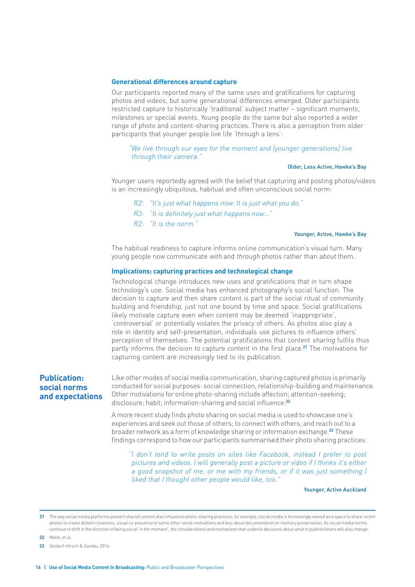#### <span id="page-17-0"></span>**Generational differences around capture**

Our participants reported many of the same uses and gratifications for capturing photos and videos, but some generational differences emerged. Older participants restricted capture to historically 'traditional' subject matter – significant moments, milestones or special events. Young people do the same but also reported a wider range of photo and content-sharing practices. There is also a perception from older participants that younger people live life 'through a lens':

#### "We live through our eyes for the moment and [younger generations] live through their camera."

#### Older, Less Active, Hawke's Bay

Younger users reportedly agreed with the belief that capturing and posting photos/videos is an increasingly ubiquitous, habitual and often unconscious social norm:

- R2: "It's just what happens now. It is just what you do."
- R3: "It is definitely just what happens now…"
- R2: "It is the norm."

#### Younger, Active, Hawke's Bay

The habitual readiness to capture informs online communication's visual turn. Many young people now communicate with and through photos rather than about them.

#### **Implications: capturing practices and technological change**

Technological change introduces new uses and gratifications that in turn shape technology's use. Social media has enhanced photography's social function. The decision to capture and then share content is part of the social ritual of community building and friendship, just not one bound by time and space. Social gratifications likely motivate capture even when content may be deemed 'inappropriate', 'controversial' or potentially violates the privacy of others. As photos also play a role in identity and self-presentation, individuals use pictures to influence others' perception of themselves. The potential gratifications that content sharing fulfils thus partly informs the decision to capture content in the first place.**21** The motivations for capturing content are increasingly tied to its publication.

#### **Publication: social norms and expectations**

Like other modes of social media communication, sharing captured photos is primarily conducted for social purposes: social connection, relationship-building and maintenance. Other motivations for online photo-sharing include affection; attention-seeking; disclosure; habit; information-sharing and social influence.**<sup>22</sup>**

A more recent study finds photo sharing on social media is used to showcase one's experiences and seek out those of others; to connect with others; and reach out to a broader network as a form of knowledge sharing or information exchange.**23** These findings correspond to how our participants summarised their photo sharing practices:

"I don't tend to write posts on sites like Facebook, instead I prefer to post pictures and videos. I will generally post a picture or video if I thinks it's either a good snapshot of me, or me with my friends, or if it was just something I liked that I thought other people would like, too."

Younger, Active Auckland

21 The way social media platforms present shared content also influences photo-sharing practices; for example, social media is increasingly viewed as a space to share recent photos to create distant closeness, visual co-presence or some other social motivations and less about documentation or memory preservation. As social media norms continue to shift in the direction of being social 'in the moment', the considerations and motivations that underlie decisions about what to publish/share will also change.

**22** Malik, et al.

**<sup>23</sup>** Oeldorf-Hirsch & Sundar, 2016.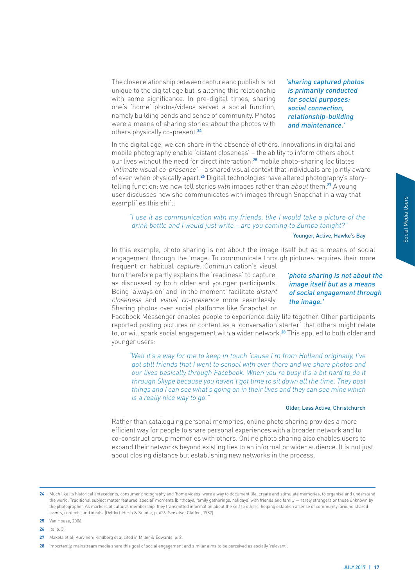Social Media Users

The close relationship between capture and publish is not unique to the digital age but is altering this relationship with some significance. In pre-digital times, sharing one's 'home' photos/videos served a social function, namely building bonds and sense of community. Photos were a means of sharing stories about the photos with others physically co-present.**<sup>24</sup>**

'sharing captured photos is primarily conducted for social purposes: social connection, relationship-building and maintenance.'

In the digital age, we can share in the absence of others. Innovations in digital and mobile photography enable 'distant closeness' – the ability to inform others about our lives without the need for direct interaction;**25** mobile photo-sharing facilitates 'intimate visual co-presence' – a shared visual context that individuals are jointly aware of even when physically apart.**26** Digital technologies have altered photography's storytelling function: we now tell stories with images rather than about them.**27** A young user discusses how she communicates with images through Snapchat in a way that exemplifies this shift:

#### "I use it as communication with my friends, like I would take a picture of the drink bottle and I would just write – are you coming to Zumba tonight?"

#### Younger, Active, Hawke's Bay

In this example, photo sharing is not about the image itself but as a means of social engagement through the image. To communicate through pictures requires their more frequent or habitual capture. Communication's visual

turn therefore partly explains the 'readiness' to capture, as discussed by both older and younger participants. Being 'always on' and 'in the moment' facilitate distant closeness and visual co-presence more seamlessly. Sharing photos over social platforms like Snapchat or

# France of the<br>
Transfer of the<br>
Transfer of social<br>
their more<br> **not about the<br>
s a means**<br> **not through**<br>
articipants<br>
articipants<br>
and to do it<br>
they post<br>
e which<br>
stechurch<br>
more<br>
and to do it<br>
stechurch<br>
more<br>
and to 'photo sharing is not about the image itself but as a means of social engagement through the image.'

Facebook Messenger enables people to experience daily life together. Other participants reported posting pictures or content as a 'conversation starter' that others might relate to, or will spark social engagement with a wider network.**28** This applied to both older and younger users:

"Well it's a way for me to keep in touch 'cause I'm from Holland originally, I've got still friends that I went to school with over there and we share photos and our lives basically through Facebook. When you're busy it's a bit hard to do it through Skype because you haven't got time to sit down all the time. They post things and I can see what's going on in their lives and they can see mine which is a really nice way to go."

#### Older, Less Active, Christchurch

Rather than cataloguing personal memories, online photo sharing provides a more efficient way for people to share personal experiences with a broader network and to co-construct group memories with others. Online photo sharing also enables users to expand their networks beyond existing ties to an informal or wider audience. It is not just about closing distance but establishing new networks in the process.

- **25** Van House, 2006.
- **26** Ito, p. 3.

**<sup>24</sup>** Much like its historical antecedents, consumer photography and 'home videos' were a way to document life, create and stimulate memories, to organise and understand the world. Traditional subject matter featured 'special' moments (birthdays, family gatherings, holidays) with friends and family — rarely strangers or those unknown by the photographer. As markers of cultural membership, they transmitted information about the self to others, helping establish a sense of community 'around shared events, contexts, and ideals' (Oeldorf-Hirsh & Sundar, p. 626. See also: Clalfen, 1987).

**<sup>27</sup>** Makela et al; Kurvinen; Kindberg et al cited in Miller & Edwards, p. 2.

**<sup>28</sup>** Importantly, mainstream media share this goal of social engagement and similar aims to be perceived as socially 'relevant'.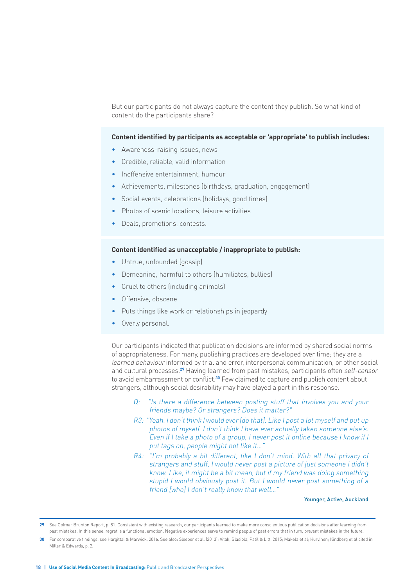But our participants do not always capture the content they publish. So what kind of content do the participants share?

#### **Content identified by participants as acceptable or 'appropriate' to publish includes:**

- Awareness-raising issues, news
- Credible, reliable, valid information
- Inoffensive entertainment, humour
- Achievements, milestones (birthdays, graduation, engagement)
- Social events, celebrations (holidays, good times)
- Photos of scenic locations, leisure activities
- Deals, promotions, contests.

#### **Content identified as unacceptable / inappropriate to publish:**

- Untrue, unfounded (gossip)
- Demeaning, harmful to others (humiliates, bullies)
- Cruel to others (including animals)
- Offensive, obscene
- Puts things like work or relationships in jeopardy
- Overly personal.

Our participants indicated that publication decisions are informed by shared social norms of appropriateness. For many, publishing practices are developed over time; they are a learned behaviour informed by trial and error, interpersonal communication, or other social and cultural processes.**29** Having learned from past mistakes, participants often self-censor to avoid embarrassment or conflict.**30** Few claimed to capture and publish content about strangers, although social desirability may have played a part in this response.

- Q: "Is there a difference between posting stuff that involves you and your friends maybe? Or strangers? Does it matter?"
- R3: "Yeah. I don't think I would ever [do that]. Like I post a lot myself and put up photos of myself. I don't think I have ever actually taken someone else's. Even if I take a photo of a group, I never post it online because I know if I put tags on, people might not like it...
- R4: "I'm probably a bit different, like I don't mind. With all that privacy of strangers and stuff, I would never post a picture of just someone I didn't know. Like, it might be a bit mean, but if my friend was doing something stupid I would obviously post it. But I would never post something of a friend [who] I don't really know that well..."

#### Younger, Active, Auckland

**29** See Colmar Brunton Report, p. 81. Consistent with existing research, our participants learned to make more conscientious publication decisions after learning from past mistakes. In this sense, regret is a functional emotion. Negative experiences serve to remind people of past errors that in turn, prevent mistakes in the future.

**<sup>30</sup>** For comparative findings, see Hargittai & Marwick, 2016. See also: Sleeper et al. (2013); Vitak, Blasiola, Patil & Litt, 2015; Makela et al; Kurvinen; Kindberg et al cited in Miller & Edwards, p. 2.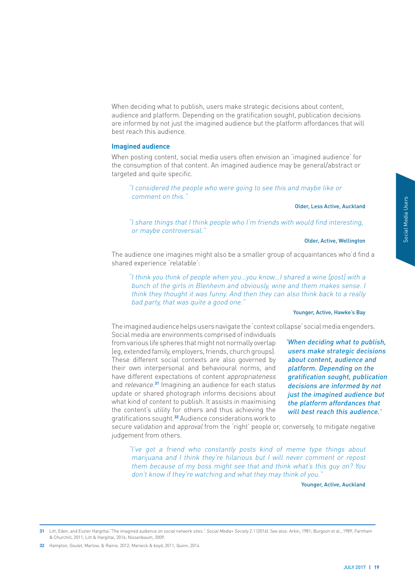<span id="page-20-0"></span>When deciding what to publish, users make strategic decisions about content, audience and platform. Depending on the gratification sought, publication decisions are informed by not just the imagined audience but the platform affordances that will best reach this audience.

#### **Imagined audience**

When posting content, social media users often envision an 'imagined audience' for the consumption of that content. An imagined audience may be general/abstract or targeted and quite specific.

"I considered the people who were going to see this and maybe like or comment on this."

Older, Less Active, Auckland

"I share things that I think people who I'm friends with would find interesting, or maybe controversial."

#### Older, Active, Wellington

The audience one imagines might also be a smaller group of acquaintances who'd find a shared experience 'relatable':

"I think you think of people when you…you know…I shared a wine [post] with a bunch of the girls in Blenheim and obviously, wine and them makes sense. I think they thought it was funny. And then they can also think back to a really bad party, that was quite a good one."

#### Younger, Active, Hawke's Bay

The imagined audience helps users navigate the 'context collapse' social media engenders.

Social media are environments comprised of individuals from various life spheres that might not normally overlap (eg, extended family, employers, friends, church groups). These different social contexts are also governed by their own interpersonal and behavioural norms, and have different expectations of content appropriateness and relevance. **<sup>31</sup>** Imagining an audience for each status update or shared photograph informs decisions about what kind of content to publish. It assists in maximising the content's utility for others and thus achieving the gratifications sought.**32** Audience considerations work to

Auckland<br>
esting,<br>
ellington<br>
ho'd find a<br>
J with a<br>
sense. I<br>
a really<br>
wke's Bay<br>
engenders.<br>
hat to publish,<br>
egic decisions<br>
dience and<br>
ing on the<br>
th, publication<br>
rmed by not<br>
audience but<br>
dances that<br>
is audience. 'When deciding what to publish, users make strategic decisions about content, audience and platform. Depending on the gratification sought, publication decisions are informed by not just the imagined audience but the platform affordances that will best reach this audience.'

secure validation and approval from the 'right' people or, conversely, to mitigate negative judgement from others.

"I've got a friend who constantly posts kind of meme type things about marijuana and I think they're hilarious but I will never comment or repost them because of my boss might see that and think what's this guy on? You don't know if they're watching and what they may think of you."

Younger, Active, Auckland

**31** Litt, Eden, and Eszter Hargittai."The imagined audience on social network sites." Social Media+ Society 2.1 (2016). See also: Arkin, 1981; Burgoon et al., 1989; Farnham & Churchill, 2011; Litt & Hargittai, 2016; Nissenbaum, 2009.

**32** Hampton, Goulet, Marlow, & Rainie, 2012; Marwick & boyd, 2011; Quinn, 2014.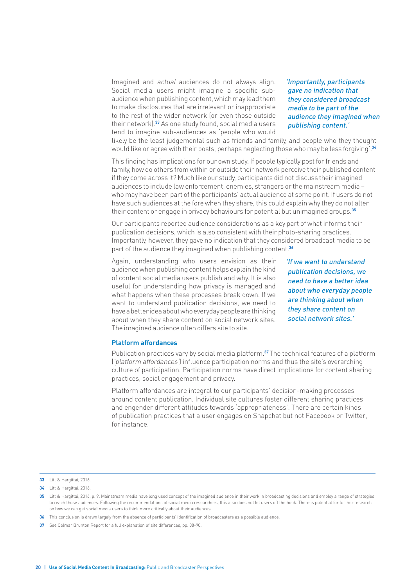<span id="page-21-0"></span>Imagined and actual audiences do not always align. Social media users might imagine a specific subaudience when publishing content, which may lead them to make disclosures that are irrelevant or inappropriate to the rest of the wider network (or even those outside their network).**33** As one study found, social media users tend to imagine sub-audiences as 'people who would 'Importantly, participants gave no indication that they considered broadcast media to be part of the audience they imagined when publishing content.'

likely be the least judgemental such as friends and family, and people who they thought would like or agree with their posts, perhaps neglecting those who may be less forgiving'.**<sup>34</sup>**

This finding has implications for our own study. If people typically post for friends and family, how do others from within or outside their network perceive their published content if they come across it? Much like our study, participants did not discuss their imagined audiences to include law enforcement, enemies, strangers or the mainstream media – who may have been part of the participants' actual audience at some point. If users do not have such audiences at the fore when they share, this could explain why they do not alter their content or engage in privacy behaviours for potential but unimagined groups.**<sup>35</sup>**

Our participants reported audience considerations as a key part of what informs their publication decisions, which is also consistent with their photo-sharing practices. Importantly, however, they gave no indication that they considered broadcast media to be part of the audience they imagined when publishing content.**<sup>36</sup>**

Again, understanding who users envision as their audience when publishing content helps explain the kind of content social media users publish and why. It is also useful for understanding how privacy is managed and what happens when these processes break down. If we want to understand publication decisions, we need to have a better idea about who everyday people are thinking about when they share content on social network sites. The imagined audience often differs site to site.

'If we want to understand publication decisions, we need to have a better idea about who everyday people are thinking about when they share content on social network sites.'

#### **Platform affordances**

Publication practices vary by social media platform.**37** The technical features of a platform ('platform affordances') influence participation norms and thus the site's overarching culture of participation. Participation norms have direct implications for content sharing practices, social engagement and privacy.

Platform affordances are integral to our participants' decision-making processes around content publication. Individual site cultures foster different sharing practices and engender different attitudes towards 'appropriateness'. There are certain kinds of publication practices that a user engages on Snapchat but not Facebook or Twitter, for instance.

**<sup>33</sup>** Litt & Hargittai, 2016.

**<sup>34</sup>** Litt & Hargittai, 2016.

**<sup>35</sup>** Litt & Hargittai, 2016, p. 9. Mainstream media have long used concept of the imagined audience in their work in broadcasting decisions and employ a range of strategies to reach those audiences. Following the recommendations of social media researchers, this also does not let users off the hook. There is potential for further research on how we can get social media users to think more critically about their audiences.

**<sup>36</sup>** This conclusion is drawn largely from the absence of participants' identification of broadcasters as a possible audience

**<sup>37</sup>** See Colmar Brunton Report for a full explanation of site differences, pp. 88-90.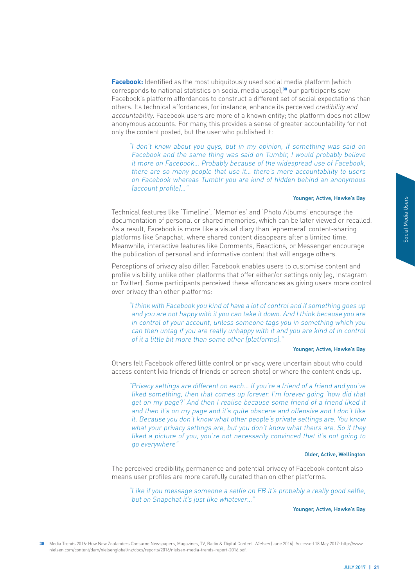Social Media Users

**Facebook:** Identified as the most ubiquitously used social media platform (which corresponds to national statistics on social media usage),**38** our participants saw Facebook's platform affordances to construct a different set of social expectations than others. Its technical affordances, for instance, enhance its perceived credibility and accountability. Facebook users are more of a known entity; the platform does not allow anonymous accounts. For many, this provides a sense of greater accountability for not only the content posted, but the user who published it:

"I don't know about you guys, but in my opinion, if something was said on Facebook and the same thing was said on Tumblr, I would probably believe it more on Facebook… Probably because of the widespread use of Facebook, there are so many people that use it… there's more accountability to users on Facebook whereas Tumblr you are kind of hidden behind an anonymous [account profile]…"

#### Younger, Active, Hawke's Bay

Technical features like 'Timeline', 'Memories' and 'Photo Albums' encourage the documentation of personal or shared memories, which can be later viewed or recalled. As a result, Facebook is more like a visual diary than 'ephemeral' content-sharing platforms like Snapchat, where shared content disappears after a limited time. Meanwhile, interactive features like Comments, Reactions, or Messenger encourage the publication of personal and informative content that will engage others.

Perceptions of privacy also differ. Facebook enables users to customise content and profile visibility, unlike other platforms that offer either/or settings only (eg, Instagram or Twitter). Some participants perceived these affordances as giving users more control over privacy than other platforms:

"I think with Facebook you kind of have a lot of control and if something goes up and you are not happy with it you can take it down. And I think because you are in control of your account, unless someone tags you in something which you can then untag if you are really unhappy with it and you are kind of in control of it a little bit more than some other [platforms]."

#### Younger, Active, Hawke's Bay

Others felt Facebook offered little control or privacy, were uncertain about who could access content (via friends of friends or screen shots) or where the content ends up.

Whe's Bay<br>the<br>recalled.<br>The recalled.<br>The recalled.<br>The courage<br>end and stagram<br>precontrol<br>goes up<br>you are<br>control<br>whe's Bay<br>occuld<br>ds up.<br> $\frac{1}{2}$  you've<br>did that<br>liked it<br>prift like<br>whow<br>if they<br>if they<br>ping to<br>ellingto "Privacy settings are different on each… If you're a friend of a friend and you've liked something, then that comes up forever. I'm forever going 'how did that get on my page?' And then I realise because some friend of a friend liked it and then it's on my page and it's quite obscene and offensive and I don't like it. Because you don't know what other people's private settings are. You know what your privacy settings are, but you don't know what theirs are. So if they liked a picture of you, you're not necessarily convinced that it's not going to go everywhere"

#### Older, Active, Wellington

The perceived credibility, permanence and potential privacy of Facebook content also means user profiles are more carefully curated than on other platforms.

"Like if you message someone a selfie on FB it's probably a really good selfie, but on Snapchat it's just like whatever...'

#### Younger, Active, Hawke's Bay

**38** Media Trends 2016: How New Zealanders Consume Newspapers, Magazines, TV, Radio & Digital Content. Nielsen (June 2016). Accessed 18 May 2017: http://www. nielsen.com/content/dam/nielsenglobal/nz/docs/reports/2016/nielsen-media-trends-report-2016.pdf.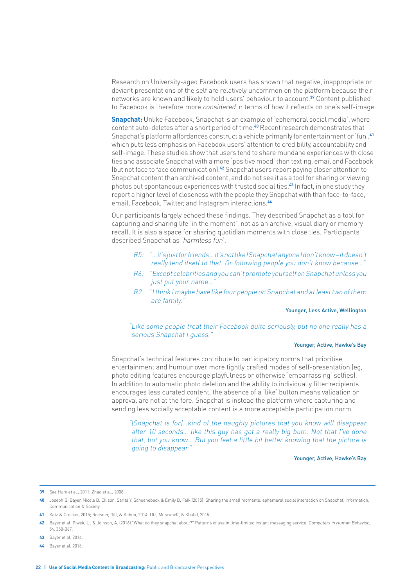Research on University-aged Facebook users has shown that negative, inappropriate or deviant presentations of the self are relatively uncommon on the platform because their networks are known and likely to hold users' behaviour to account.**39** Content published to Facebook is therefore more considered in terms of how it reflects on one's self-image.

**Snapchat:** Unlike Facebook, Snapchat is an example of 'ephemeral social media', where content auto-deletes after a short period of time.**40** Recent research demonstrates that Snapchat's platform affordances construct a vehicle primarily for entertainment or 'fun',**<sup>41</sup>** which puts less emphasis on Facebook users' attention to credibility, accountability and self-image. These studies show that users tend to share mundane experiences with close ties and associate Snapchat with a more 'positive mood' than texting, email and Facebook (but not face to face communication).**42** Snapchat users report paying closer attention to Snapchat content than archived content, and do not see it as a tool for sharing or viewing photos but spontaneous experiences with trusted social ties.**43** In fact, in one study they report a higher level of closeness with the people they Snapchat with than face-to-face, email, Facebook, Twitter, and Instagram interactions.**<sup>44</sup>**

Our participants largely echoed these findings. They described Snapchat as a tool for capturing and sharing life 'in the moment', not as an archive, visual diary or memory recall. It is also a space for sharing quotidian moments with close ties. Participants described Snapchat as 'harmless fun'.

- R5: "…it's just for friends… it's not like I Snapchat anyone I don't know it doesn't really lend itself to that. Or following people you don't know because…"
- R6: "Except celebrities and you can't promote yourself on Snapchat unless you just put your name...
- R2: "I think I maybe have like four people on Snapchat and at least two of them are family."

#### Younger, Less Active, Wellington

"Like some people treat their Facebook quite seriously, but no one really has a serious Snapchat I quess."

#### Younger, Active, Hawke's Bay

Snapchat's technical features contribute to participatory norms that prioritise entertainment and humour over more tightly crafted modes of self-presentation (eg, photo editing features encourage playfulness or otherwise 'embarrassing' selfies). In addition to automatic photo deletion and the ability to individually filter recipients encourages less curated content, the absence of a 'like' button means validation or approval are not at the fore. Snapchat is instead the platform where capturing and sending less socially acceptable content is a more acceptable participation norm.

"[Snapchat is for]…kind of the naughty pictures that you know will disappear after 10 seconds… like this guy has got a really big bum. Not that I've done that, but you know… But you feel a little bit better knowing that the picture is going to disappear."

#### Younger, Active, Hawke's Bay

- **43** Bayer et al, 2016.
- **44** Bayer et al, 2016.

**<sup>39</sup>** See Hum et al., 2011; Zhao et al., 2008.

**<sup>40</sup>** Joseph B. Bayer, Nicole B. Ellison, Sarita Y. Schoenebeck & Emily B. Falk (2015): Sharing the small moments: ephemeral social interaction on Snapchat, Information, Communication & Society.

**<sup>41</sup>** Katz & Crocker, 2015; Roesner, Gill, & Kohno, 2014; Utz, Muscanell, & Khalid, 2015.

**<sup>42</sup>** Bayer et al; Piwek, L., & Joinson, A. (2016)."What do they snapchat about?" Patterns of use in time-limited instant messaging service. Computers in Human Behavior, 54, 358-367.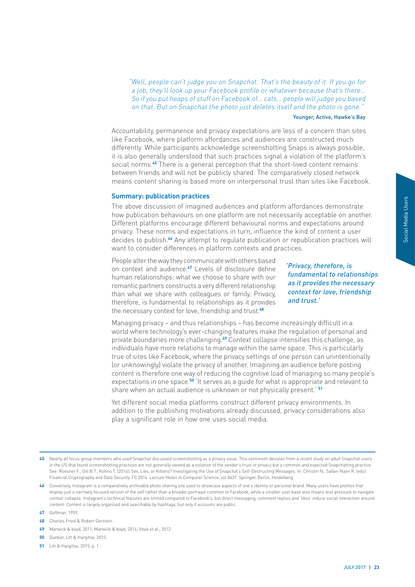<span id="page-24-0"></span>"Well, people can't judge you on Snapchat. That's the beauty of it. If you go for a job, they'll look up your Facebook profile or whatever because that's there So if you put heaps of stuff on Facebook of… cats… people will judge you based on that. But on Snapchat the photo just deletes itself and the photo is gone."

#### Younger, Active, Hawke's Bay

Accountability, permanence and privacy expectations are less of a concern than sites like Facebook, where platform affordances and audiences are constructed much differently. While participants acknowledge screenshotting Snaps is always possible, it is also generally understood that such practices signal a violation of the platform's social norms.**45** There is a general perception that the short-lived content remains between friends and will not be publicly shared. The comparatively closed network means content sharing is based more on interpersonal trust than sites like Facebook.

#### **Summary: publication practices**

The above discussion of imagined audiences and platform affordances demonstrate how publication behaviours on one platform are not necessarily acceptable on another. Different platforms encourage different behavioural norms and expectations around privacy. These norms and expectations in turn, influence the kind of content a user decides to publish.**46** Any attempt to regulate publication or republication practices will want to consider differences in platform contexts and practices.

People alter the way they communicate with others based on context and audience.**47** Levels of disclosure define human relationships: what we choose to share with our romantic partners constructs a very different relationship than what we share with colleagues or family. Privacy, therefore, is fundamental to relationships as it provides the necessary context for love, friendship and trust.**<sup>48</sup>**

'Privacy, therefore, is fundamental to relationships as it provides the necessary context for love, friendship and trust.'

matrate<br>
n another.<br>
around<br>
a user<br>
titices will<br> **a** suser<br> **is lationships<br>
necessary**<br> **riendship**<br>
in a<br>
manal and<br>
manal and<br>
manal and<br>
manal and<br>
manal Media Users<br>
examtly<br>
prople is<br>
levant to<br>
In<br>
In ns also<br>
ma Managing privacy – and thus relationships – has become increasingly difficult in a world where technology's ever-changing features make the regulation of personal and private boundaries more challenging.**49** Context collapse intensifies this challenge, as individuals have more relations to manage within the same space. This is particularly true of sites like Facebook, where the privacy settings of one person can unintentionally (or unknowingly) violate the privacy of another. Imagining an audience before posting content is therefore one way of reducing the cognitive load of managing so many people's expectations in one space.**50** 'It serves as a guide for what is appropriate and relevant to share when an actual audience is unknown or not physically present.' **<sup>51</sup>**

Yet different social media platforms construct different privacy environments. In addition to the publishing motivations already discussed, privacy considerations also play a significant role in how one uses social media.

- **47** Goffman, 1959.
- **48** Charles Fried & Robert Gerstein.
- **49** Marwick & boyd, 2011; Marwick & boyd, 2014; Vitak et al., 2012.
- **50** Dunbar, Litt & Hargittai, 2015.
- **51** Litt & Hargittai, 2015, p. 1.

<sup>45</sup> Nearly all focus group members who used Snapchat discussed screenshotting as a privacy issue. This sentiment deviates from a recent study on adult Snapchat users in the US that found screenshotting practices are not generally viewed as a violation of the sender's trust or privacy but a common and expected Snapchatting practice. See: Roesner F., Gill B.T., Kohno T. (2014); Sex, Lies, or Kittens? Investigating the Use of Snapchat's Self-Destructing Messages. In: Christin N., Safavi-Naini R. (eds) Financial Cryptography and Data Security. FC 2014. Lecture Notes in Computer Science, vol 8437. Springer, Berlin, Heidelberg.

**<sup>46</sup>** Conversely, Instagram is a comparatively archivable photo sharing site used to showcase aspects of one's identity or personal brand. Many users have profiles that display just a narrowly focused version of the self rather than a broader portrayal common to Facebook, while a smaller user base also means less pressure to navigate context collapse. Instagram's technical features are limited compared to Facebook's, but direct messaging, comment replies and 'likes' induce social interaction around content. Content is largely organised and searchable by hashtags, but only if accounts are public.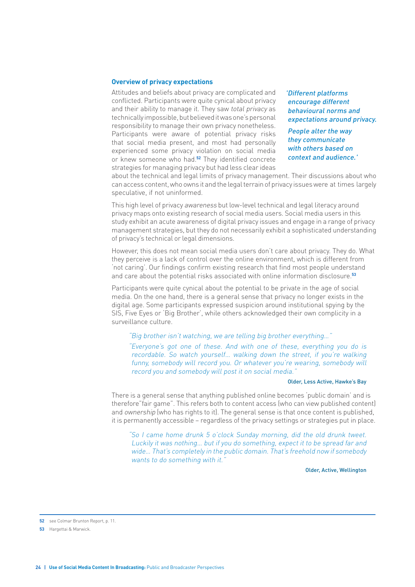#### <span id="page-25-0"></span>**Overview of privacy expectations**

Attitudes and beliefs about privacy are complicated and conflicted. Participants were quite cynical about privacy and their ability to manage it. They saw total privacy as technically impossible, but believed it was one's personal responsibility to manage their own privacy nonetheless. Participants were aware of potential privacy risks that social media present, and most had personally experienced some privacy violation on social media or knew someone who had.**52** They identified concrete strategies for managing privacy but had less clear ideas

'Different platforms encourage different behavioural norms and expectations around privacy.

People alter the way they communicate with others based on context and audience.'

about the technical and legal limits of privacy management. Their discussions about who can access content, who owns it and the legal terrain of privacy issues were at times largely speculative, if not uninformed.

This high level of privacy awareness but low-level technical and legal literacy around privacy maps onto existing research of social media users. Social media users in this study exhibit an acute awareness of digital privacy issues and engage in a range of privacy management strategies, but they do not necessarily exhibit a sophisticated understanding of privacy's technical or legal dimensions.

However, this does not mean social media users don't care about privacy. They do. What they perceive is a lack of control over the online environment, which is different from 'not caring'. Our findings confirm existing research that find most people understand and care about the potential risks associated with online information disclosure.**<sup>53</sup>**

Participants were quite cynical about the potential to be private in the age of social media. On the one hand, there is a general sense that privacy no longer exists in the digital age. Some participants expressed suspicion around institutional spying by the SIS, Five Eyes or 'Big Brother', while others acknowledged their own complicity in a surveillance culture.

#### "Big brother isn't watching, we are telling big brother everything…"

"Everyone's got one of these. And with one of these, everything you do is recordable. So watch yourself… walking down the street, if you're walking funny, somebody will record you. Or whatever you're wearing, somebody will record you and somebody will post it on social media."

#### Older, Less Active, Hawke's Bay

There is a general sense that anything published online becomes 'public domain' and is therefore"fair game". This refers both to content access (who can view published content) and ownership (who has rights to it). The general sense is that once content is published, it is permanently accessible – regardless of the privacy settings or strategies put in place.

"So I came home drunk 5 o'clock Sunday morning, did the old drunk tweet. Luckily it was nothing… but if you do something, expect it to be spread far and wide… That's completely in the public domain. That's freehold now if somebody wants to do something with it."

Older, Active, Wellington

**52** see Colmar Brunton Report, p. 11.

**53** Hargettai & Marwick.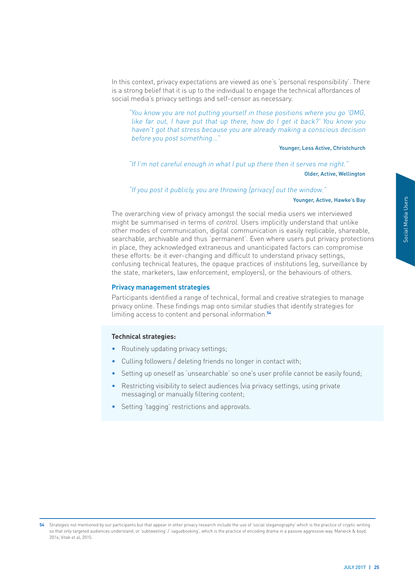<span id="page-26-0"></span>In this context, privacy expectations are viewed as one's 'personal responsibility'. There is a strong belief that it is up to the individual to engage the technical affordances of social media's privacy settings and self-censor as necessary.

"You know you are not putting yourself in those positions where you go 'OMG, like far out, I have put that up there, how do I get it back?' You know you haven't got that stress because you are already making a conscious decision before you post something…"

Younger, Less Active, Christchurch

"If I'm not careful enough in what I put up there then it serves me right."

Older, Active, Wellington

"If you post it publicly, you are throwing [privacy] out the window."

#### Younger, Active, Hawke's Bay

We is Bay<br>
Ved<br>
mlike<br>
mareable,<br>
mareable,<br>
protections<br>
ince by<br>
increase of the same of the same<br>
for<br>
found;<br>
since a boyd.<br>
Figure 2017 | 25<br>
JULY 2017 | 25 The overarching view of privacy amongst the social media users we interviewed might be summarised in terms of control. Users implicitly understand that unlike other modes of communication, digital communication is easily replicable, shareable, searchable, archivable and thus 'permanent'. Even where users put privacy protections in place, they acknowledged extraneous and unanticipated factors can compromise these efforts: be it ever-changing and difficult to understand privacy settings, confusing technical features, the opaque practices of institutions (eg, surveillance by the state, marketers, law enforcement, employers), or the behaviours of others.

#### **Privacy management strategies**

Participants identified a range of technical, formal and creative strategies to manage privacy online. These findings map onto similar studies that identify strategies for limiting access to content and personal information.**<sup>54</sup>**

#### **Technical strategies:**

- Routinely updating privacy settings;
- Culling followers / deleting friends no longer in contact with;
- Setting up oneself as 'unsearchable' so one's user profile cannot be easily found:
- Restricting visibility to select audiences (via privacy settings, using private messaging) or manually filtering content;
- Setting 'tagging' restrictions and approvals.

**<sup>54</sup>** Strategies not mentioned by our participants but that appear in other privacy research include the use of 'social steganography' which is the practice of cryptic writing so that only targeted audiences understand; or 'subtweeting' / 'vaguebooking', which is the practice of encoding drama in a passive aggressive way. Marwick & boyd, 2014; Vitak et al, 2015.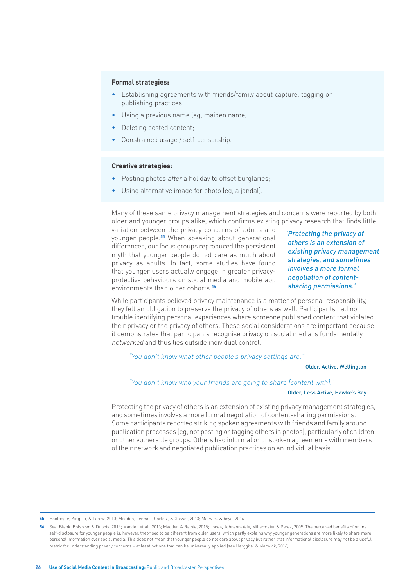#### **Formal strategies:**

- Establishing agreements with friends/family about capture, tagging or publishing practices;
- Using a previous name (eg, maiden name);
- Deleting posted content;
- Constrained usage / self-censorship.

#### **Creative strategies:**

- Posting photos after a holiday to offset burglaries;
- Using alternative image for photo (eg, a jandal).

Many of these same privacy management strategies and concerns were reported by both older and younger groups alike, which confirms existing privacy research that finds little

variation between the privacy concerns of adults and younger people.**55** When speaking about generational differences, our focus groups reproduced the persistent myth that younger people do not care as much about privacy as adults. In fact, some studies have found that younger users actually engage in greater privacyprotective behaviours on social media and mobile app environments than older cohorts.**<sup>56</sup>**

'Protecting the privacy of others is an extension of existing privacy management strategies, and sometimes involves a more formal negotiation of contentsharing permissions.'

While participants believed privacy maintenance is a matter of personal responsibility, they felt an obligation to preserve the privacy of others as well. Participants had no trouble identifying personal experiences where someone published content that violated their privacy or the privacy of others. These social considerations are important because it demonstrates that participants recognise privacy on social media is fundamentally networked and thus lies outside individual control.

#### "You don't know what other people's privacy settings are."

#### Older, Active, Wellington

#### "You don't know who your friends are going to share [content with]."

#### Older, Less Active, Hawke's Bay

Protecting the privacy of others is an extension of existing privacy management strategies, and sometimes involves a more formal negotiation of content-sharing permissions. Some participants reported striking spoken agreements with friends and family around publication processes (eg, not posting or tagging others in photos), particularly of children or other vulnerable groups. Others had informal or unspoken agreements with members of their network and negotiated publication practices on an individual basis.

**55** Hoofnagle, King, Li, & Turow, 2010; Madden, Lenhart, Cortesi, & Gasser, 2013; Marwick & boyd, 2014.

**<sup>56</sup>** See: Blank, Bolsover, & Dubois, 2014; Madden et al., 2013; Madden & Rainie, 2015; Jones, Johnson-Yale, Millermaier & Perez, 2009. The perceived benefits of online self-disclosure for younger people is, however, theorised to be different from older users, which partly explains why younger generations are more likely to share more personal information over social media. This does not mean that younger people do not care about privacy but rather that informational disclosure may not be a useful metric for understanding privacy concerns – at least not one that can be universally applied (see Harggitai & Marwick, 2016).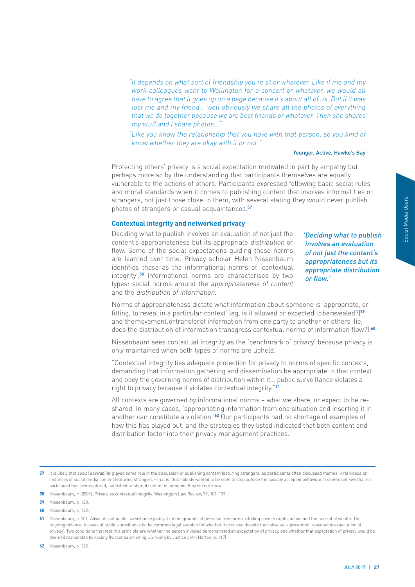<span id="page-28-0"></span>"It depends on what sort of friendship you're at or whatever. Like if me and my work colleagues went to Wellington for a concert or whatever, we would all have to agree that it goes up on a page because it's about all of us. But if it was just me and my friend... well obviously we share all the photos of everything that we do together because we are best friends or whatever. Then she shares my stuff and I share photos…"

"Like you know the relationship that you have with that person, so you kind of know whether they are okay with it or not."

#### Younger, Active, Hawke's Bay

Protecting others' privacy is a social expectation motivated in part by empathy but perhaps more so by the understanding that participants themselves are equally vulnerable to the actions of others. Participants expressed following basic social rules and moral standards when it comes to publishing content that involves informal ties or strangers, not just those close to them, with several stating they would never publish photos of strangers or casual acquaintances.**<sup>57</sup>**

#### **Contextual integrity and networked privacy**

Deciding what to publish involves an evaluation of not just the content's appropriateness but its appropriate distribution or flow. Some of the social expectations guiding these norms are learned over time. Privacy scholar Helen Nissenbaum identifies these as the informational norms of 'contextual integrity'.**58** Informational norms are characterised by two types: social norms around the appropriateness of content and the distribution of information.

Further and to publish<br>
at to publish<br>
evaluation<br>
ne content's<br>
mess but its<br>
distribution<br>
price,<br>
or aled?)<sup>59</sup><br>
privacy is<br>
privacy is<br>
contexts,<br>
at contexts,<br>
at contexts,<br>
at contexts,<br>
at contexts,<br>
at contexts,<br>
a 'Deciding what to publish involves an evaluation of not just the content's appropriateness but its appropriate distribution or flow.'

Norms of appropriateness dictate what information about someone is 'appropriate, or fitting, to reveal in a particular context' (eg, is it allowed or expected to be revealed?)**<sup>59</sup>** and 'the movement, or transfer of information from one party to another or others' (ie, does the distribution of information transgress contextual norms of information flow?).**<sup>60</sup>**

Nissenbaum sees contextual integrity as the 'benchmark of privacy' because privacy is only maintained when both types of norms are upheld.

"Contextual integrity ties adequate protection for privacy to norms of specific contexts, demanding that information gathering and dissemination be appropriate to that context and obey the governing norms of distribution within it… public surveillance violates a right to privacy because it violates contextual integrity."**<sup>61</sup>**

All contexts are governed by informational norms – what we share, or expect to be reshared. In many cases, 'appropriating information from one situation and inserting it in another can constitute a violation.'**62** Our participants had no shortage of examples of how this has played out, and the strategies they listed indicated that both content and distribution factor into their privacy management practices.

**62** Nissenbaum, p. 122.

**<sup>57</sup>** It is likely that social desirability played some role in the discussion of publishing content featuring strangers, as participants often discussed memes, viral videos or instances of social media content featuring strangers – that is, that nobody wanted to be seen to step outside the socially accepted behaviour. It seems unlikely that no participant has ever captured, published or shared content of someone they did not know.

**<sup>58</sup>** Nissenbaum, H (2004). Privacy as contextual integrity. Washington Law Review, 79, 101-139.

**<sup>59</sup>** Nissenbaum, p. 120.

**<sup>60</sup>** Nissenbaum, p. 122.

**<sup>61</sup>** Nissenbaum, p. 101. Advocates of public surveillance justify it on the grounds of personal freedoms including speech rights, action and the pursuit of wealth. The reigning defence in cases of public surveillance is the common legal standard of whether it occurred despite the individual's presumed 'reasonable expectation of privacy'. Two conditions that test this principle are whether the person involved demonstrated an expectation of privacy, and whether that expectation of privacy would be deemed reasonable by society (Nissenbaum citing US ruling by Justice John Harlan, p. 117).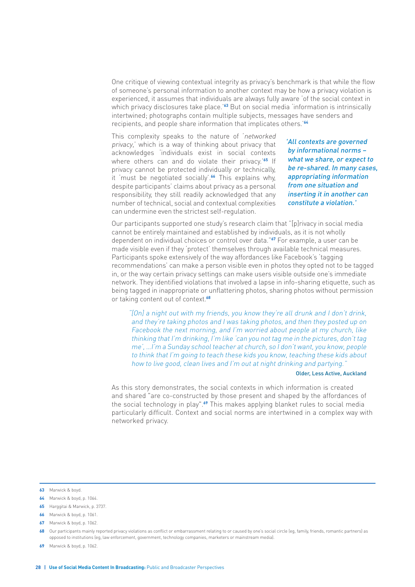One critique of viewing contextual integrity as privacy's benchmark is that while the flow of someone's personal information to another context may be how a privacy violation is experienced, it assumes that individuals are always fully aware 'of the social context in which privacy disclosures take place.'**63** But on social media 'information is intrinsically intertwined; photographs contain multiple subjects, messages have senders and recipients, and people share information that implicates others.'**<sup>64</sup>**

This complexity speaks to the nature of 'networked privacy,' which is a way of thinking about privacy that acknowledges 'individuals exist in social contexts where others can and do violate their privacy.'**65** If privacy cannot be protected individually or technically, it 'must be negotiated socially'.**66** This explains why, despite participants' claims about privacy as a personal responsibility, they still readily acknowledged that any number of technical, social and contextual complexities can undermine even the strictest self-regulation.

'All contexts are governed by informational norms – what we share, or expect to be re-shared. In many cases, appropriating information from one situation and inserting it in another can constitute a violation.'

Our participants supported one study's research claim that "[p]rivacy in social media cannot be entirely maintained and established by individuals, as it is not wholly dependent on individual choices or control over data."**67** For example, a user can be made visible even if they 'protect' themselves through available technical measures. Participants spoke extensively of the way affordances like Facebook's 'tagging recommendations' can make a person visible even in photos they opted not to be tagged in, or the way certain privacy settings can make users visible outside one's immediate network. They identified violations that involved a lapse in info-sharing etiquette, such as being tagged in inappropriate or unflattering photos, sharing photos without permission or taking content out of context.**<sup>68</sup>**

"[On] a night out with my friends, you know they're all drunk and I don't drink, and they're taking photos and I was taking photos, and then they posted up on Facebook the next morning, and I'm worried about people at my church, like thinking that I'm drinking, I'm like 'can you not tag me in the pictures, don't tag me', …I'm a Sunday school teacher at church, so I don't want, you know, people to think that I'm going to teach these kids you know, teaching these kids about how to live good, clean lives and I'm out at night drinking and partying."

#### Older, Less Active, Auckland

As this story demonstrates, the social contexts in which information is created and shared "are co-constructed by those present and shaped by the affordances of the social technology in play".**69** This makes applying blanket rules to social media particularly difficult. Context and social norms are intertwined in a complex way with networked privacy.

**65** Harggitai & Marwick, p. 3737.

**<sup>63</sup>** Marwick & boyd.

**<sup>64</sup>** Marwick & boyd, p. 1064.

**<sup>66</sup>** Marwick & boyd, p. 1061.

**<sup>67</sup>** Marwick & boyd, p. 1062.

<sup>68</sup> Our participants mainly reported privacy violations as conflict or embarrassment relating to or caused by one's social circle (eg, family, friends, romantic partners) as opposed to institutions (eg, law enforcement, government, technology companies, marketers or mainstream media).

**<sup>69</sup>** Marwick & boyd, p. 1062.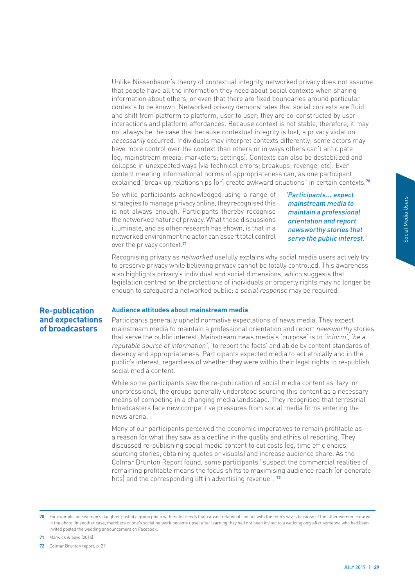<span id="page-30-0"></span>Unlike Nissenbaum's theory of contextual integrity, networked privacy does not assume that people have all the information they need about social contexts when sharing information about others, or even that there are fixed boundaries around particular contexts to be known. Networked privacy demonstrates that social contexts are fluid and shift from platform to platform, user to user; they are co-constructed by user interactions and platform affordances. Because context is not stable, therefore, it may not always be the case that because contextual integrity is lost, a privacy violation necessarily occurred. Individuals may interpret contexts differently; some actors may have more control over the context than others or in ways others can't anticipate (eg, mainstream media; marketers; settings). Contexts can also be destabilized and collapse in unexpected ways (via technical errors; breakups; revenge, etc). Even content meeting informational norms of appropriateness can, as one participant explained,"break up relationships [or] create awkward situations" in certain contexts.**<sup>70</sup>**

So while participants acknowledged using a range of strategies to manage privacy online, they recognised this is not always enough. Participants thereby recognise the networked nature of privacy. What these discussions illuminate, and as other research has shown, is that in a networked environment no actor can assert total control over the privacy context.**<sup>71</sup>**

'Participants... expect mainstream media to maintain a professional orientation and report newsworthy stories that serve the public interest.'

Recognising privacy as networked usefully explains why social media users actively try to preserve privacy while believing privacy cannot be totally controlled. This awareness also highlights privacy's individual and social dimensions, which suggests that legislation centred on the protections of individuals or property rights may no longer be enough to safeguard a networked public: a social response may be required.

#### **Re-publication and expectations of broadcasters**

#### **Audience attitudes about mainstream media**

**Example 2018**<br> **Example 2018**<br> **Example 2018**<br> **Example 2019**<br> **Example 2019**<br> **Example 2019**<br> **Example 2019**<br> **Example 2019**<br> **Example 2019**<br> **Example 2019**<br> **Example 2019**<br> **Example 2019**<br> **Example 2019**<br> **Example 2019** Participants generally upheld normative expectations of news media. They expect mainstream media to maintain a professional orientation and report newsworthy stories that serve the public interest. Mainstream news media's 'purpose' is to 'inform', 'be a reputable source of information', 'to report the facts' and abide by content standards of decency and appropriateness. Participants expected media to act ethically and in the public's interest, regardless of whether they were within their legal rights to re-publish social media content.

While some participants saw the re-publication of social media content as 'lazy' or unprofessional, the groups generally understood sourcing this content as a necessary means of competing in a changing media landscape. They recognised that terrestrial broadcasters face new competitive pressures from social media firms entering the news arena.

Many of our participants perceived the economic imperatives to remain profitable as a reason for what they saw as a decline in the quality and ethics of reporting. They discussed re-publishing social media content to cut costs (eg, time efficiencies, sourcing stories, obtaining quotes or visuals) and increase audience share. As the Colmar Brunton Report found, some participants "suspect the commercial realities of remaining profitable means the focus shifts to maximising audience reach (or generate hits) and the corresponding lift in advertising revenue". **<sup>72</sup>**

**71** Marwick & boyd (2014).

**<sup>70</sup>** For example, one woman's daughter posted a group photo with male friends that caused relational conflict with the men's wives because of the other women featured in the photo. In another case, members of one's social network became upset after learning they had not been invited to a wedding only after someone who had been invited posted the wedding announcement on Facebook.

**<sup>72</sup>** Colmar Brunton report, p. 27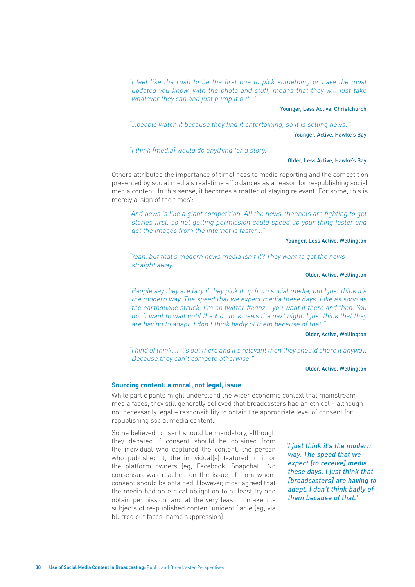<span id="page-31-0"></span>"I feel like the rush to be the first one to pick something or have the most updated you know, with the photo and stuff, means that they will just take whatever they can and just pump it out..."

#### Younger, Less Active, Christchurch

"…people watch it because they find it entertaining, so it is selling news." Younger, Active, Hawke's Bay

"I think [media] would do anything for a story."

#### Older, Less Active, Hawke's Bay

Others attributed the importance of timeliness to media reporting and the competition presented by social media's real-time affordances as a reason for re-publishing social media content. In this sense, it becomes a matter of staying relevant. For some, this is merely a 'sign of the times':

"And news is like a giant competition. All the news channels are fighting to get stories first, so not getting permission could speed up your thing faster and get the images from the internet is faster…"

#### Younger, Less Active, Wellington

"Yeah, but that's modern news media isn't it? They want to get the news straight away."

#### Older, Active, Wellington

"People say they are lazy if they pick it up from social media, but I just think it's the modern way. The speed that we expect media these days. Like as soon as the earthquake struck, I'm on twitter #eqnz – you want it there and then. You don't want to wait until the 6 o'clock news the next night. I just think that they are having to adapt. I don't think badly of them because of that."

#### Older, Active, Wellington

"I kind of think, if it's out there and it's relevant then they should share it anyway. Because they can't compete otherwise."

#### Older, Active, Wellington

#### **Sourcing content: a moral, not legal, issue**

While participants might understand the wider economic context that mainstream media faces, they still generally believed that broadcasters had an ethical – although not necessarily legal – responsibility to obtain the appropriate level of consent for republishing social media content.

Some believed consent should be mandatory, although they debated if consent should be obtained from the individual who captured the content, the person who published it, the individual(s) featured in it or the platform owners (eg, Facebook, Snapchat). No consensus was reached on the issue of from whom consent should be obtained. However, most agreed that the media had an ethical obligation to at least try and obtain permission, and at the very least to make the subjects of re-published content unidentifiable (eg, via blurred out faces, name suppression).

'I just think it's the modern way. The speed that we expect [to receive] media these days. I just think that [broadcasters] are having to adapt. I don't think badly of them because of that.'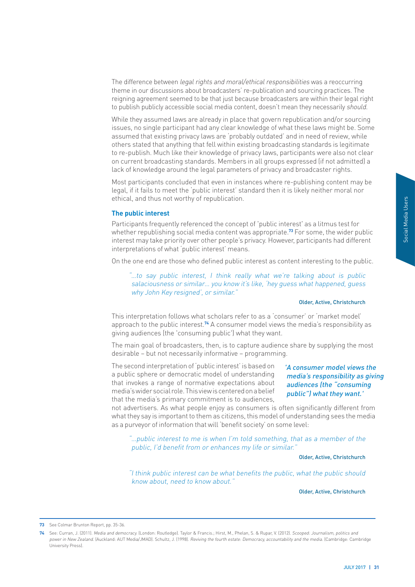<span id="page-32-0"></span>The difference between *legal rights and moral/ethical responsibilities* was a reoccurring theme in our discussions about broadcasters' re-publication and sourcing practices. The reigning agreement seemed to be that just because broadcasters are within their legal right to publish publicly accessible social media content, doesn't mean they necessarily should.

While they assumed laws are already in place that govern republication and/or sourcing issues, no single participant had any clear knowledge of what these laws might be. Some assumed that existing privacy laws are 'probably outdated' and in need of review, while others stated that anything that fell within existing broadcasting standards is legitimate to re-publish. Much like their knowledge of privacy laws, participants were also not clear on current broadcasting standards. Members in all groups expressed (if not admitted) a lack of knowledge around the legal parameters of privacy and broadcaster rights.

Most participants concluded that even in instances where re-publishing content may be legal, if it fails to meet the 'public interest' standard then it is likely neither moral nor ethical, and thus not worthy of republication.

#### **The public interest**

Participants frequently referenced the concept of 'public interest' as a litmus test for whether republishing social media content was appropriate.**73** For some, the wider public interest may take priority over other people's privacy. However, participants had different interpretations of what 'public interest' means.

On the one end are those who defined public interest as content interesting to the public.

"…to say public interest, I think really what we're talking about is public salaciousness or similar… you know it's like, 'hey guess what happened, guess why John Key resigned', or similar."

#### Older, Active, Christchurch

This interpretation follows what scholars refer to as a 'consumer' or 'market model' approach to the public interest.**74** A consumer model views the media's responsibility as giving audiences (the 'consuming public') what they want.

The main goal of broadcasters, then, is to capture audience share by supplying the most desirable – but not necessarily informative – programming.

The second interpretation of 'public interest' is based on a public sphere or democratic model of understanding that invokes a range of normative expectations about media's wider social role. This view is centered on a belief that the media's primary commitment is to audiences,

# Sest for<br>
der public<br>
different<br>
the public.<br>
public<br> *l*, guess<br>
stchurch<br>
model'<br>
sibility as<br>
g the most<br> **l** views the<br> **lility as giving**<br> **nsuming**<br>
want.'<br>
erent from<br>
stemedia<br>
r of the<br>
stchurch<br>
should<br>
stchurch<br> 'A consumer model views the media's responsibility as giving audiences (the "consuming public") what they want.'

not advertisers. As what people enjoy as consumers is often significantly different from what they say is important to them as citizens, this model of understanding sees the media as a purveyor of information that will 'benefit society' on some level:

"…public interest to me is when I'm told something, that as a member of the public, I'd benefit from or enhances my life or similar."

#### Older, Active, Christchurch

"I think public interest can be what benefits the public, what the public should know about, need to know about."

Older, Active, Christchurch

**<sup>73</sup>** See Colmar Brunton Report, pp. 35-36.

**<sup>74</sup>** See: Curran, J. (2011). Media and democracy. (London: Routledge). Taylor & Francis.; Hirst, M., Phelan, S. & Rupar, V. (2012). Scooped: Journalism, politics and power in New Zealand. [Auckland: AUT Media/JMAD]. Schultz, J. (1998). Reviving the fourth estate: Democracy, accountability and the media. [Cambridge: Cambridge .<br>University Press).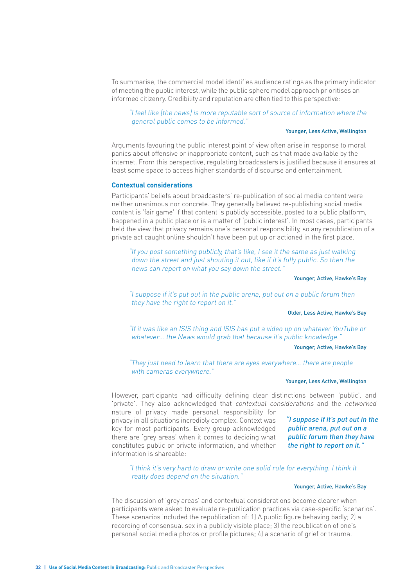<span id="page-33-0"></span>To summarise, the commercial model identifies audience ratings as the primary indicator of meeting the public interest, while the public sphere model approach prioritises an informed citizenry. Credibility and reputation are often tied to this perspective:

#### "I feel like [the news] is more reputable sort of source of information where the general public comes to be informed."

#### Younger, Less Active, Wellington

Arguments favouring the public interest point of view often arise in response to moral panics about offensive or inappropriate content, such as that made available by the internet. From this perspective, regulating broadcasters is justified because it ensures at least some space to access higher standards of discourse and entertainment.

#### **Contextual considerations**

Participants' beliefs about broadcasters' re-publication of social media content were neither unanimous nor concrete. They generally believed re-publishing social media content is 'fair game' if that content is publicly accessible, posted to a public platform, happened in a public place or is a matter of 'public interest'. In most cases, participants held the view that privacy remains one's personal responsibility, so any republication of a private act caught online shouldn't have been put up or actioned in the first place.

"If you post something publicly, that's like, I see it the same as just walking down the street and just shouting it out, like if it's fully public. So then the news can report on what you say down the street."

Younger, Active, Hawke's Bay

"I suppose if it's put out in the public arena, put out on a public forum then they have the right to report on it."

#### Older, Less Active, Hawke's Bay

"If it was like an ISIS thing and ISIS has put a video up on whatever YouTube or whatever... the News would grab that because it's public knowledge.'

#### Younger, Active, Hawke's Bay

"They just need to learn that there are eyes everywhere… there are people with cameras everywhere."

#### Younger, Less Active, Wellington

However, participants had difficulty defining clear distinctions between 'public'. and 'private'. They also acknowledged that contextual considerations and the networked

nature of privacy made personal responsibility for privacy in all situations incredibly complex. Context was key for most participants. Every group acknowledged there are 'grey areas' when it comes to deciding what constitutes public or private information, and whether information is shareable:

"I suppose if it's put out in the public arena, put out on a public forum then they have the right to report on it."

"I think it's very hard to draw or write one solid rule for everything. I think it really does depend on the situation."

#### Younger, Active, Hawke's Bay

The discussion of 'grey areas' and contextual considerations become clearer when participants were asked to evaluate re-publication practices via case-specific 'scenarios'. These scenarios included the republication of: 1) A public figure behaving badly; 2) a recording of consensual sex in a publicly visible place; 3) the republication of one's personal social media photos or profile pictures; 4) a scenario of grief or trauma.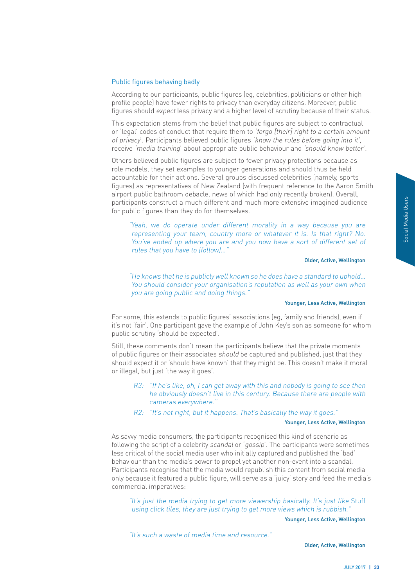#### Public figures behaving badly

According to our participants, public figures (eg, celebrities, politicians or other high profile people) have fewer rights to privacy than everyday citizens. Moreover, public figures should expect less privacy and a higher level of scrutiny because of their status.

This expectation stems from the belief that public figures are subject to contractual or 'legal' codes of conduct that require them to 'forgo [their] right to a certain amount of privacy'. Participants believed public figures 'know the rules before going into it', receive 'media training' about appropriate public behaviour and 'should know better'.

Others believed public figures are subject to fewer privacy protections because as role models, they set examples to younger generations and should thus be held accountable for their actions. Several groups discussed celebrities (namely, sports figures) as representatives of New Zealand (with frequent reference to the Aaron Smith airport public bathroom debacle, news of which had only recently broken). Overall, participants construct a much different and much more extensive imagined audience for public figures than they do for themselves.

"Yeah, we do operate under different morality in a way because you are representing your team, country more or whatever it is. Is that right? No. You've ended up where you are and you now have a sort of different set of rules that you have to [follow]…"

#### Older, Active, Wellington

"He knows that he is publicly well known so he does have a standard to uphold… You should consider your organisation's reputation as well as your own when you are going public and doing things."

#### Younger, Less Active, Wellington

For some, this extends to public figures' associations (eg, family and friends), even if it's not 'fair'. One participant gave the example of John Key's son as someone for whom public scrutiny 'should be expected'.

Still, these comments don't mean the participants believe that the private moments of public figures or their associates should be captured and published, just that they should expect it or 'should have known' that they might be. This doesn't make it moral or illegal, but just 'the way it goes'.

- R3: "If he's like, oh, I can get away with this and nobody is going to see then he obviously doesn't live in this century. Because there are people with cameras everywhere."
- R2: "It's not right, but it happens. That's basically the way it goes."

#### Younger, Less Active, Wellington

Matter Collinson<br>
Matter Collinson<br>
Here Collinson<br>
Fig. 3<br> **Social Media Users**<br> **Collington**<br> **Collington**<br> **Collington**<br> **Collington**<br> **Social Media Users School**<br> **Collington**<br> **Social Unedia**<br> **Collington**<br> **Collingto** As savvy media consumers, the participants recognised this kind of scenario as following the script of a celebrity scandal or 'gossip'. The participants were sometimes less critical of the social media user who initially captured and published the 'bad' behaviour than the media's power to propel yet another non-event into a scandal. Participants recognise that the media would republish this content from social media only because it featured a public figure, will serve as a 'juicy' story and feed the media's commercial imperatives:

"It's just the media trying to get more viewership basically. It's just like Stuff using click tiles, they are just trying to get more views which is rubbish."

Younger, Less Active, Wellington

"It's such a waste of media time and resource."

Older, Active, Wellington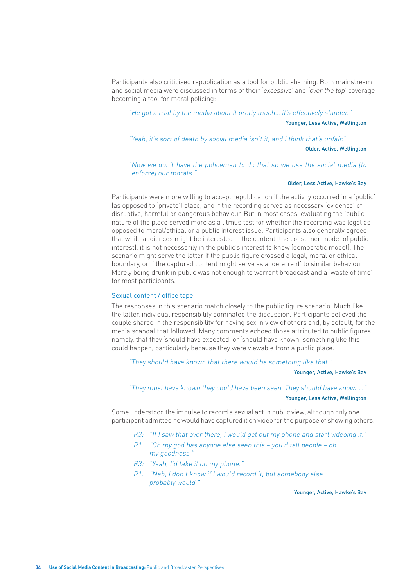Participants also criticised republication as a tool for public shaming. Both mainstream and social media were discussed in terms of their 'excessive' and 'over the top' coverage becoming a tool for moral policing:

"He got a trial by the media about it pretty much… it's effectively slander." Younger, Less Active, Wellington

"Yeah, it's sort of death by social media isn't it, and I think that's unfair."

Older, Active, Wellington

"Now we don't have the policemen to do that so we use the social media [to enforce] our morals."

#### Older, Less Active, Hawke's Bay

Participants were more willing to accept republication if the activity occurred in a 'public' (as opposed to 'private') place, and if the recording served as necessary 'evidence' of disruptive, harmful or dangerous behaviour. But in most cases, evaluating the 'public' nature of the place served more as a litmus test for whether the recording was legal as opposed to moral/ethical or a public interest issue. Participants also generally agreed that while audiences might be interested in the content (the consumer model of public interest), it is not necessarily in the public's interest to know (democratic model). The scenario might serve the latter if the public figure crossed a legal, moral or ethical boundary, or if the captured content might serve as a 'deterrent' to similar behaviour. Merely being drunk in public was not enough to warrant broadcast and a 'waste of time' for most participants.

#### Sexual content / office tape

The responses in this scenario match closely to the public figure scenario. Much like the latter, individual responsibility dominated the discussion. Participants believed the couple shared in the responsibility for having sex in view of others and, by default, for the media scandal that followed. Many comments echoed those attributed to public figures; namely, that they 'should have expected' or 'should have known' something like this could happen, particularly because they were viewable from a public place.

"They should have known that there would be something like that."

#### Younger, Active, Hawke's Bay

"They must have known they could have been seen. They should have known…" Younger, Less Active, Wellington

Some understood the impulse to record a sexual act in public view, although only one participant admitted he would have captured it on video for the purpose of showing others.

- R3: "If I saw that over there, I would get out my phone and start videoing it."
- R1: "Oh my god has anyone else seen this you'd tell people oh my goodness."
- R3: "Yeah, I'd take it on my phone."
- R1: "Nah, I don't know if I would record it, but somebody else probably would."

Younger, Active, Hawke's Bay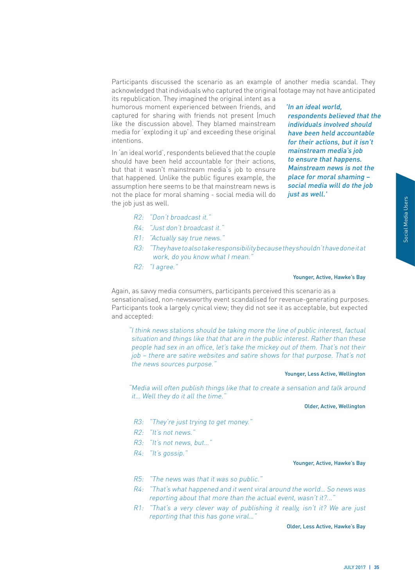Participants discussed the scenario as an example of another media scandal. They acknowledged that individuals who captured the original footage may not have anticipated its republication. They imagined the original intent as a

humorous moment experienced between friends, and captured for sharing with friends not present (much like the discussion above). They blamed mainstream media for 'exploding it up' and exceeding these original intentions.

In 'an ideal world', respondents believed that the couple should have been held accountable for their actions, but that it wasn't mainstream media's job to ensure that happened. Unlike the public figures example, the assumption here seems to be that mainstream news is not the place for moral shaming - social media will do the job just as well.

'In an ideal world, respondents believed that the individuals involved should have been held accountable for their actions, but it isn't mainstream media's job to ensure that happens. Mainstream news is not the place for moral shaming – social media will do the job just as well.'

- R2: "Don't broadcast it."
- R4: "Just don't broadcast it."
- R1: "Actually say true news."
- R3: "They have to also take responsibility because they shouldn't have done it at work, do you know what I mean."
- R2: "I agree."

#### Younger, Active, Hawke's Bay

Again, as savvy media consumers, participants perceived this scenario as a sensationalised, non-newsworthy event scandalised for revenue-generating purposes. Participants took a largely cynical view; they did not see it as acceptable, but expected and accepted:

Social Material Science<br>
Understandand<br>
Understandand<br>
Social Media Users of their<br>
at's not<br>
ellington<br>
around<br>
ellington<br>
around<br>
ellington<br>
We's Bay<br>
We's Bay<br>
We's Bay<br>
We's Bay<br>
JULY 2017 | 35 "I think news stations should be taking more the line of public interest, factual situation and things like that that are in the public interest. Rather than these people had sex in an office, let's take the mickey out of them. That's not their job – there are satire websites and satire shows for that purpose. That's not the news sources purpose."

#### Younger, Less Active, Wellington

"Media will often publish things like that to create a sensation and talk around it… Well they do it all the time."

Older, Active, Wellington

- R3: "They're just trying to get money."
- R2: "It's not news."
- R3: "It's not news, but…"
- R4: "It's gossip."

#### Younger, Active, Hawke's Bay

- R5: "The news was that it was so public."
- R4: "That's what happened and it went viral around the world… So news was reporting about that more than the actual event, wasn't it?...'
- R1: "That's a very clever way of publishing it really, isn't it? We are just reporting that this has gone viral…"

Older, Less Active, Hawke's Bay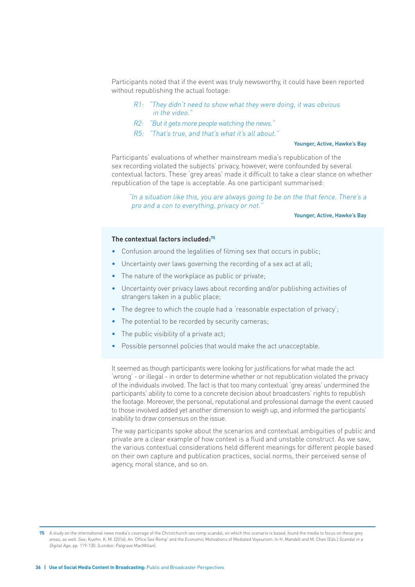Participants noted that if the event was truly newsworthy, it could have been reported without republishing the actual footage:

- R1: "They didn't need to show what they were doing, it was obvious in the video."
- R2: "But it gets more people watching the news."
- R5: "That's true, and that's what it's all about."

#### Younger, Active, Hawke's Bay

Participants' evaluations of whether mainstream media's republication of the sex recording violated the subjects' privacy, however, were confounded by several contextual factors. These 'grey areas' made it difficult to take a clear stance on whether republication of the tape is acceptable. As one participant summarised:

"In a situation like this, you are always going to be on the that fence. There's a pro and a con to everything, privacy or not."

#### Younger, Active, Hawke's Bay

#### **The contextual factors included:75**

- Confusion around the legalities of filming sex that occurs in public;
- Uncertainty over laws governing the recording of a sex act at all:
- The nature of the workplace as public or private;
- Uncertainty over privacy laws about recording and/or publishing activities of strangers taken in a public place;
- The degree to which the couple had a 'reasonable expectation of privacy';
- The potential to be recorded by security cameras;
- The public visibility of a private act:
- Possible personnel policies that would make the act unacceptable.

It seemed as though participants were looking for justifications for what made the act 'wrong' - or illegal - in order to determine whether or not republication violated the privacy of the individuals involved. The fact is that too many contextual 'grey areas' undermined the participants' ability to come to a concrete decision about broadcasters' rights to republish the footage. Moreover, the personal, reputational and professional damage the event caused to those involved added yet another dimension to weigh up, and informed the participants' inability to draw consensus on the issue.

The way participants spoke about the scenarios and contextual ambiguities of public and private are a clear example of how context is a fluid and unstable construct. As we saw, the various contextual considerations held different meanings for different people based on their own capture and publication practices, social norms, their perceived sense of agency, moral stance, and so on.

**<sup>75</sup>** A study on the international news media's coverage of the Christchurch sex romp scandal, on which this scenario is based, found the media to focus on these grey areas, as well. See: Kuehn, K. M. (2016). An 'Office Sex Romp' and the Economic Motivations of Mediated Voyeurism. In H. Mandell and M. Chen (Eds.) Scandal in a Digital Age, pp. 119-130. (London: Palgrave MacMillan).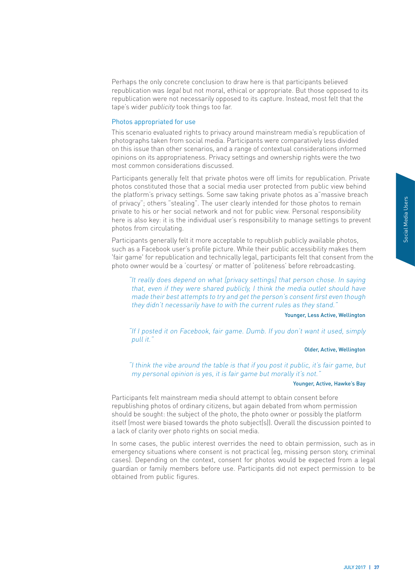Perhaps the only concrete conclusion to draw here is that participants believed republication was legal but not moral, ethical or appropriate. But those opposed to its republication were not necessarily opposed to its capture. Instead, most felt that the tape's wider publicity took things too far.

# Photos appropriated for use

This scenario evaluated rights to privacy around mainstream media's republication of photographs taken from social media. Participants were comparatively less divided on this issue than other scenarios, and a range of contextual considerations informed opinions on its appropriateness. Privacy settings and ownership rights were the two most common considerations discussed.

Participants generally felt that private photos were off limits for republication. Private photos constituted those that a social media user protected from public view behind the platform's privacy settings. Some saw taking private photos as a"massive breach of privacy"; others "stealing". The user clearly intended for those photos to remain private to his or her social network and not for public view. Personal responsibility here is also key: it is the individual user's responsibility to manage settings to prevent photos from circulating.

Participants generally felt it more acceptable to republish publicly available photos, such as a Facebook user's profile picture. While their public accessibility makes them 'fair game' for republication and technically legal, participants felt that consent from the photo owner would be a 'courtesy' or matter of 'politeness' before rebroadcasting.

"It really does depend on what [privacy settings] that person chose. In saying that, even if they were shared publicly, I think the media outlet should have made their best attempts to try and get the person's consent first even though they didn't necessarily have to with the current rules as they stand."

#### Younger, Less Active, Wellington

"If I posted it on Facebook, fair game. Dumb. If you don't want it used, simply pull it."

# Older, Active, Wellington

"I think the vibe around the table is that if you post it public, it's fair game, but my personal opinion is yes, it is fair game but morally it's not."

#### Younger, Active, Hawke's Bay

Participants felt mainstream media should attempt to obtain consent before republishing photos of ordinary citizens, but again debated from whom permission should be sought: the subject of the photo, the photo owner or possibly the platform itself (most were biased towards the photo subject(s)). Overall the discussion pointed to a lack of clarity over photo rights on social media.

**Example 12**<br> **Example 12**<br> **Social Media Users of the Control of the Control of the Control of the Control of Contraction<br>
<b>Examply**<br> **Examply**<br> **Ellington**<br> **Social Media Users Say**<br> **Social Media Users Say**<br> **Social Med** In some cases, the public interest overrides the need to obtain permission, such as in emergency situations where consent is not practical (eg, missing person story, criminal cases). Depending on the context, consent for photos would be expected from a legal guardian or family members before use. Participants did not expect permission to be obtained from public figures.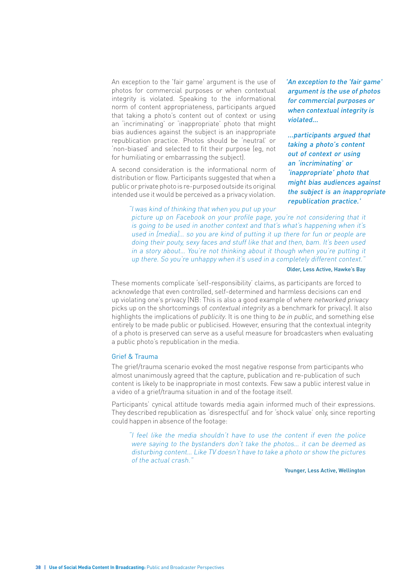An exception to the 'fair game' argument is the use of photos for commercial purposes or when contextual integrity is violated. Speaking to the informational norm of content appropriateness, participants argued that taking a photo's content out of context or using an 'incriminating' or 'inappropriate' photo that might bias audiences against the subject is an inappropriate republication practice. Photos should be 'neutral' or 'non-biased' and selected to fit their purpose (eg, not for humiliating or embarrassing the subject).

A second consideration is the informational norm of distribution or flow. Participants suggested that when a public or private photo is re-purposed outside its original intended use it would be perceived as a privacy violation.

'An exception to the 'fair game' argument is the use of photos for commercial purposes or when contextual integrity is violated...

...participants argued that taking a photo's content out of context or using an 'incriminating' or 'inappropriate' photo that might bias audiences against the subject is an inappropriate republication practice.'

"I was kind of thinking that when you put up your picture up on Facebook on your profile page, you're not considering that it is going to be used in another context and that's what's happening when it's used in [media]… so you are kind of putting it up there for fun or people are doing their pouty, sexy faces and stuff like that and then, bam. It's been used in a story about… You're not thinking about it though when you're putting it up there. So you're unhappy when it's used in a completely different context."

#### Older, Less Active, Hawke's Bay

These moments complicate 'self-responsibility' claims, as participants are forced to acknowledge that even controlled, self-determined and harmless decisions can end up violating one's privacy (NB: This is also a good example of where networked privacy picks up on the shortcomings of contextual integrity as a benchmark for privacy). It also highlights the implications of publicity. It is one thing to be in public, and something else entirely to be made public or publicised. However, ensuring that the contextual integrity of a photo is preserved can serve as a useful measure for broadcasters when evaluating a public photo's republication in the media.

## Grief & Trauma

The grief/trauma scenario evoked the most negative response from participants who almost unanimously agreed that the capture, publication and re-publication of such content is likely to be inappropriate in most contexts. Few saw a public interest value in a video of a grief/trauma situation in and of the footage itself.

Participants' cynical attitude towards media again informed much of their expressions. They described republication as 'disrespectful' and for 'shock value' only, since reporting could happen in absence of the footage:

"I feel like the media shouldn't have to use the content if even the police were saying to the bystanders don't take the photos… it can be deemed as disturbing content… Like TV doesn't have to take a photo or show the pictures of the actual crash."

Younger, Less Active, Wellington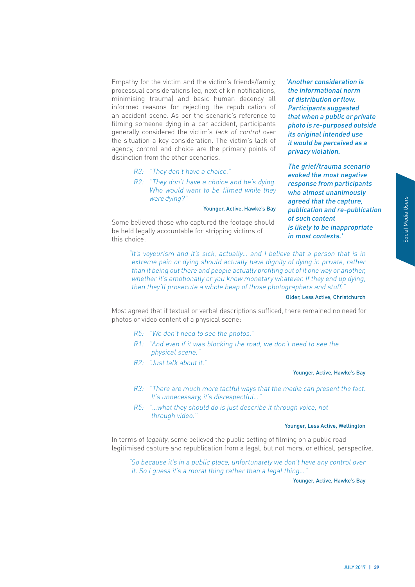Empathy for the victim and the victim's friends/family, processual considerations (eg, next of kin notifications, minimising trauma) and basic human decency all informed reasons for rejecting the republication of an accident scene. As per the scenario's reference to filming someone dying in a car accident, participants generally considered the victim's lack of control over the situation a key consideration. The victim's lack of agency, control and choice are the primary points of distinction from the other scenarios.

- R3: "They don't have a choice."
- R2: "They don't have a choice and he's dying. Who would want to be filmed while they were dying?"

#### Younger, Active, Hawke's Bay

Some believed those who captured the footage should be held legally accountable for stripping victims of this choice:

'Another consideration is the informational norm of distribution or flow. Participants suggested that when a public or private photo is re-purposed outside its original intended use it would be perceived as a privacy violation.

JULY 2017 **| 39** Social Media Users The grief/trauma scenario evoked the most negative response from participants who almost unanimously agreed that the capture, publication and re-publication of such content is likely to be inappropriate in most contexts.'

"It's voyeurism and it's sick, actually… and I believe that a person that is in extreme pain or dying should actually have dignity of dying in private, rather than it being out there and people actually profiting out of it one way or another, whether it's emotionally or you know monetary whatever. If they end up dying, then they'll prosecute a whole heap of those photographers and stuff."

## Older, Less Active, Christchurch

Most agreed that if textual or verbal descriptions sufficed, there remained no need for photos or video content of a physical scene:

- R5: "We don't need to see the photos."
- R1: "And even if it was blocking the road, we don't need to see the physical scene."
- R2: "Just talk about it."

#### Younger, Active, Hawke's Bay

- R3: "There are much more tactful ways that the media can present the fact. It's unnecessary, it's disrespectful...'
- R5: "…what they should do is just describe it through voice, not through video."

#### Younger, Less Active, Wellington

In terms of legality, some believed the public setting of filming on a public road legitimised capture and republication from a legal, but not moral or ethical, perspective.

"So because it's in a public place, unfortunately we don't have any control over it. So I guess it's a moral thing rather than a legal thing…"

Younger, Active, Hawke's Bay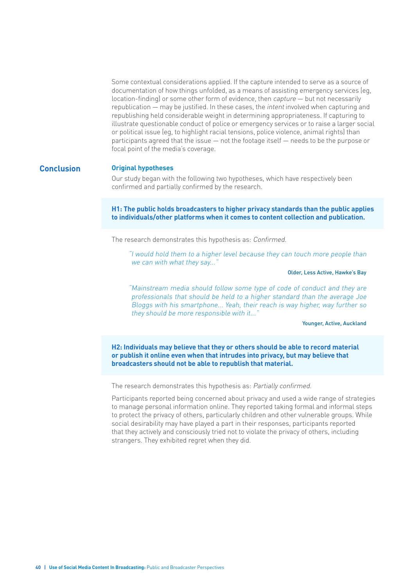Some contextual considerations applied. If the capture intended to serve as a source of documentation of how things unfolded, as a means of assisting emergency services (eg, location-finding) or some other form of evidence, then capture — but not necessarily republication — may be justified. In these cases, the intent involved when capturing and republishing held considerable weight in determining appropriateness. If capturing to illustrate questionable conduct of police or emergency services or to raise a larger social or political issue (eg, to highlight racial tensions, police violence, animal rights) than participants agreed that the issue — not the footage itself — needs to be the purpose or focal point of the media's coverage.

# **Conclusion Original hypotheses**

Our study began with the following two hypotheses, which have respectively been confirmed and partially confirmed by the research.

**H1: The public holds broadcasters to higher privacy standards than the public applies to individuals/other platforms when it comes to content collection and publication.** 

The research demonstrates this hypothesis as: Confirmed.

"I would hold them to a higher level because they can touch more people than we can with what they say..."

Older, Less Active, Hawke's Bay

"Mainstream media should follow some type of code of conduct and they are professionals that should be held to a higher standard than the average Joe Bloggs with his smartphone... Yeah, their reach is way higher, way further so they should be more responsible with it..."

#### Younger, Active, Auckland

**H2: Individuals may believe that they or others should be able to record material or publish it online even when that intrudes into privacy, but may believe that broadcasters should not be able to republish that material.**

The research demonstrates this hypothesis as: Partially confirmed.

Participants reported being concerned about privacy and used a wide range of strategies to manage personal information online. They reported taking formal and informal steps to protect the privacy of others, particularly children and other vulnerable groups. While social desirability may have played a part in their responses, participants reported that they actively and consciously tried not to violate the privacy of others, including strangers. They exhibited regret when they did.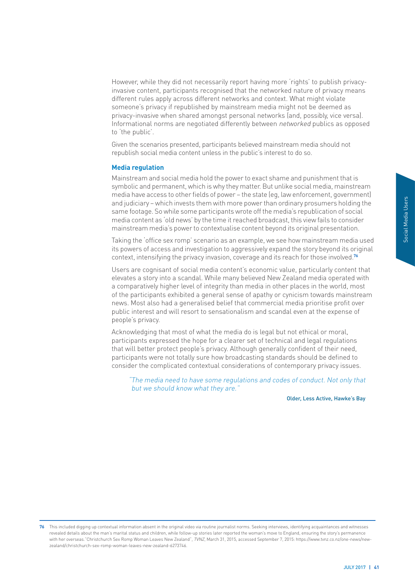However, while they did not necessarily report having more 'rights' to publish privacyinvasive content, participants recognised that the networked nature of privacy means different rules apply across different networks and context. What might violate someone's privacy if republished by mainstream media might not be deemed as privacy-invasive when shared amongst personal networks (and, possibly, vice versa). Informational norms are negotiated differently between networked publics as opposed to 'the public'.

Given the scenarios presented, participants believed mainstream media should not republish social media content unless in the public's interest to do so.

#### **Media regulation**

Mainstream and social media hold the power to exact shame and punishment that is symbolic and permanent, which is why they matter. But unlike social media, mainstream media have access to other fields of power – the state (eg, law enforcement, government) and judiciary – which invests them with more power than ordinary prosumers holding the same footage. So while some participants wrote off the media's republication of social media content as 'old news' by the time it reached broadcast, this view fails to consider mainstream media's power to contextualise content beyond its original presentation.

Taking the 'office sex romp' scenario as an example, we see how mainstream media used its powers of access and investigation to aggressively expand the story beyond its original context, intensifying the privacy invasion, coverage and its reach for those involved.**<sup>76</sup>**

ordination<br>
olding the<br>
social<br>
onsider<br>
ation.<br>
andia used<br>
that that<br>
d, most<br>
intent that<br>
d, most<br>
intense of<br>
al,<br>
tions<br>
aread,<br>
ed, to<br>
ed, to<br>
sures,<br>
my that<br>
whe's Bay<br>
my that<br>
whe's Bay<br>
ma witnesses<br>
ermanned, Users are cognisant of social media content's economic value, particularly content that elevates a story into a scandal. While many believed New Zealand media operated with a comparatively higher level of integrity than media in other places in the world, most of the participants exhibited a general sense of apathy or cynicism towards mainstream news. Most also had a generalised belief that commercial media prioritise profit over public interest and will resort to sensationalism and scandal even at the expense of people's privacy.

Acknowledging that most of what the media do is legal but not ethical or moral, participants expressed the hope for a clearer set of technical and legal regulations that will better protect people's privacy. Although generally confident of their need, participants were not totally sure how broadcasting standards should be defined to consider the complicated contextual considerations of contemporary privacy issues.

"The media need to have some regulations and codes of conduct. Not only that but we should know what they are."

Older, Less Active, Hawke's Bay

**<sup>76</sup>** This included digging up contextual information absent in the original video via routine journalist norms. Seeking interviews, identifying acquaintances and witnesses revealed details about the man's marital status and children, while follow-up stories later reported the woman's move to England, ensuring the story's permanence with her overseas."Christchurch Sex Romp Woman Leaves New Zealand", TVNZ, March 31, 2015, accessed September 7, 2015: https://www.tvnz.co.nz/one-news/new zealand/christchurch-sex-romp-woman-leaves-new-zealand-6273746.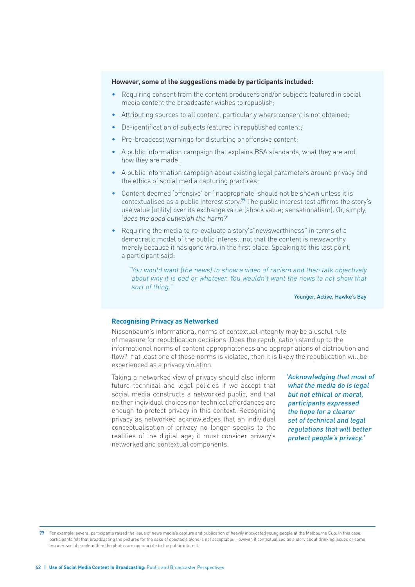### **However, some of the suggestions made by participants included:**

- Requiring consent from the content producers and/or subjects featured in social media content the broadcaster wishes to republish;
- Attributing sources to all content, particularly where consent is not obtained;
- De-identification of subjects featured in republished content;
- Pre-broadcast warnings for disturbing or offensive content;
- A public information campaign that explains BSA standards, what they are and how they are made;
- A public information campaign about existing legal parameters around privacy and the ethics of social media capturing practices;
- Content deemed 'offensive' or 'inappropriate' should not be shown unless it is contextualised as a public interest story.**77** The public interest test affirms the story's use value (utility) over its exchange value (shock value; sensationalism). Or, simply, 'does the good outweigh the harm?'
- Requiring the media to re-evaluate a story's"newsworthiness" in terms of a democratic model of the public interest, not that the content is newsworthy merely because it has gone viral in the first place. Speaking to this last point, a participant said:

"You would want [the news] to show a video of racism and then talk objectively about why it is bad or whatever. You wouldn't want the news to not show that sort of thing."

Younger, Active, Hawke's Bay

#### **Recognising Privacy as Networked**

Nissenbaum's informational norms of contextual integrity may be a useful rule of measure for republication decisions. Does the republication stand up to the informational norms of content appropriateness and appropriations of distribution and flow? If at least one of these norms is violated, then it is likely the republication will be experienced as a privacy violation.

Taking a networked view of privacy should also inform future technical and legal policies if we accept that social media constructs a networked public, and that neither individual choices nor technical affordances are enough to protect privacy in this context. Recognising privacy as networked acknowledges that an individual conceptualisation of privacy no longer speaks to the realities of the digital age; it must consider privacy's networked and contextual components.

'Acknowledging that most of what the media do is legal but not ethical or moral, participants expressed the hope for a clearer set of technical and legal regulations that will better protect people's privacy.'

**<sup>77</sup>** For example, several participants raised the issue of news media's capture and publication of heavily intoxicated young people at the Melbourne Cup. In this case, participants felt that broadcasting the pictures for the sake of spectacle alone is not acceptable. However, if contextualised as a story about drinking issues or some broader social problem then the photos are appropriate to the public interest.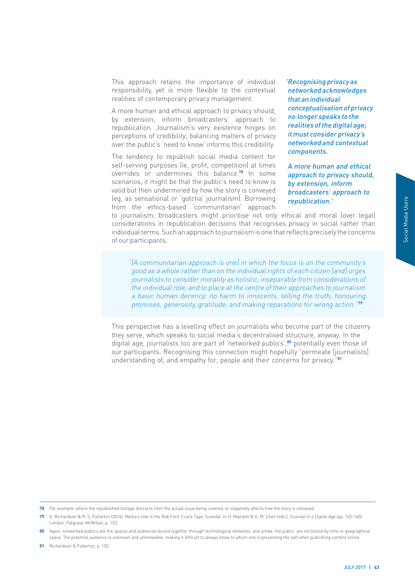This approach retains the importance of individual responsibility, yet is more flexible to the contextual realities of contemporary privacy management.

A more human and ethical approach to privacy should, by extension, inform broadcasters' approach to republication. Journalism's very existence hinges on perceptions of credibility; balancing matters of privacy over the public's 'need to know' informs this credibility.

The tendency to republish social media content for self-serving purposes (ie, profit, competition) at times overrides or undermines this balance.**78** In some scenarios, it might be that the public's need to know is valid but then undermined by how the story is conveyed (eg, as sensational or 'gotcha' journalism). Borrowing from the ethics-based 'communitarian' approach 'Recognising privacy as networked acknowledges that an individual conceptualisation of privacy no longer speaks to the realities of the digital age; it must consider privacy's networked and contextual components.

A more human and ethical approach to privacy should, by extension, inform broadcasters' approach to republication.'

to journalism, broadcasters might prioritise not only ethical and moral (over legal) considerations in republication decisions that recognises privacy in social rather than individual terms. Such an approach to journalism is one that reflects precisely the concerns of our participants.

"[A communitarian approach is one] in which the focus is on the community's good as a whole rather than on the individual rights of each citizen [and] urges journalists to consider morality as holistic, inseparable from considerations of the individual role, and to place at the centre of their approaches to journalism a basic human decency: no harm to innocents, telling the truth, honouring promises, generosity, gratitude, and making reparations for wrong action."**<sup>79</sup>**

over legal)<br>ather than<br>e concerns<br>munity's<br>flurges<br>tions of<br>malism<br>concerns<br>citizenry<br>In the<br>citizenry<br>In the<br>those of<br>rraalists]<br>JULY 2017 | 43<br>JULY 2017 | 43 This perspective has a levelling effect on journalists who become part of the citizenry they serve, which speaks to social media's decentralised structure, anyway. In the digital age, journalists too are part of 'networked publics',**80** potentially even those of our participants. Recognising this connection might hopefully "permeate [journalists] understanding of, and empathy for, people and their concerns for privacy."**<sup>81</sup>**

**79** G. Richardson & R. S. Fullerton (2016). Media's role in the Rob Ford 'Crack Tape' Scandal. In H. Mandell & G. M. Chen (eds.), Scandal in a Digital Age (pp. 145-160). London: Palgrave-McMillan, p. 153.

**80** Again, networked publics are the spaces and audiences bound together through technological networks, and unlike 'the public' are not bound by time or geographical space. The potential audience is unknown and unknowable, making it difficult to always know to whom one is presenting the self when publishing content online.

**81** Richardson & Fullerton, p. 153.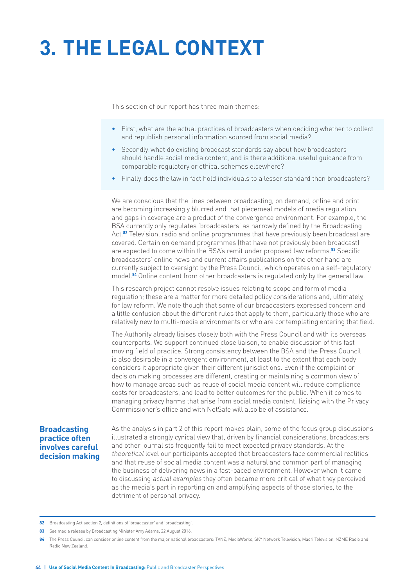# **3. THE LEGAL CONTEXT**

This section of our report has three main themes:

- First, what are the actual practices of broadcasters when deciding whether to collect and republish personal information sourced from social media?
- Secondly, what do existing broadcast standards say about how broadcasters should handle social media content, and is there additional useful guidance from comparable regulatory or ethical schemes elsewhere?
- Finally, does the law in fact hold individuals to a lesser standard than broadcasters?

We are conscious that the lines between broadcasting, on demand, online and print are becoming increasingly blurred and that piecemeal models of media regulation and gaps in coverage are a product of the convergence environment. For example, the BSA currently only regulates 'broadcasters' as narrowly defined by the Broadcasting Act.**82** Television, radio and online programmes that have previously been broadcast are covered. Certain on demand programmes (that have not previously been broadcast) are expected to come within the BSA's remit under proposed law reforms.**83** Specific broadcasters' online news and current affairs publications on the other hand are currently subject to oversight by the Press Council, which operates on a self-regulatory model.**84** Online content from other broadcasters is regulated only by the general law.

This research project cannot resolve issues relating to scope and form of media regulation; these are a matter for more detailed policy considerations and, ultimately, for law reform. We note though that some of our broadcasters expressed concern and a little confusion about the different rules that apply to them, particularly those who are relatively new to multi-media environments or who are contemplating entering that field.

The Authority already liaises closely both with the Press Council and with its overseas counterparts. We support continued close liaison, to enable discussion of this fast moving field of practice. Strong consistency between the BSA and the Press Council is also desirable in a convergent environment, at least to the extent that each body considers it appropriate given their different jurisdictions. Even if the complaint or decision making processes are different, creating or maintaining a common view of how to manage areas such as reuse of social media content will reduce compliance costs for broadcasters, and lead to better outcomes for the public. When it comes to managing privacy harms that arise from social media content, liaising with the Privacy Commissioner's office and with NetSafe will also be of assistance.

# **Broadcasting practice often involves careful decision making**

As the analysis in part 2 of this report makes plain, some of the focus group discussions illustrated a strongly cynical view that, driven by financial considerations, broadcasters and other journalists frequently fail to meet expected privacy standards. At the theoretical level our participants accepted that broadcasters face commercial realities and that reuse of social media content was a natural and common part of managing the business of delivering news in a fast-paced environment. However when it came to discussing actual examples they often became more critical of what they perceived as the media's part in reporting on and amplifying aspects of those stories, to the detriment of personal privacy.

**<sup>82</sup>** Broadcasting Act section 2, definitions of 'broadcaster' and 'broadcasting'.

**<sup>83</sup>** See media release by Broadcasting Minister Amy Adams, 22 August 2016.

**<sup>84</sup>** The Press Council can consider online content from the major national broadcasters: TVNZ, MediaWorks, SKY Network Television, Māori Television, NZME Radio and Radio New Zealand.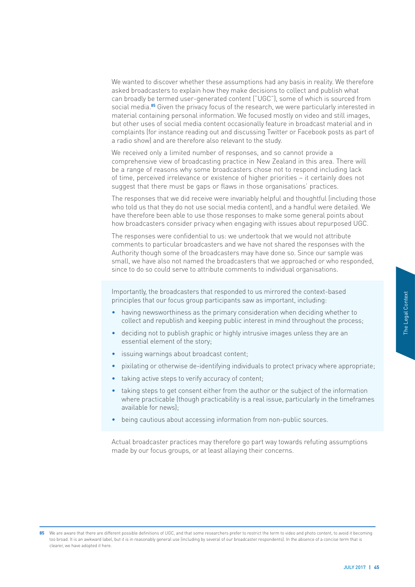We wanted to discover whether these assumptions had any basis in reality. We therefore asked broadcasters to explain how they make decisions to collect and publish what can broadly be termed user-generated content ("UGC"), some of which is sourced from social media.**85** Given the privacy focus of the research, we were particularly interested in material containing personal information. We focused mostly on video and still images, but other uses of social media content occasionally feature in broadcast material and in complaints (for instance reading out and discussing Twitter or Facebook posts as part of a radio show) and are therefore also relevant to the study.

We received only a limited number of responses, and so cannot provide a comprehensive view of broadcasting practice in New Zealand in this area. There will be a range of reasons why some broadcasters chose not to respond including lack of time, perceived irrelevance or existence of higher priorities – it certainly does not suggest that there must be gaps or flaws in those organisations' practices.

The responses that we did receive were invariably helpful and thoughtful (including those who told us that they do not use social media content), and a handful were detailed. We have therefore been able to use those responses to make some general points about how broadcasters consider privacy when engaging with issues about repurposed UGC.

The responses were confidential to us: we undertook that we would not attribute comments to particular broadcasters and we have not shared the responses with the Authority though some of the broadcasters may have done so. Since our sample was small, we have also not named the broadcasters that we approached or who responded, since to do so could serve to attribute comments to individual organisations.

Importantly, the broadcasters that responded to us mirrored the context-based principles that our focus group participants saw as important, including:

- having newsworthiness as the primary consideration when deciding whether to collect and republish and keeping public interest in mind throughout the process;
- deciding not to publish graphic or highly intrusive images unless they are an essential element of the story;
- issuing warnings about broadcast content:
- pixilating or otherwise de-identifying individuals to protect privacy where appropriate;
- taking active steps to verify accuracy of content;
- Figures to the Context of Context of Context of Context of Context of Context of Context of Context of Context of Context of Context of Context of Context of Context of Context of Context of Context of Context of Context o • taking steps to get consent either from the author or the subject of the information where practicable (though practicability is a real issue, particularly in the timeframes available for news);
- being cautious about accessing information from non-public sources.

Actual broadcaster practices may therefore go part way towards refuting assumptions made by our focus groups, or at least allaying their concerns.

**85** We are aware that there are different possible definitions of UGC, and that some researchers prefer to restrict the term to video and photo content, to avoid it becoming too broad. It is an awkward label, but it is in reasonably general use (including by several of our broadcaster respondents). In the absence of a concise term that is clearer, we have adopted it here.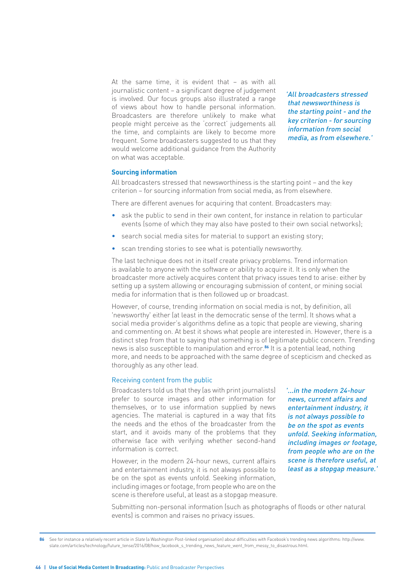At the same time, it is evident that – as with all journalistic content – a significant degree of judgement is involved. Our focus groups also illustrated a range of views about how to handle personal information. Broadcasters are therefore unlikely to make what people might perceive as the 'correct' judgements all the time, and complaints are likely to become more frequent. Some broadcasters suggested to us that they would welcome additional guidance from the Authority on what was acceptable.

'All broadcasters stressed that newsworthiness is the starting point - and the key criterion - for sourcing information from social media, as from elsewhere.'

#### **Sourcing information**

All broadcasters stressed that newsworthiness is the starting point – and the key criterion – for sourcing information from social media, as from elsewhere.

There are different avenues for acquiring that content. Broadcasters may:

- ask the public to send in their own content, for instance in relation to particular events (some of which they may also have posted to their own social networks);
- search social media sites for material to support an existing story;
- scan trending stories to see what is potentially newsworthy.

The last technique does not in itself create privacy problems. Trend information is available to anyone with the software or ability to acquire it. It is only when the broadcaster more actively acquires content that privacy issues tend to arise: either by setting up a system allowing or encouraging submission of content, or mining social media for information that is then followed up or broadcast.

However, of course, trending information on social media is not, by definition, all 'newsworthy' either (at least in the democratic sense of the term). It shows what a social media provider's algorithms define as a topic that people are viewing, sharing and commenting on. At best it shows what people are interested in. However, there is a distinct step from that to saying that something is of legitimate public concern. Trending news is also susceptible to manipulation and error.**86** It is a potential lead, nothing more, and needs to be approached with the same degree of scepticism and checked as thoroughly as any other lead.

#### Receiving content from the public

Broadcasters told us that they (as with print journalists) prefer to source images and other information for themselves, or to use information supplied by news agencies. The material is captured in a way that fits the needs and the ethos of the broadcaster from the start, and it avoids many of the problems that they otherwise face with verifying whether second-hand information is correct.

However, in the modern 24-hour news, current affairs and entertainment industry, it is not always possible to be on the spot as events unfold. Seeking information, including images or footage, from people who are on the scene is therefore useful, at least as a stopgap measure. '...in the modern 24-hour news, current affairs and entertainment industry, it is not always possible to be on the spot as events unfold. Seeking information, including images or footage, from people who are on the scene is therefore useful, at least as a stopgap measure.'

Submitting non-personal information (such as photographs of floods or other natural events) is common and raises no privacy issues.

**<sup>86</sup>** See for instance a relatively recent article in Slate (a Washington Post-linked organisation) about difficulties with Facebook's trending news algorithms: http://www. slate.com/articles/technology/future\_tense/2016/08/how\_facebook\_s\_trending\_news\_feature\_went\_from\_messy\_to\_disastrous.html.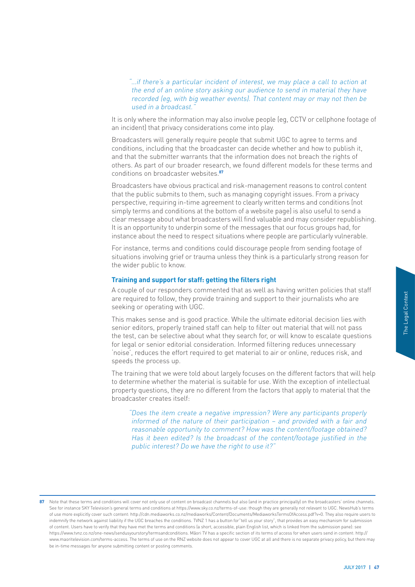"…if there's a particular incident of interest, we may place a call to action at the end of an online story asking our audience to send in material they have recorded (eg, with big weather events). That content may or may not then be used in a broadcast."

It is only where the information may also involve people (eg, CCTV or cellphone footage of an incident) that privacy considerations come into play.

Broadcasters will generally require people that submit UGC to agree to terms and conditions, including that the broadcaster can decide whether and how to publish it, and that the submitter warrants that the information does not breach the rights of others. As part of our broader research, we found different models for these terms and conditions on broadcaster websites.**<sup>87</sup>**

Broadcasters have obvious practical and risk-management reasons to control content that the public submits to them, such as managing copyright issues. From a privacy perspective, requiring in-time agreement to clearly written terms and conditions (not simply terms and conditions at the bottom of a website page) is also useful to send a clear message about what broadcasters will find valuable and may consider republishing. It is an opportunity to underpin some of the messages that our focus groups had, for instance about the need to respect situations where people are particularly vulnerable.

For instance, terms and conditions could discourage people from sending footage of situations involving grief or trauma unless they think is a particularly strong reason for the wider public to know.

## **Training and support for staff: getting the filters right**

A couple of our responders commented that as well as having written policies that staff are required to follow, they provide training and support to their journalists who are seeking or operating with UGC.

This makes sense and is good practice. While the ultimate editorial decision lies with senior editors, properly trained staff can help to filter out material that will not pass the test, can be selective about what they search for, or will know to escalate questions for legal or senior editorial consideration. Informed filtering reduces unnecessary 'noise', reduces the effort required to get material to air or online, reduces risk, and speeds the process up.

The training that we were told about largely focuses on the different factors that will help to determine whether the material is suitable for use. With the exception of intellectual property questions, they are no different from the factors that apply to material that the broadcaster creates itself:

"Does the item create a negative impression? Were any participants properly informed of the nature of their participation – and provided with a fair and reasonable opportunity to comment? How was the content/footage obtained? Has it been edited? Is the broadcast of the content/footage justified in the public interest? Do we have the right to use it?"

o are<br>
ies with<br>
o are<br>
ies with<br>
the pass<br>
questions<br>
sary<br>
k, and<br>
at will help<br>
tellectual<br>
l that the<br>
properly<br>
fair and<br>
tained?<br>
In the<br>
properly<br>
fair and<br>
tained?<br>
in the<br>
multiple is terms<br>
require users to<br>
for 87 Note that these terms and conditions will cover not only use of content on broadcast channels but also (and in practice principally) on the broadcasters' online channels. See for instance SKY Television's general terms and conditions at https://www.sky.co.nz/terms-of-use: though they are generally not relevant to UGC. NewsHub's terms of use more explicitly cover such content: http://cdn.mediaworks.co.nz/mediaworks/Content/Documents/MediaworksTermsOfAccess.pdf?v=0. They also require users to indemnify the network against liability if the UGC breaches the conditions. TVNZ 1 has a button for"tell us your story", that provides an easy mechanism for submission of content. Users have to verify that they have met the terms and conditions (a short, accessible, plain English list, which is linked from the submission pane): see https://www.tvnz.co.nz/one-news/sendusyourstory/termsandconditions. Māori TV has a specific section of its terms of access for when users send in content: http:// www.maoritelevision.com/terms-access. The terms of use on the RNZ website does not appear to cover UGC at all and there is no separate privacy policy, but there may be in-time messages for anyone submitting content or posting comments.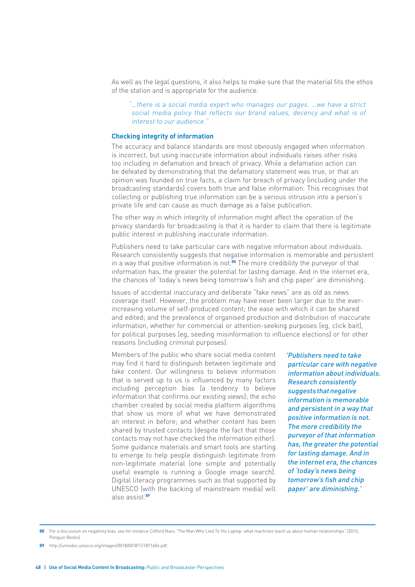As well as the legal questions, it also helps to make sure that the material fits the ethos of the station and is appropriate for the audience:

"…there is a social media expert who manages our pages. …we have a strict social media policy that reflects our brand values, decency and what is of interest to our audience."

#### **Checking integrity of information**

The accuracy and balance standards are most obviously engaged when information is incorrect, but using inaccurate information about individuals raises other risks too including in defamation and breach of privacy. While a defamation action can be defeated by demonstrating that the defamatory statement was true, or that an opinion was founded on true facts, a claim for breach of privacy (including under the broadcasting standards) covers both true and false information. This recognises that collecting or publishing true information can be a serious intrusion into a person's private life and can cause as much damage as a false publication.

The other way in which integrity of information might affect the operation of the privacy standards for broadcasting is that it is harder to claim that there is legitimate public interest in publishing inaccurate information.

Publishers need to take particular care with negative information about individuals. Research consistently suggests that negative information is memorable and persistent in a way that positive information is not.**88** The more credibility the purveyor of that information has, the greater the potential for lasting damage. And in the internet era, the chances of 'today's news being tomorrow's fish and chip paper' are diminishing.

Issues of accidental inaccuracy and deliberate "fake news" are as old as news coverage itself. However, the problem may have never been larger due to the everincreasing volume of self-produced content; the ease with which it can be shared and edited; and the prevalence of organised production and distribution of inaccurate information, whether for commercial or attention-seeking purposes (eg, click bait), for political purposes (eg, seeding misinformation to influence elections) or for other reasons (including criminal purposes).

Members of the public who share social media content may find it hard to distinguish between legitimate and fake content. Our willingness to believe information that is served up to us is influenced by many factors including perception bias (a tendency to believe information that confirms our existing views); the echo chamber created by social media platform algorithms that show us more of what we have demonstrated an interest in before; and whether content has been shared by trusted contacts (despite the fact that those contacts may not have checked the information either). Some guidance materials and smart tools are starting to emerge to help people distinguish legitimate from non-legitimate material (one simple and potentially useful example is running a Google image search). Digital literacy programmes such as that supported by UNESCO (with the backing of mainstream media) will also assist.**<sup>89</sup>**

'Publishers need to take particular care with negative information about individuals. Research consistently suggests that negative information is memorable and persistent in a way that positive information is not. The more credibility the purveyor of that information has, the greater the potential for lasting damage. And in the internet era, the chances of 'today's news being tomorrow's fish and chip paper' are diminishing.'

**<sup>88</sup>** For a discussion on negativity bias, see for instance Clifford Nass "The Man Who Lied To His Laptop: what machines teach us about human relationships" (2010, Penguin Books).

**<sup>89</sup>** http://unesdoc.unesco.org/images/0018/001871/187160e.pdf.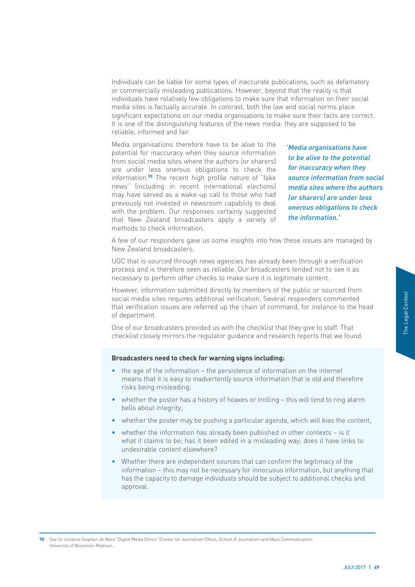Individuals can be liable for some types of inaccurate publications, such as defamatory or commercially misleading publications. However, beyond that the reality is that individuals have relatively few obligations to make sure that information on their social media sites is factually accurate. In contrast, both the law and social norms place significant expectations on our media organisations to make sure their facts are correct. It is one of the distinguishing features of the news media: they are supposed to be reliable, informed and fair.

Media organisations therefore have to be alive to the potential for inaccuracy when they source information from social media sites where the authors (or sharers) are under less onerous obligations to check the information.**90** The recent high profile nature of "fake news" (including in recent international elections) may have served as a wake-up call to those who had previously not invested in newsroom capability to deal with the problem. Our responses certainly suggested that New Zealand broadcasters apply a variety of methods to check information.

'Media organisations have to be alive to the potential for inaccuracy when they source information from social media sites where the authors (or sharers) are under less onerous obligations to check the information.'

A few of our responders gave us some insights into how these issues are managed by New Zealand broadcasters.

UGC that is sourced through news agencies has already been through a verification process and is therefore seen as reliable. Our broadcasters tended not to see it as necessary to perform other checks to make sure it is legitimate content.

However, information submitted directly by members of the public or sourced from social media sites requires additional verification. Several responders commented that verification issues are referred up the chain of command, for instance to the head of department.

One of our broadcasters provided us with the checklist that they give to staff. That checklist closely mirrors the regulator guidance and research reports that we found.

#### **Broadcasters need to check for warning signs including:**

- the age of the information the persistence of information on the internet means that it is easy to inadvertently source information that is old and therefore risks being misleading;
- whether the poster has a history of hoaxes or trolling this will tend to ring alarm bells about integrity;
- whether the poster may be pushing a particular agenda, which will bias the content;
- whether the information has already been published in other contexts is it what it claims to be; has it been edited in a misleading way; does it have links to undesirable content elsewhere?
- Momented<br>
b the head<br>
hat<br>
found.<br>
a larm<br>
e content;<br>
it inks to<br>
the<br>
thing that<br>
xists and<br>
yury 2017 | 49 • Whether there are independent sources that can confirm the legitimacy of the information – this may not be necessary for innocuous information, but anything that has the capacity to damage individuals should be subject to additional checks and approval.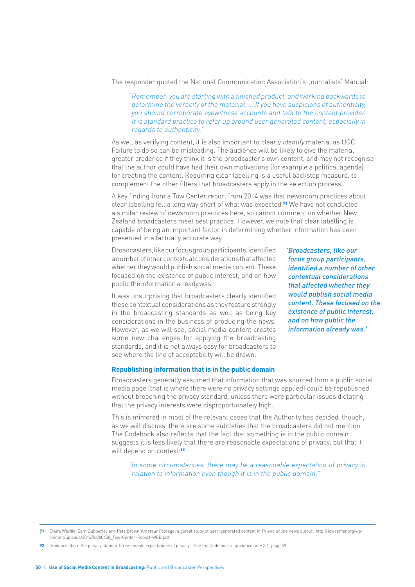The responder quoted the National Communication Association's Journalists' Manual:

"Remember: you are starting with a finished product, and working backwards to determine the veracity of the material. … If you have suspicions of authenticity, you should corroborate eyewitness accounts and talk to the content provider. It is standard practice to refer up around user generated content, especially in regards to authenticity."

As well as verifying content, it is also important to clearly identify material as UGC. Failure to do so can be misleading. The audience will be likely to give the material greater credence if they think it is the broadcaster's own content, and may not recognise that the author could have had their own motivations (for example a political agenda) for creating the content. Requiring clear labelling is a useful backstop measure, to complement the other filters that broadcasters apply in the selection process.

A key finding from a Tow Center report from 2014 was that newsroom practices about clear labelling fell a long way short of what was expected.**91** We have not conducted a similar review of newsroom practices here, so cannot comment on whether New Zealand broadcasters meet best practice. However, we note that clear labelling is capable of being an important factor in determining whether information has been presented in a factually accurate way.

Broadcasters, like our focus group participants, identified a number of other contextual considerations that affected whether they would publish social media content. These focused on the existence of public interest, and on how public the information already was.

It was unsurprising that broadcasters clearly identified these contextual considerations as they feature strongly in the broadcasting standards as well as being key considerations in the business of producing the news. However, as we will see, social media content creates some new challenges for applying the broadcasting standards, and it is not always easy for broadcasters to see where the line of acceptability will be drawn.

'Broadcasters, like our focus group participants, identified a number of other contextual considerations that affected whether they would publish social media content. These focused on the existence of public interest, and on how public the information already was.'

#### **Republishing information that is in the public domain**

Broadcasters generally assumed that information that was sourced from a public social media page (that is where there were no privacy settings applied) could be republished without breaching the privacy standard, unless there were particular issues dictating that the privacy interests were disproportionately high.

This is mirrored in most of the relevant cases that the Authority has decided, though, as we will discuss, there are some subtleties that the broadcasters did not mention. The Codebook also reflects that the fact that something is in the public domain suggests it is less likely that there are reasonable expectations of privacy, but that it will depend on context:**<sup>92</sup>**

"In some circumstances, there may be a reasonable expectation of privacy in relation to information even though it is in the public domain."

**<sup>91</sup>** Claire Wardle, Sam Dubberley and Pete Brown"Amateur Footage: a global study of user-generated content in TV and online news output" http://towcenter.org/wpcontent/uploads/2014/04/80458\_Tow-Center-Report-WEB.pdf.

**<sup>92</sup>** Guidance about the privacy standard:"reasonable expectations of privacy": See the Codebook at guidance note 3.1, page 59.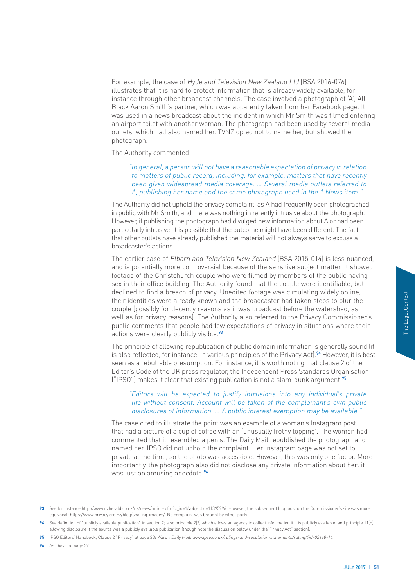For example, the case of Hyde and Television New Zealand Ltd [BSA 2016-076] illustrates that it is hard to protect information that is already widely available, for instance through other broadcast channels. The case involved a photograph of 'A', All Black Aaron Smith's partner, which was apparently taken from her Facebook page. It was used in a news broadcast about the incident in which Mr Smith was filmed entering an airport toilet with another woman. The photograph had been used by several media outlets, which had also named her. TVNZ opted not to name her, but showed the photograph.

The Authority commented:

"In general, a person will not have a reasonable expectation of privacy in relation to matters of public record, including, for example, matters that have recently been given widespread media coverage. … Several media outlets referred to A, publishing her name and the same photograph used in the 1 News item."

The Authority did not uphold the privacy complaint, as A had frequently been photographed in public with Mr Smith, and there was nothing inherently intrusive about the photograph. However, if publishing the photograph had divulged new information about A or had been particularly intrusive, it is possible that the outcome might have been different. The fact that other outlets have already published the material will not always serve to excuse a broadcaster's actions.

The earlier case of Elborn and Television New Zealand (BSA 2015-014) is less nuanced, and is potentially more controversial because of the sensitive subject matter. It showed footage of the Christchurch couple who were filmed by members of the public having sex in their office building. The Authority found that the couple were identifiable, but declined to find a breach of privacy. Unedited footage was circulating widely online, their identities were already known and the broadcaster had taken steps to blur the couple (possibly for decency reasons as it was broadcast before the watershed, as well as for privacy reasons). The Authority also referred to the Privacy Commissioner's public comments that people had few expectations of privacy in situations where their actions were clearly publicly visible.**<sup>93</sup>**

The principle of allowing republication of public domain information is generally sound (it is also reflected, for instance, in various principles of the Privacy Act).**94** However, it is best seen as a rebuttable presumption. For instance, it is worth noting that clause 2 of the Editor's Code of the UK press regulator, the Independent Press Standards Organisation ("IPSO") makes it clear that existing publication is not a slam-dunk argument:**<sup>95</sup>**

# "Editors will be expected to justify intrusions into any individual's private life without consent. Account will be taken of the complainant's own public disclosures of information. … A public interest exemption may be available."

Fractional Context of the d, as<br>
issioner's<br>
inter their<br>
ly sound (it<br>
er, it is best<br>
? of the<br>
annisation<br> **55**<br>
private<br>
post<br>
man had<br>
gap and<br>
gap and<br>
ext of the right of the right<br>
post<br>
man had<br>
gap and<br>
ext octor The case cited to illustrate the point was an example of a woman's Instagram post that had a picture of a cup of coffee with an 'unusually frothy topping'. The woman had commented that it resembled a penis. The Daily Mail republished the photograph and named her. IPSO did not uphold the complaint. Her Instagram page was not set to private at the time, so the photo was accessible. However, this was only one factor. More importantly, the photograph also did not disclose any private information about her: it was just an amusing anecdote.**<sup>96</sup>**

**96** As above, at page 29.

<sup>93</sup> See for instance http://www.nzherald.co.nz/nz/news/article.cfm?c\_id=1&objectid=11395296. However, the subsequent blog post on the Commissioner's site was more equivocal: https://www.privacy.org.nz/blog/sharing-images/. No complaint was brought by either party.

**<sup>94</sup>** See definition of "publicly available publication" in section 2; also principle 2(2) which allows an agency to collect information if it is publicly available; and principle 11(b) allowing disclosure if the source was a publicly available publication (though note the discussion below under the"Privacy Act" section).

**<sup>95</sup>** IPSO Editors' Handbook, Clause 2 "Privacy" at page 28: Ward v Daily Mail: www.ipso.co.uk/rulings-and-resolution-statements/ruling/?id=02168-14.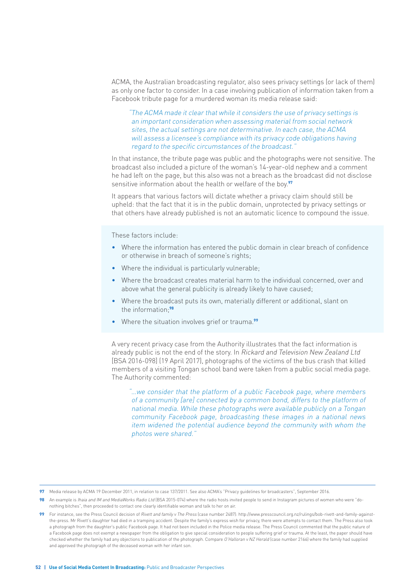ACMA, the Australian broadcasting regulator, also sees privacy settings (or lack of them) as only one factor to consider. In a case involving publication of information taken from a Facebook tribute page for a murdered woman its media release said:

"The ACMA made it clear that while it considers the use of privacy settings is an important consideration when assessing material from social network sites, the actual settings are not determinative. In each case, the ACMA will assess a licensee's compliance with its privacy code obligations having regard to the specific circumstances of the broadcast."

In that instance, the tribute page was public and the photographs were not sensitive. The broadcast also included a picture of the woman's 14-year-old nephew and a comment he had left on the page, but this also was not a breach as the broadcast did not disclose sensitive information about the health or welfare of the boy.**<sup>97</sup>**

It appears that various factors will dictate whether a privacy claim should still be upheld: that the fact that it is in the public domain, unprotected by privacy settings or that others have already published is not an automatic licence to compound the issue.

These factors include:

- Where the information has entered the public domain in clear breach of confidence or otherwise in breach of someone's rights;
- Where the individual is particularly vulnerable;
- Where the broadcast creates material harm to the individual concerned, over and above what the general publicity is already likely to have caused;
- Where the broadcast puts its own, materially different or additional, slant on the information;**<sup>98</sup>**
- Where the situation involves grief or trauma.**<sup>99</sup>**

A very recent privacy case from the Authority illustrates that the fact information is already public is not the end of the story. In Rickard and Television New Zealand Ltd [BSA 2016-098] (19 April 2017), photographs of the victims of the bus crash that killed members of a visiting Tongan school band were taken from a public social media page. The Authority commented:

"…we consider that the platform of a public Facebook page, where members of a community [are] connected by a common bond, differs to the platform of national media. While these photographs were available publicly on a Tongan community Facebook page, broadcasting these images in a national news item widened the potential audience beyond the community with whom the photos were shared."

**<sup>97</sup>** Media release by ACMA 19 December 2011, in relation to case 137/2011. See also ACMA's "Privacy guidelines for broadcasters", September 2016.

**<sup>98</sup>** An example is Ihaia and IM and MediaWorks Radio Ltd (BSA 2015-074) where the radio hosts invited people to send in Instagram pictures of women who were "donothing bitches", then proceeded to contact one clearly identifiable woman and talk to her on air.

**<sup>99</sup>** For instance, see the Press Council decision of Rivett and family v The Press (case number 2487): http://www.presscouncil.org.nz/rulings/bob-rivett-and-family-againstthe-press. Mr Rivett's daughter had died in a tramping accident. Despite the family's express wish for privacy, there were attempts to contact them. The Press also took a photograph from the daughter's public Facebook page. It had not been included in the Police media release. The Press Council commented that the public nature of a Facebook page does not exempt a newspaper from the obligation to give special consideration to people suffering grief or trauma. At the least, the paper should have checked whether the family had any objections to publication of the photograph. Compare O'Halloran v NZ Herald (case number 2166) where the family had supplied and approved the photograph of the deceased woman with her infant son.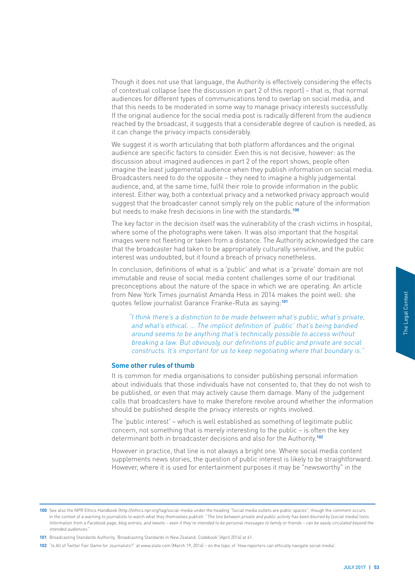Though it does not use that language, the Authority is effectively considering the effects of contextual collapse (see the discussion in part 2 of this report) – that is, that normal audiences for different types of communications tend to overlap on social media, and that this needs to be moderated in some way to manage privacy interests successfully. If the original audience for the social media post is radically different from the audience reached by the broadcast, it suggests that a considerable degree of caution is needed, as it can change the privacy impacts considerably.

We suggest it is worth articulating that both platform affordances and the original audience are specific factors to consider. Even this is not decisive, however: as the discussion about imagined audiences in part 2 of the report shows, people often imagine the least judgemental audience when they publish information on social media. Broadcasters need to do the opposite – they need to imagine a highly judgemental audience, and, at the same time, fulfil their role to provide information in the public interest. Either way, both a contextual privacy and a networked privacy approach would suggest that the broadcaster cannot simply rely on the public nature of the information but needs to make fresh decisions in line with the standards.**<sup>100</sup>**

The key factor in the decision itself was the vulnerability of the crash victims in hospital, where some of the photographs were taken. It was also important that the hospital images were not fleeting or taken from a distance. The Authority acknowledged the care that the broadcaster had taken to be appropriately culturally sensitive, and the public interest was undoubted, but it found a breach of privacy nonetheless.

In conclusion, definitions of what is a 'public' and what is a 'private' domain are not immutable and reuse of social media content challenges some of our traditional preconceptions about the nature of the space in which we are operating. An article from New York Times journalist Amanda Hess in 2014 makes the point well: she quotes fellow journalist Garance Franke-Ruta as saying:**<sup>101</sup>**

"I think there's a distinction to be made between what's public, what's private, and what's ethical. … The implicit definition of 'public' that's being bandied around seems to be anything that's technically possible to access without breaking a law. But obviously, our definitions of public and private are social constructs. It's important for us to keep negotiating where that boundary is."

## **Some other rules of thumb**

she<br>
private,<br>
ndied<br>
social<br>
any is."<br>
ation<br>
ation<br>
ot wish to<br>
gement<br>
formation<br>
blic<br>
ey<br>
ontent<br>
therward.<br>
in the<br>
<u>andial tods.</u><br> *Hedial tods.*<br> *Hedial tods.*<br> *Ated beyond the*<br> *JULY 2017* 1 53 It is common for media organisations to consider publishing personal information about individuals that those individuals have not consented to, that they do not wish to be published, or even that may actively cause them damage. Many of the judgement calls that broadcasters have to make therefore revolve around whether the information should be published despite the privacy interests or rights involved.

The 'public interest' – which is well established as something of legitimate public concern, not something that is merely interesting to the public – is often the key determinant both in broadcaster decisions and also for the Authority.**<sup>102</sup>**

However in practice, that line is not always a bright one. Where social media content supplements news stories, the question of public interest is likely to be straightforward. However, where it is used for entertainment purposes it may be "newsworthy" in the

**<sup>100</sup>** See also the NPR Ethics Handbook (http://ethics.npr.org/tag/social-media under the heading "Social media outlets are public spaces", though the comment occurs in the context of a warning to journalists to watch what they themselves publish: "The line between private and public activity has been blurred by [social media] tools. Information from a Facebook page, blog entries, and tweets – even if they're intended to be personal messages to family or friends – can be easily circulated beyond the intended audiences."

**<sup>101</sup>** Broadcasting Standards Authority, 'Broadcasting Standards in New Zealand: Codebook' (April 2016) at 61.

**<sup>102</sup>** "Is All of Twitter Fair Game for Journalists?" at www.slate.com (March 19, 2014) – on the topic of 'How reporters can ethically navigate social media'.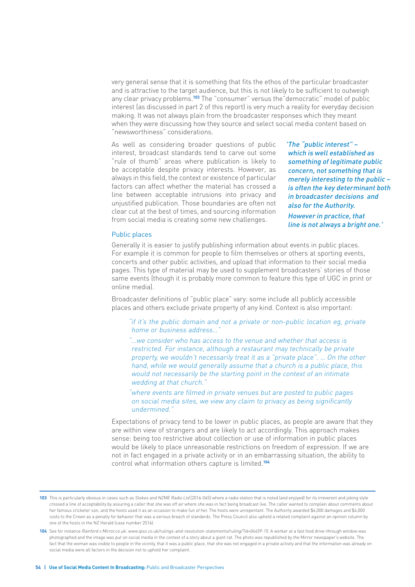very general sense that it is something that fits the ethos of the particular broadcaster and is attractive to the target audience, but this is not likely to be sufficient to outweigh any clear privacy problems.**103** The "consumer" versus the"democratic" model of public interest (as discussed in part 2 of this report) is very much a reality for everyday decision making. It was not always plain from the broadcaster responses which they meant when they were discussing how they source and select social media content based on "newsworthiness" considerations.

As well as considering broader questions of public interest, broadcast standards tend to carve out some "rule of thumb" areas where publication is likely to be acceptable despite privacy interests. However, as always in this field, the context or existence of particular factors can affect whether the material has crossed a line between acceptable intrusions into privacy and unjustified publication. Those boundaries are often not clear cut at the best of times, and sourcing information from social media is creating some new challenges.

'The "public interest" – which is well established as something of legitimate public concern, not something that is merely interesting to the public – is often the key determinant both in broadcaster decisions and also for the Authority. However in practice, that line is not always a bright one.'

Public places

Generally it is easier to justify publishing information about events in public places. For example it is common for people to film themselves or others at sporting events, concerts and other public activities, and upload that information to their social media pages. This type of material may be used to supplement broadcasters' stories of those same events (though it is probably more common to feature this type of UGC in print or online media).

Broadcaster definitions of "public place" vary: some include all publicly accessible places and others exclude private property of any kind. Context is also important:

"if it's the public domain and not a private or non-public location eg, private home or business address...

"…we consider who has access to the venue and whether that access is restricted. For instance, although a restaurant may technically be private property, we wouldn't necessarily treat it as a "private place". … On the other hand, while we would generally assume that a church is a public place, this would not necessarily be the starting point in the context of an intimate wedding at that church."

"where events are filmed in private venues but are posted to public pages on social media sites, we view any claim to privacy as being significantly undermined."

Expectations of privacy tend to be lower in public places, as people are aware that they are within view of strangers and are likely to act accordingly. This approach makes sense: being too restrictive about collection or use of information in public places would be likely to place unreasonable restrictions on freedom of expression. If we are not in fact engaged in a private activity or in an embarrassing situation, the ability to control what information others capture is limited.**<sup>104</sup>**

<sup>103</sup> This is particularly obvious in cases such as Stokes and NZME Radio Ltd [2016-045] where a radio station that is noted (and enjoyed) for its irreverent and joking style crossed a line of acceptability by assuring a caller that she was off air where she was in fact being broadcast live. The caller wanted to complain about comments about her famous cricketer son, and the hosts used it as an occasion to make fun of her. The hosts were unrepentant. The Authority awarded \$4,000 damages and \$4,000 costs to the Crown as a penalty for behavior that was a serious breach of standards. The Press Council also upheld a related complaint against an opinion column by one of the hosts in the NZ Herald (case number 2516).

**<sup>104</sup>** See for instance Rainford v Mirror.co.uk: www.ipso.co.uk/rulings-and-resolution-statements/ruling/?id=04459-15. A worker at a fast food drive-through window was photographed and the image was put on social media in the context of a story about a giant rat. The photo was republished by the Mirror newspaper's website. The fact that the woman was visible to people in the vicinity, that it was a public place, that she was not engaged in a private activity and that the information was already on social media were all factors in the decision not to uphold her complaint.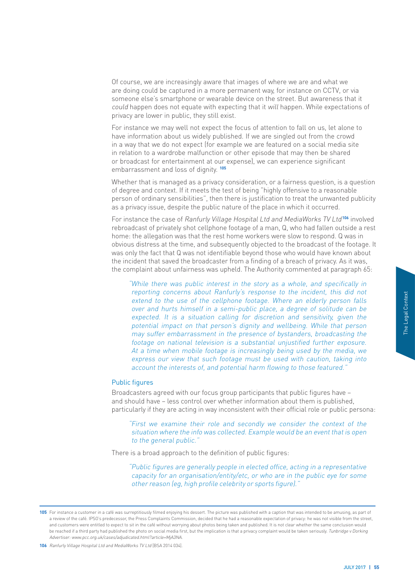Of course, we are increasingly aware that images of where we are and what we are doing could be captured in a more permanent way, for instance on CCTV, or via someone else's smartphone or wearable device on the street. But awareness that it could happen does not equate with expecting that it will happen. While expectations of privacy are lower in public, they still exist.

For instance we may well not expect the focus of attention to fall on us, let alone to have information about us widely published. If we are singled out from the crowd in a way that we do not expect (for example we are featured on a social media site in relation to a wardrobe malfunction or other episode that may then be shared or broadcast for entertainment at our expense), we can experience significant embarrassment and loss of dignity. **<sup>105</sup>**

Whether that is managed as a privacy consideration, or a fairness question, is a question of degree and context. If it meets the test of being "highly offensive to a reasonable person of ordinary sensibilities", then there is justification to treat the unwanted publicity as a privacy issue, despite the public nature of the place in which it occurred.

For instance the case of Ranfurly Village Hospital Ltd and MediaWorks TV Ltd**<sup>106</sup>** involved rebroadcast of privately shot cellphone footage of a man, Q, who had fallen outside a rest home: the allegation was that the rest home workers were slow to respond. Q was in obvious distress at the time, and subsequently objected to the broadcast of the footage. It was only the fact that Q was not identifiable beyond those who would have known about the incident that saved the broadcaster from a finding of a breach of privacy. As it was, the complaint about unfairness was upheld. The Authority commented at paragraph 65:

did not<br>
on falls<br>
can be<br>
ven the<br>
person<br>
ting the<br>
person<br>
ting the<br>
posure.<br>
edia, we<br>
ing into<br>
into<br>
into<br>
into<br>
into<br>
into<br>
entative<br>
entative<br>
persona:<br>
to the is open<br>
entative<br>
prome<br>
entative<br>
prome<br>
entative<br>
p "While there was public interest in the story as a whole, and specifically in reporting concerns about Ranfurly's response to the incident, this did not extend to the use of the cellphone footage. Where an elderly person falls over and hurts himself in a semi-public place, a degree of solitude can be expected. It is a situation calling for discretion and sensitivity, given the potential impact on that person's dignity and wellbeing. While that person may suffer embarrassment in the presence of bystanders, broadcasting the footage on national television is a substantial unjustified further exposure. At a time when mobile footage is increasingly being used by the media, we express our view that such footage must be used with caution, taking into account the interests of, and potential harm flowing to those featured."

#### Public figures

Broadcasters agreed with our focus group participants that public figures have – and should have – less control over whether information about them is published, particularly if they are acting in way inconsistent with their official role or public persona:

"First we examine their role and secondly we consider the context of the situation where the info was collected. Example would be an event that is open to the general public."

There is a broad approach to the definition of public figures:

"Public figures are generally people in elected office, acting in a representative capacity for an organisation/entity/etc, or who are in the public eye for some other reason (eg, high profile celebrity or sports figure)."

**106** Ranfurly Village Hospital Ltd and MediaWorks TV Ltd [BSA 2014 034].

**<sup>105</sup>** For instance a customer in a café was surreptitiously filmed enjoying his dessert. The picture was published with a caption that was intended to be amusing, as part of a review of the café. IPSO's predecessor, the Press Complaints Commission, decided that he had a reasonable expectation of privacy: he was not visible from the street, and customers were entitled to expect to sit in the café without worrying about photos being taken and published. It is not clear whether the same conclusion would be reached if a third party had published the photo on social media first, but the implication is that a privacy complaint would be taken seriously. Tunbridge v Dorking Advertiser: www.pcc.org.uk/cases/adjudicated.html?article=MjA3NA.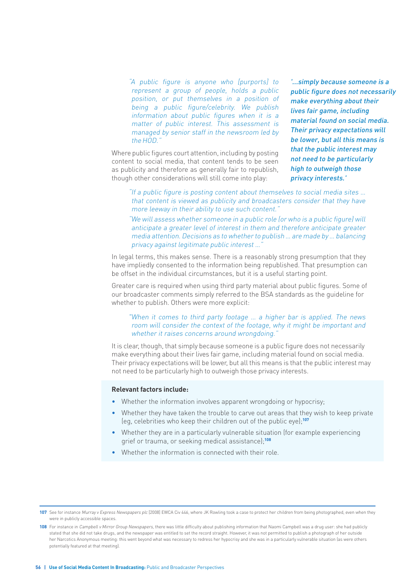"A public figure is anyone who [purports] to represent a group of people, holds a public position, or put themselves in a position of being a public figure/celebrity. We publish information about public figures when it is a matter of public interest. This assessment is managed by senior staff in the newsroom led by the HOD."

Where public figures court attention, including by posting content to social media, that content tends to be seen as publicity and therefore as generally fair to republish, though other considerations will still come into play:

'...simply because someone is a public figure does not necessarily make everything about their lives fair game, including material found on social media. Their privacy expectations will be lower, but all this means is that the public interest may not need to be particularly high to outweigh those privacy interests.'

"If a public figure is posting content about themselves to social media sites … that content is viewed as publicity and broadcasters consider that they have more leeway in their ability to use such content."

"We will assess whether someone in a public role (or who is a public figure) will anticipate a greater level of interest in them and therefore anticipate greater media attention. Decisions as to whether to publish … are made by … balancing privacy against legitimate public interest ...

In legal terms, this makes sense. There is a reasonably strong presumption that they have impliedly consented to the information being republished. That presumption can be offset in the individual circumstances, but it is a useful starting point.

Greater care is required when using third party material about public figures. Some of our broadcaster comments simply referred to the BSA standards as the guideline for whether to publish. Others were more explicit:

# "When it comes to third party footage … a higher bar is applied. The news room will consider the context of the footage, why it might be important and whether it raises concerns around wrongdoing.'

It is clear, though, that simply because someone is a public figure does not necessarily make everything about their lives fair game, including material found on social media. Their privacy expectations will be lower, but all this means is that the public interest may not need to be particularly high to outweigh those privacy interests.

#### **Relevant factors include:**

- Whether the information involves apparent wrongdoing or hypocrisy:
- Whether they have taken the trouble to carve out areas that they wish to keep private (eg, celebrities who keep their children out of the public eye);**<sup>107</sup>**
- Whether they are in a particularly vulnerable situation (for example experiencing grief or trauma, or seeking medical assistance);**<sup>108</sup>**
- Whether the information is connected with their role.

<sup>107</sup> See for instance Murray v Express Newspapers plc [2008] EWCA Civ 446, where JK Rowling took a case to protect her children from being photographed, even when they were in publicly accessible spaces.

**<sup>108</sup>** For instance in Campbell v Mirror Group Newspapers, there was little difficulty about publishing information that Naomi Campbell was a drug user: she had publicly stated that she did not take drugs, and the newspaper was entitled to set the record straight. However, it was not permitted to publish a photograph of her outside her Narcotics Anonymous meeting: this went beyond what was necessary to redress her hypocrisy and she was in a particularly vulnerable situation (as were others potentially featured at that meeting).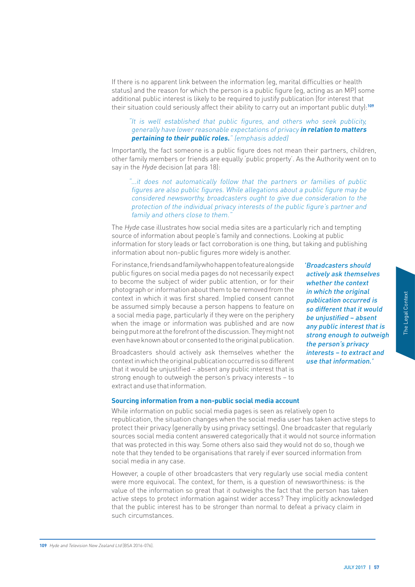If there is no apparent link between the information (eg, marital difficulties or health status) and the reason for which the person is a public figure (eg, acting as an MP) some additional public interest is likely to be required to justify publication (for interest that their situation could seriously affect their ability to carry out an important public duty):**<sup>109</sup>**

# "It is well established that public figures, and others who seek publicity, generally have lower reasonable expectations of privacy **in relation to matters pertaining to their public roles.**" (emphasis added)

Importantly, the fact someone is a public figure does not mean their partners, children, other family members or friends are equally 'public property'. As the Authority went on to say in the *Hyde* decision (at para 18):

## "…it does not automatically follow that the partners or families of public figures are also public figures. While allegations about a public figure may be considered newsworthy, broadcasters ought to give due consideration to the protection of the individual privacy interests of the public figure's partner and family and others close to them."

The Hyde case illustrates how social media sites are a particularly rich and tempting source of information about people's family and connections. Looking at public information for story leads or fact corroboration is one thing, but taking and publishing information about non-public figures more widely is another.

For instance, friends and family who happen to feature alongside public figures on social media pages do not necessarily expect to become the subject of wider public attention, or for their photograph or information about them to be removed from the context in which it was first shared. Implied consent cannot be assumed simply because a person happens to feature on a social media page, particularly if they were on the periphery when the image or information was published and are now being put more at the forefront of the discussion. They might not even have known about or consented to the original publication.

Broadcasters should actively ask themselves whether the context in which the original publication occurred is so different that it would be unjustified – absent any public interest that is strong enough to outweigh the person's privacy interests – to extract and use that information.

# Forty and a context of that it would<br>
be d – absent<br>
therest that is<br>
gh to outweigh<br>
is privacy<br>
to extract and<br>
primation.<br>
Survacy<br>
to extract and<br>
primation.<br>
The Legal Content<br>
is the as taken<br>
nowledged<br>
aim in<br>
DULY actively ask themselves whether the context in which the original publication occurred is so different that it would be unjustified – absent any public interest that is strong enough to outweigh the person's privacy interests – to extract and use that information.'

'Broadcasters should

#### **Sourcing information from a non-public social media account**

While information on public social media pages is seen as relatively open to republication, the situation changes when the social media user has taken active steps to protect their privacy (generally by using privacy settings). One broadcaster that regularly sources social media content answered categorically that it would not source information that was protected in this way. Some others also said they would not do so, though we note that they tended to be organisations that rarely if ever sourced information from social media in any case.

However, a couple of other broadcasters that very regularly use social media content were more equivocal. The context, for them, is a question of newsworthiness: is the value of the information so great that it outweighs the fact that the person has taken active steps to protect information against wider access? They implicitly acknowledged that the public interest has to be stronger than normal to defeat a privacy claim in such circumstances.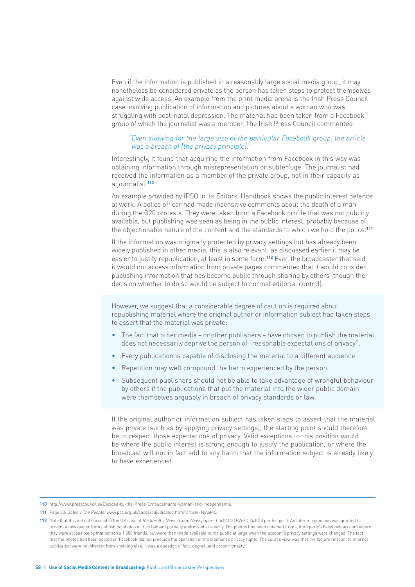Even if the information is published in a reasonably large social media group, it may nonetheless be considered private as the person has taken steps to protect themselves against wide access. An example from the print media arena is the Irish Press Council case involving publication of information and pictures about a woman who was struggling with post-natal depression. The material had been taken from a Facebook group of which the journalist was a member. The Irish Press Council commented:

#### "Even allowing for the large size of the particular Facebook group, the article was a breach of [the privacy principle].

Interestingly, it found that acquiring the information from Facebook in this way was obtaining information through misrepresentation or subterfuge. The journalist had received the information as a member of the private group, not in their capacity as a journalist.**<sup>110</sup>**

An example provided by IPSO in its Editors' Handbook shows the public interest defence at work. A police officer had made insensitive comments about the death of a man during the G20 protests. They were taken from a Facebook profile that was not publicly available, but publishing was seen as being in the public interest, probably because of the objectionable nature of the content and the standards to which we hold the police.**<sup>111</sup>**

If the information was originally protected by privacy settings but has already been widely published in other media, this is also relevant: as discussed earlier it may be easier to justify republication, at least in some form.**112** Even the broadcaster that said it would not access information from private pages commented that it would consider publishing information that has become public through sharing by others (though the decision whether to do so would be subject to normal editorial control).

However, we suggest that a considerable degree of caution is required about republishing material where the original author or information subject had taken steps to assert that the material was private:

- The fact that other media or other publishers have chosen to publish the material does not necessarily deprive the person of "reasonable expectations of privacy".
- Every publication is capable of disclosing the material to a different audience.
- Repetition may well compound the harm experienced by the person.
- Subsequent publishers should not be able to take advantage of wrongful behaviour by others if the publications that put the material into the wider public domain were themselves arguably in breach of privacy standards or law.

If the original author or information subject has taken steps to assert that the material was private (such as by applying privacy settings), the starting point should therefore be to respect those expectations of privacy. Valid exceptions to this position would be where the public interest is strong enough to justify the publication, or where the broadcast will not in fact add to any harm that the information subject is already likely to have experienced.

**<sup>110</sup>** http://www.presscouncil.ie/Decided-by-the-Press-Ombudsman/a-woman-and-independentie.

**<sup>111</sup>** Page 30: Goble v The People: www.pcc.org.uk/cases/adjudicated.html?article=NjA4MQ.

**<sup>112</sup>** Note that this did not succeed in the UK case of Rocknroll v News Group Newspapers Ltd [2013] EWHC 24 (Ch) per Briggs J. An interim injunction was granted to prevent a newspaper from publishing photos of the claimant partially undressed at a party. The photos had been obtained from a third party's Facebook account where they were accessible by that person's 1,500 friends, but were then made available to the public at large when the account's privacy settings were changed. The fact that the photos had been posted on Facebook did not preclude the operation of the claimant's privacy rights. The court's view was that the factors relevant to internet publication were no different from anything else: it was a question of fact, degree, and proportionality.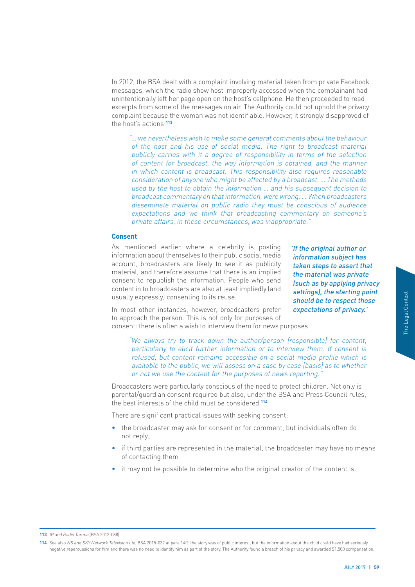In 2012, the BSA dealt with a complaint involving material taken from private Facebook messages, which the radio show host improperly accessed when the complainant had unintentionally left her page open on the host's cellphone. He then proceeded to read excerpts from some of the messages on air. The Authority could not uphold the privacy complaint because the woman was not identifiable. However, it strongly disapproved of the host's actions:**<sup>113</sup>**

"… we nevertheless wish to make some general comments about the behaviour of the host and his use of social media. The right to broadcast material publicly carries with it a degree of responsibility in terms of the selection of content for broadcast, the way information is obtained, and the manner in which content is broadcast. This responsibility also requires reasonable consideration of anyone who might be affected by a broadcast. … The methods used by the host to obtain the information … and his subsequent decision to broadcast commentary on that information, were wrong. … When broadcasters disseminate material on public radio they must be conscious of audience expectations and we think that broadcasting commentary on someone's private affairs, in these circumstances, was inappropriate."

#### **Consent**

As mentioned earlier where a celebrity is posting information about themselves to their public social media account, broadcasters are likely to see it as publicity material, and therefore assume that there is an implied consent to republish the information. People who send content in to broadcasters are also at least impliedly (and usually expressly) consenting to its reuse.

'If the original author or information subject has taken steps to assert that the material was private (such as by applying privacy settings), the starting point should be to respect those expectations of privacy.'

In most other instances, however, broadcasters prefer to approach the person. This is not only for purposes of consent: there is often a wish to interview them for news purposes:

orting point<br>
pect those<br>
privacy.'<br>
content,<br>
sent is<br>
which is<br>
whether<br>
only is<br>
il rules,<br>
nad seriously<br>
nad seriously<br>
and seriously<br>
Dempensation.<br>
JULY 2017 | 59 "We always try to track down the author/person [responsible] for content, particularly to elicit further information or to interview them. If consent is refused, but content remains accessible on a social media profile which is available to the public, we will assess on a case by case [basis] as to whether or not we use the content for the purposes of news reporting."

Broadcasters were particularly conscious of the need to protect children. Not only is parental/guardian consent required but also, under the BSA and Press Council rules, the best interests of the child must be considered.**<sup>114</sup>**

There are significant practical issues with seeking consent:

- the broadcaster may ask for consent or for comment, but individuals often do not reply;
- if third parties are represented in the material, the broadcaster may have no means of contacting them
- it may not be possible to determine who the original creator of the content is.

**114** See also NS and SKY Network Television Ltd, BSA 2015-032 at para 14ff: the story was of public interest, but the information about the child could have had seriously negative repercussions for him and there was no need to identify him as part of the story. The Authority found a breach of his privacy and awarded \$1,500 compensation.

**<sup>113</sup>** IG and Radio Tarana [BSA 2012-088].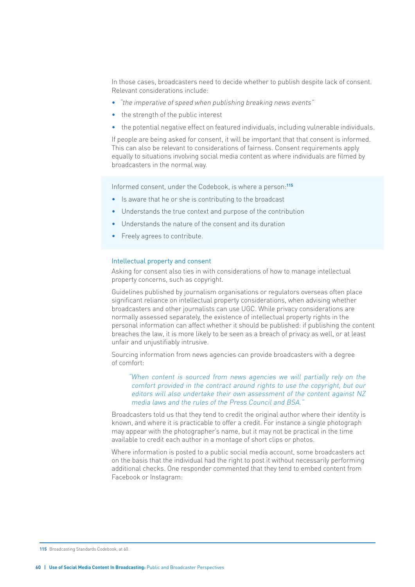In those cases, broadcasters need to decide whether to publish despite lack of consent. Relevant considerations include:

- "the imperative of speed when publishing breaking news events"
- the strength of the public interest
- the potential negative effect on featured individuals, including vulnerable individuals.

If people are being asked for consent, it will be important that that consent is informed. This can also be relevant to considerations of fairness. Consent requirements apply equally to situations involving social media content as where individuals are filmed by broadcasters in the normal way.

Informed consent, under the Codebook, is where a person:**<sup>115</sup>**

- Is aware that he or she is contributing to the broadcast
- Understands the true context and purpose of the contribution
- Understands the nature of the consent and its duration
- Freely agrees to contribute.

#### Intellectual property and consent

Asking for consent also ties in with considerations of how to manage intellectual property concerns, such as copyright.

Guidelines published by journalism organisations or regulators overseas often place significant reliance on intellectual property considerations, when advising whether broadcasters and other journalists can use UGC. While privacy considerations are normally assessed separately, the existence of intellectual property rights in the personal information can affect whether it should be published: if publishing the content breaches the law, it is more likely to be seen as a breach of privacy as well, or at least unfair and unjustifiably intrusive.

Sourcing information from news agencies can provide broadcasters with a degree of comfort:

"When content is sourced from news agencies we will partially rely on the comfort provided in the contract around rights to use the copyright, but our editors will also undertake their own assessment of the content against NZ media laws and the rules of the Press Council and BSA."

Broadcasters told us that they tend to credit the original author where their identity is known, and where it is practicable to offer a credit. For instance a single photograph may appear with the photographer's name, but it may not be practical in the time available to credit each author in a montage of short clips or photos.

Where information is posted to a public social media account, some broadcasters act on the basis that the individual had the right to post it without necessarily performing additional checks. One responder commented that they tend to embed content from Facebook or Instagram:

**115** Broadcasting Standards Codebook, at 60.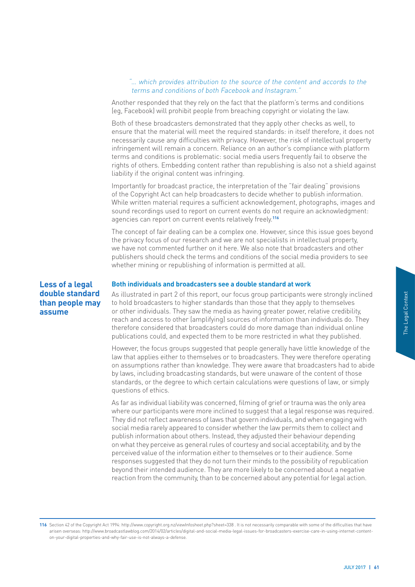#### "… which provides attribution to the source of the content and accords to the terms and conditions of both Facebook and Instagram."

Another responded that they rely on the fact that the platform's terms and conditions (eg, Facebook) will prohibit people from breaching copyright or violating the law.

Both of these broadcasters demonstrated that they apply other checks as well, to ensure that the material will meet the required standards: in itself therefore, it does not necessarily cause any difficulties with privacy. However, the risk of intellectual property infringement will remain a concern. Reliance on an author's compliance with platform terms and conditions is problematic: social media users frequently fail to observe the rights of others. Embedding content rather than republishing is also not a shield against liability if the original content was infringing.

Importantly for broadcast practice, the interpretation of the "fair dealing" provisions of the Copyright Act can help broadcasters to decide whether to publish information. While written material requires a sufficient acknowledgement, photographs, images and sound recordings used to report on current events do not require an acknowledgment: agencies can report on current events relatively freely.**<sup>116</sup>**

The concept of fair dealing can be a complex one. However, since this issue goes beyond the privacy focus of our research and we are not specialists in intellectual property, we have not commented further on it here. We also note that broadcasters and other publishers should check the terms and conditions of the social media providers to see whether mining or republishing of information is permitted at all.

# **Less of a legal double standard than people may assume**

#### **Both individuals and broadcasters see a double standard at work**

As illustrated in part 2 of this report, our focus group participants were strongly inclined to hold broadcasters to higher standards than those that they apply to themselves or other individuals. They saw the media as having greater power, relative credibility, reach and access to other (amplifying) sources of information than individuals do. They therefore considered that broadcasters could do more damage than individual online publications could, and expected them to be more restricted in what they published.

However, the focus groups suggested that people generally have little knowledge of the law that applies either to themselves or to broadcasters. They were therefore operating on assumptions rather than knowledge. They were aware that broadcasters had to abide by laws, including broadcasting standards, but were unaware of the content of those standards, or the degree to which certain calculations were questions of law, or simply questions of ethics.

It is inclined<br>
Versibility,<br>
do. They<br>
online<br>
ished.<br>
Ige of the<br>
operating<br>
and to abide<br>
it hose<br>
or simply<br>
mly area<br>
s required.<br>
ing with<br>
ect and<br>
ding<br>
by the<br>
me<br>
blication<br>
egative<br>
laction.<br>
alties that have<br>
a As far as individual liability was concerned, filming of grief or trauma was the only area where our participants were more inclined to suggest that a legal response was required. They did not reflect awareness of laws that govern individuals, and when engaging with social media rarely appeared to consider whether the law permits them to collect and publish information about others. Instead, they adjusted their behaviour depending on what they perceive as general rules of courtesy and social acceptability, and by the perceived value of the information either to themselves or to their audience. Some responses suggested that they do not turn their minds to the possibility of republication beyond their intended audience. They are more likely to be concerned about a negative reaction from the community, than to be concerned about any potential for legal action.

<sup>116</sup> Section 42 of the Copyright Act 1994: http://www.copyright.org.nz/viewInfosheet.php?sheet=338 . It is not necessarily comparable with some of the difficulties that have arisen overseas: http://www.broadcastlawblog.com/2014/02/articles/digital-and-social-media-legal-issues-for-broadcasters-exercise-care-in-using-internet-contenton-your-digital-properties-and-why-fair-use-is-not-always-a-defense.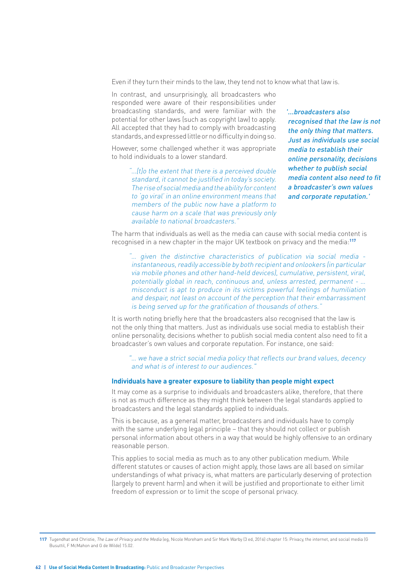Even if they turn their minds to the law, they tend not to know what that law is.

In contrast, and unsurprisingly, all broadcasters who responded were aware of their responsibilities under broadcasting standards, and were familiar with the potential for other laws (such as copyright law) to apply. All accepted that they had to comply with broadcasting standards, and expressed little or no difficulty in doing so.

However, some challenged whether it was appropriate to hold individuals to a lower standard.

> "…[t]o the extent that there is a perceived double standard, it cannot be justified in today's society. The rise of social media and the ability for content to 'go viral' in an online environment means that members of the public now have a platform to cause harm on a scale that was previously only available to national broadcasters."

'...broadcasters also recognised that the law is not the only thing that matters. Just as individuals use social media to establish their online personality, decisions whether to publish social media content also need to fit a broadcaster's own values and corporate reputation.'

The harm that individuals as well as the media can cause with social media content is recognised in a new chapter in the major UK textbook on privacy and the media:**<sup>117</sup>**

"… given the distinctive characteristics of publication via social media instantaneous, readily accessible by both recipient and onlookers (in particular via mobile phones and other hand-held devices), cumulative, persistent, viral, potentially global in reach, continuous and, unless arrested, permanent - … misconduct is apt to produce in its victims powerful feelings of humiliation and despair, not least on account of the perception that their embarrassment is being served up for the gratification of thousands of others."

It is worth noting briefly here that the broadcasters also recognised that the law is not the only thing that matters. Just as individuals use social media to establish their online personality, decisions whether to publish social media content also need to fit a broadcaster's own values and corporate reputation. For instance, one said:

"… we have a strict social media policy that reflects our brand values, decency and what is of interest to our audiences."

#### **Individuals have a greater exposure to liability than people might expect**

It may come as a surprise to individuals and broadcasters alike, therefore, that there is not as much difference as they might think between the legal standards applied to broadcasters and the legal standards applied to individuals.

This is because, as a general matter, broadcasters and individuals have to comply with the same underlying legal principle – that they should not collect or publish personal information about others in a way that would be highly offensive to an ordinary reasonable person.

This applies to social media as much as to any other publication medium. While different statutes or causes of action might apply, those laws are all based on similar understandings of what privacy is, what matters are particularly deserving of protection (largely to prevent harm) and when it will be justified and proportionate to either limit freedom of expression or to limit the scope of personal privacy.

**<sup>117</sup>** Tugendhat and Christie, The Law of Privacy and the Media (eg, Nicole Moreham and Sir Mark Warby (3 ed, 2016) chapter 15: Privacy, the internet, and social media (G Busuttil, F McMahon and G de Wilde) 15.02.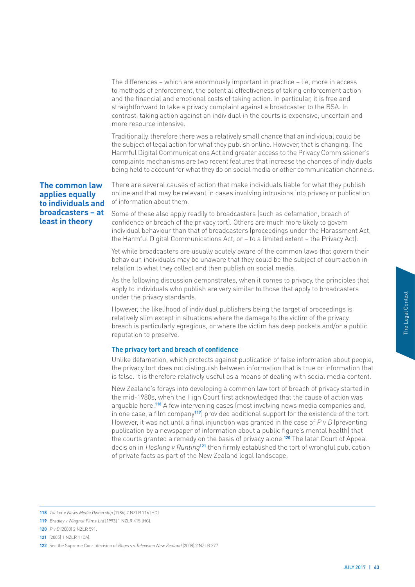The differences – which are enormously important in practice – lie, more in access to methods of enforcement, the potential effectiveness of taking enforcement action and the financial and emotional costs of taking action. In particular, it is free and straightforward to take a privacy complaint against a broadcaster to the BSA. In contrast, taking action against an individual in the courts is expensive, uncertain and more resource intensive.

Traditionally, therefore there was a relatively small chance that an individual could be the subject of legal action for what they publish online. However, that is changing. The Harmful Digital Communications Act and greater access to the Privacy Commissioner's complaints mechanisms are two recent features that increase the chances of individuals being held to account for what they do on social media or other communication channels.

# **The common law applies equally to individuals and broadcasters – at least in theory**

There are several causes of action that make individuals liable for what they publish online and that may be relevant in cases involving intrusions into privacy or publication of information about them.

Some of these also apply readily to broadcasters (such as defamation, breach of confidence or breach of the privacy tort). Others are much more likely to govern individual behaviour than that of broadcasters (proceedings under the Harassment Act, the Harmful Digital Communications Act, or – to a limited extent – the Privacy Act).

Yet while broadcasters are usually acutely aware of the common laws that govern their behaviour, individuals may be unaware that they could be the subject of court action in relation to what they collect and then publish on social media.

As the following discussion demonstrates, when it comes to privacy, the principles that apply to individuals who publish are very similar to those that apply to broadcasters under the privacy standards.

However, the likelihood of individual publishers being the target of proceedings is relatively slim except in situations where the damage to the victim of the privacy breach is particularly egregious, or where the victim has deep pockets and/or a public reputation to preserve.

# **The privacy tort and breach of confidence**

Unlike defamation, which protects against publication of false information about people, the privacy tort does not distinguish between information that is true or information that is false. It is therefore relatively useful as a means of dealing with social media content.

S is<br>
S is<br>
Cy<br>
a public<br>
a public<br>
out people,<br>
nation that<br>
a content.<br>
started in<br>
pn was<br>
ies and,<br>
f the tort.<br>
eventing<br>
the tort.<br>
blication<br>
blication<br>
DULY 2017 | 63 New Zealand's forays into developing a common law tort of breach of privacy started in the mid-1980s, when the High Court first acknowledged that the cause of action was arguable here.**118** A few intervening cases (most involving news media companies and, in one case, a film company**119**) provided additional support for the existence of the tort. However, it was not until a final injunction was granted in the case of  $P v D$  (preventing publication by a newspaper of information about a public figure's mental health) that the courts granted a remedy on the basis of privacy alone.**120** The later Court of Appeal decision in Hosking v Runting**<sup>121</sup>** then firmly established the tort of wrongful publication of private facts as part of the New Zealand legal landscape.

**<sup>118</sup>** Tucker v News Media Ownership [1986] 2 NZLR 716 (HC).

**<sup>119</sup>** Bradley v Wingnut Films Ltd [1993] 1 NZLR 415 (HC).

**<sup>120</sup>** P v D [2000] 2 NZLR 591.

**<sup>121</sup>** [2005] 1 NZLR 1 (CA).

**<sup>122</sup>** See the Supreme Court decision of Rogers v Television New Zealand [2008] 2 NZLR 277.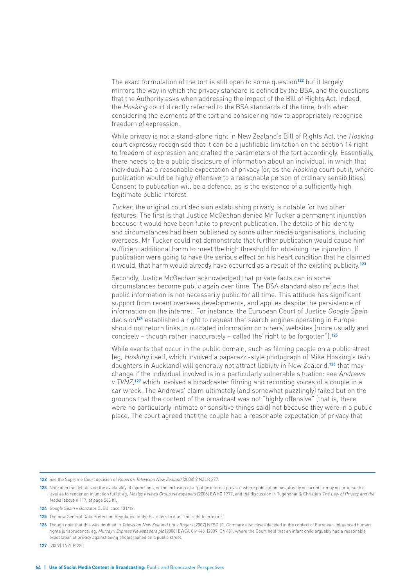The exact formulation of the tort is still open to some question**122** but it largely mirrors the way in which the privacy standard is defined by the BSA, and the questions that the Authority asks when addressing the impact of the Bill of Rights Act. Indeed, the Hosking court directly referred to the BSA standards of the time, both when considering the elements of the tort and considering how to appropriately recognise freedom of expression.

While privacy is not a stand-alone right in New Zealand's Bill of Rights Act, the Hosking court expressly recognised that it can be a justifiable limitation on the section 14 right to freedom of expression and crafted the parameters of the tort accordingly. Essentially, there needs to be a public disclosure of information about an individual, in which that individual has a reasonable expectation of privacy (or, as the Hosking court put it, where publication would be highly offensive to a reasonable person of ordinary sensibilities). Consent to publication will be a defence, as is the existence of a sufficiently high legitimate public interest.

Tucker, the original court decision establishing privacy, is notable for two other features. The first is that Justice McGechan denied Mr Tucker a permanent injunction because it would have been futile to prevent publication. The details of his identity and circumstances had been published by some other media organisations, including overseas. Mr Tucker could not demonstrate that further publication would cause him sufficient additional harm to meet the high threshold for obtaining the injunction. If publication were going to have the serious effect on his heart condition that he claimed it would, that harm would already have occurred as a result of the existing publicity.**<sup>123</sup>**

Secondly, Justice McGechan acknowledged that private facts can in some circumstances become public again over time. The BSA standard also reflects that public information is not necessarily public for all time. This attitude has significant support from recent overseas developments, and applies despite the persistence of information on the internet. For instance, the European Court of Justice *Google Spain* decision**124** established a right to request that search engines operating in Europe should not return links to outdated information on others' websites (more usually and concisely – though rather inaccurately – called the"right to be forgotten").**<sup>125</sup>**

While events that occur in the public domain, such as filming people on a public street (eg, Hosking itself, which involved a paparazzi-style photograph of Mike Hosking's twin daughters in Auckland) will generally not attract liability in New Zealand,**126** that may change if the individual involved is in a particularly vulnerable situation: see Andrews v TVNZ, **<sup>127</sup>** which involved a broadcaster filming and recording voices of a couple in a car wreck. The Andrews' claim ultimately (and somewhat puzzlingly) failed but on the grounds that the content of the broadcast was not "highly offensive" (that is, there were no particularly intimate or sensitive things said) not because they were in a public place. The court agreed that the couple had a reasonable expectation of privacy that

**127** [2009] 1NZLR 220.

**<sup>122</sup>** See the Supreme Court decision of Rogers v Television New Zealand [2008] 2 NZLR 277.

<sup>123</sup> Note also the debates on the availability of injunctions, or the inclusion of a "public interest proviso" where publication has already occurred or may occur at such a level as to render an injunction futile: eg, Mosley v News Group Newspapers [2008] EWHC 1777, and the discussion in Tugendhat & Christie's The Law of Privacy and the Media (above n 117, at page 563 ff).

**<sup>124</sup>** Google Spain v Gonzalez CJEU, case 131/12.

**<sup>125</sup>** The new General Data Protection Regulation in the EU refers to it as "the right to erasure."

<sup>126</sup> Though note that this was doubted in Television New Zealand Ltd v Rogers [2007] NZSC 91. Compare also cases decided in the context of European-influenced human rights jurisprudence: eg, Murray v Express Newspapers plc [2008] EWCA Civ 446, [2009] Ch 481, where the Court held that an infant child arguably had a reasonable expectation of privacy against being photographed on a public street.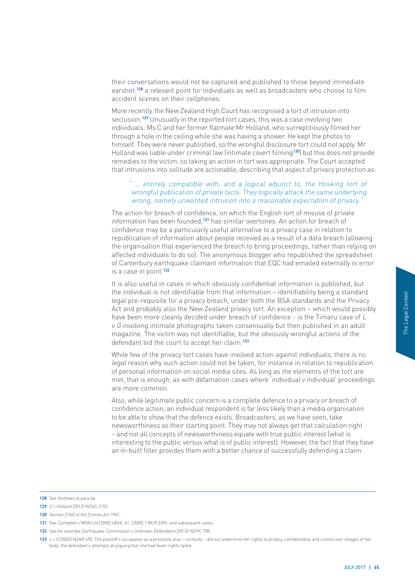their conversations would not be captured and published to those beyond immediate earshot:**128** a relevant point for individuals as well as broadcasters who choose to film accident scenes on their cellphones.

More recently, the New Zealand High Court has recognised a tort of intrusion into seclusion.**129** Unusually in the reported tort cases, this was a case involving two individuals: Ms C and her former flatmate Mr Holland, who surreptitiously filmed her through a hole in the ceiling while she was having a shower. He kept the photos to himself. They were never published, so the wrongful disclosure tort could not apply. Mr Holland was liable under criminal law (intimate covert filming**130**) but this does not provide remedies to the victim, so taking an action in tort was appropriate. The Court accepted that intrusions into solitude are actionable, describing that aspect of privacy protection as:

# " … entirely compatible with, and a logical adjunct to, the Hosking tort of wrongful publication of private facts. They logically attack the same underlying wrong, namely unwanted intrusion into a reasonable expectation of privacy.'

The action for breach of confidence, on which the English tort of misuse of private information has been founded,**131** has similar overtones. An action for breach of confidence may be a particularly useful alternative to a privacy case in relation to republication of information about people received as a result of a data breach (allowing the organisation that experienced the breach to bring proceedings, rather than relying on affected individuals to do so). The anonymous blogger who republished the spreadsheet of Canterbury earthquake claimant information that EQC had emailed externally in error is a case in point.**<sup>132</sup>**

It is also useful in cases in which obviously confidential information is published, but the individual is not identifiable from that information – identifiability being a standard legal pre-requisite for a privacy breach, under both the BSA standards and the Privacy Act and probably also the New Zealand privacy tort. An exception – which would possibly have been more cleanly decided under breach of confidence - is the Timaru case of L  $v$  G involving intimate photographs taken consensually but then published in an adult magazine. The victim was not identifiable, but the obviously wrongful actions of the defendant led the court to accept her claim.**<sup>133</sup>**

While few of the privacy tort cases have involved action against individuals, there is no legal reason why such action could not be taken, for instance in relation to republication of personal information on social media sites. As long as the elements of the tort are met, that is enough, as with defamation cases where 'individual v individual' proceedings are more common.

biandard<br>
e Privacy<br>
Ild possibly<br>
ase of *L*<br>
In adult<br>
of the<br>
rre is no<br>
unblication<br>
cort are<br>
oceedings<br>
ch of<br>
isation<br>
n right<br>
is<br>
tis<br>
they have<br>
claim.<br>
The Legal Context<br>
Claim.<br>
The Legal Context<br>
Claim.<br>
The L Also, while legitimate public concern is a complete defence to a privacy or breach of confidence action, an individual respondent is far less likely than a media organisation to be able to show that the defence exists. Broadcasters, as we have seen, take newsworthiness as their starting point. They may not always get that calculation right – and not all concepts of newsworthiness equate with true public interest (what is interesting to the public versus what is of public interest). However, the fact that they have an in-built filter provides them with a better chance of successfully defending a claim.

**<sup>128</sup>** See Andrews at para 66

**<sup>129</sup>** C v Holland [2012] NZHC 2155.

**<sup>130</sup>** Section 216G of the Crimes Act 1961.

**<sup>131</sup>** See Campbell v MGN Ltd [2005] UKHL 61; [2005] 1 WLR 3394, and subsequent cases.

<sup>132</sup> See for example *Earthquake Commission v Unknown Defendants* [2013/ NZHC 708.

**<sup>133</sup>** L v G [2002] NZAR 495. The plaintiff's occupation as a prostitute also – correctly – did not undermine her rights to privacy, confidentiality and control over images of her body: the defendant's attempts at arguing that she had fewer rights failed.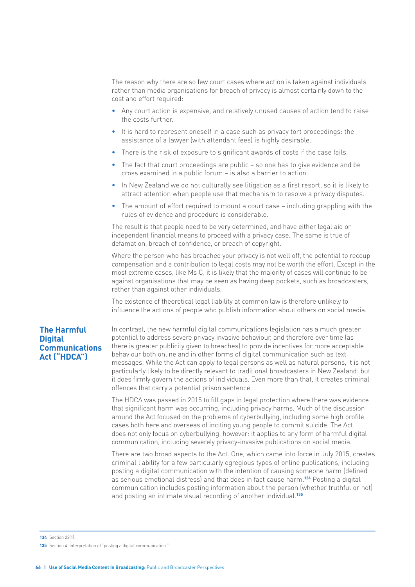The reason why there are so few court cases where action is taken against individuals rather than media organisations for breach of privacy is almost certainly down to the cost and effort required:

- Any court action is expensive, and relatively unused causes of action tend to raise the costs further.
- It is hard to represent oneself in a case such as privacy tort proceedings: the assistance of a lawyer (with attendant fees) is highly desirable.
- There is the risk of exposure to significant awards of costs if the case fails.
- The fact that court proceedings are public so one has to give evidence and be cross examined in a public forum – is also a barrier to action.
- In New Zealand we do not culturally see litigation as a first resort, so it is likely to attract attention when people use that mechanism to resolve a privacy disputes.
- The amount of effort required to mount a court case including grappling with the rules of evidence and procedure is considerable.

The result is that people need to be very determined, and have either legal aid or independent financial means to proceed with a privacy case. The same is true of defamation, breach of confidence, or breach of copyright.

Where the person who has breached your privacy is not well off, the potential to recoup compensation and a contribution to legal costs may not be worth the effort. Except in the most extreme cases, like Ms C, it is likely that the majority of cases will continue to be against organisations that may be seen as having deep pockets, such as broadcasters, rather than against other individuals.

The existence of theoretical legal liability at common law is therefore unlikely to influence the actions of people who publish information about others on social media.

# **The Harmful Digital Communications Act ("HDCA")**

In contrast, the new harmful digital communications legislation has a much greater potential to address severe privacy invasive behaviour, and therefore over time (as there is greater publicity given to breaches) to provide incentives for more acceptable behaviour both online and in other forms of digital communication such as text messages. While the Act can apply to legal persons as well as natural persons, it is not particularly likely to be directly relevant to traditional broadcasters in New Zealand: but it does firmly govern the actions of individuals. Even more than that, it creates criminal offences that carry a potential prison sentence.

The HDCA was passed in 2015 to fill gaps in legal protection where there was evidence that significant harm was occurring, including privacy harms. Much of the discussion around the Act focused on the problems of cyberbullying, including some high profile cases both here and overseas of inciting young people to commit suicide. The Act does not only focus on cyberbullying, however: it applies to any form of harmful digital communication, including severely privacy-invasive publications on social media.

There are two broad aspects to the Act. One, which came into force in July 2015, creates criminal liability for a few particularly egregious types of online publications, including posting a digital communication with the intention of causing someone harm (defined as serious emotional distress) and that does in fact cause harm.**134** Posting a digital communication includes posting information about the person (whether truthful or not) and posting an intimate visual recording of another individual.**<sup>135</sup>**

**134** Section 22(1).

**<sup>135</sup>** Section 4: interpretation of "posting a digital communication."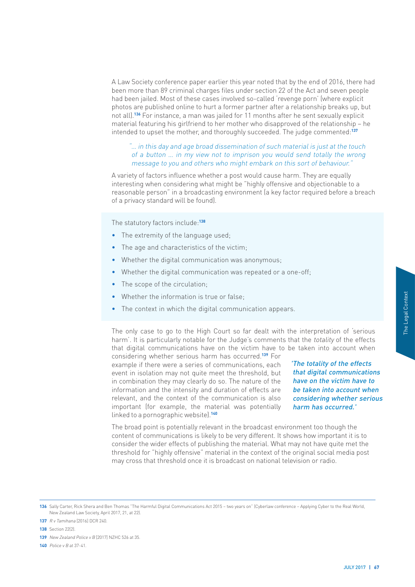A Law Society conference paper earlier this year noted that by the end of 2016, there had been more than 89 criminal charges files under section 22 of the Act and seven people had been jailed. Most of these cases involved so-called 'revenge porn' (where explicit photos are published online to hurt a former partner after a relationship breaks up, but not all).**136** For instance, a man was jailed for 11 months after he sent sexually explicit material featuring his girlfriend to her mother who disapproved of the relationship – he intended to upset the mother, and thoroughly succeeded. The judge commented:**<sup>137</sup>**

# "… in this day and age broad dissemination of such material is just at the touch of a button … in my view not to imprison you would send totally the wrong message to you and others who might embark on this sort of behaviour."

A variety of factors influence whether a post would cause harm. They are equally interesting when considering what might be "highly offensive and objectionable to a reasonable person" in a broadcasting environment (a key factor required before a breach of a privacy standard will be found).

The statutory factors include:**<sup>138</sup>**

- The extremity of the language used:
- The age and characteristics of the victim;
- Whether the digital communication was anonymous;
- Whether the digital communication was repeated or a one-off;
- The scope of the circulation:
- Whether the information is true or false;
- The context in which the digital communication appears.

The only case to go to the High Court so far dealt with the interpretation of 'serious harm'. It is particularly notable for the Judge's comments that the *totality* of the effects that digital communications have on the victim have to be taken into account when

considering whether serious harm has occurred.**139** For example if there were a series of communications, each event in isolation may not quite meet the threshold, but in combination they may clearly do so. The nature of the information and the intensity and duration of effects are relevant, and the context of the communication is also important (for example, the material was potentially linked to a pornographic website).**<sup>140</sup>**

of 'serious<br>
the effects<br>
ount when<br> **ne effects**<br>
munications<br>
im have to<br>
count when<br>
ther serious<br>
red.'<br>
in the<br>
inter the<br>
edia post<br>
Real World,<br>
Real World,<br>
Real World, 'The totality of the effects that digital communications have on the victim have to be taken into account when considering whether serious harm has occurred.'

The broad point is potentially relevant in the broadcast environment too though the content of communications is likely to be very different. It shows how important it is to consider the wider effects of publishing the material. What may not have quite met the threshold for "highly offensive" material in the context of the original social media post may cross that threshold once it is broadcast on national television or radio.

**136** Sally Carter, Rick Shera and Ben Thomas "The Harmful Digital Communications Act 2015 – two years on" (Cyberlaw conference – Applying Cyber to the Real World, New Zealand Law Society, April 2017, 21, at 22).

- **138** Section 22(2).
- **139** New Zealand Police v B [2017] NZHC 526 at 35.

**140** Police v B at 37-41.

**<sup>137</sup>** R v Tamihana [2016] DCR 240.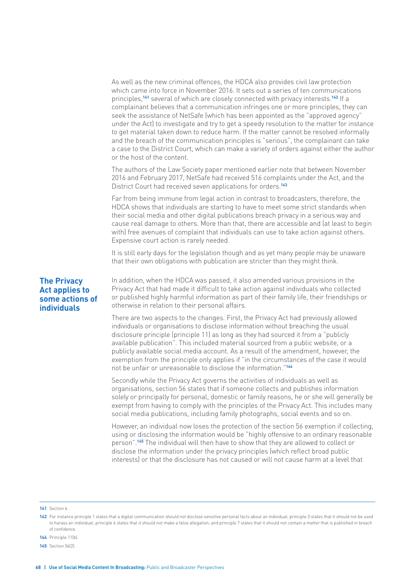As well as the new criminal offences, the HDCA also provides civil law protection which came into force in November 2016. It sets out a series of ten communications principles,**141** several of which are closely connected with privacy interests.**142** If a complainant believes that a communication infringes one or more principles, they can seek the assistance of NetSafe (which has been appointed as the "approved agency" under the Act) to investigate and try to get a speedy resolution to the matter for instance to get material taken down to reduce harm. If the matter cannot be resolved informally and the breach of the communication principles is "serious", the complainant can take a case to the District Court, which can make a variety of orders against either the author or the host of the content.

The authors of the Law Society paper mentioned earlier note that between November 2016 and February 2017, NetSafe had received 516 complaints under the Act, and the District Court had received seven applications for orders.**<sup>143</sup>**

Far from being immune from legal action in contrast to broadcasters, therefore, the HDCA shows that individuals are starting to have to meet some strict standards when their social media and other digital publications breach privacy in a serious way and cause real damage to others. More than that, there are accessible and (at least to begin with) free avenues of complaint that individuals can use to take action against others. Expensive court action is rarely needed.

It is still early days for the legislation though and as yet many people may be unaware that their own obligations with publication are stricter than they might think.

# **The Privacy Act applies to some actions of individuals**

In addition, when the HDCA was passed, it also amended various provisions in the Privacy Act that had made it difficult to take action against individuals who collected or published highly harmful information as part of their family life, their friendships or otherwise in relation to their personal affairs.

There are two aspects to the changes. First, the Privacy Act had previously allowed individuals or organisations to disclose information without breaching the usual disclosure principle (principle 11) as long as they had sourced it from a "publicly available publication". This included material sourced from a public website, or a publicly available social media account. As a result of the amendment, however, the exemption from the principle only applies if "in the circumstances of the case it would not be unfair or unreasonable to disclose the information."**<sup>144</sup>**

Secondly while the Privacy Act governs the activities of individuals as well as organisations, section 56 states that if someone collects and publishes information solely or principally for personal, domestic or family reasons, he or she will generally be exempt from having to comply with the principles of the Privacy Act. This includes many social media publications, including family photographs, social events and so on.

However, an individual now loses the protection of the section 56 exemption if collecting, using or disclosing the information would be "highly offensive to an ordinary reasonable person".**145** The individual will then have to show that they are allowed to collect or disclose the information under the privacy principles (which reflect broad public interests) or that the disclosure has not caused or will not cause harm at a level that

#### **141** Section 6.

- **144** Principle 11(b).
- **145** Section 56(2).

**<sup>142</sup>** For instance principle 1 states that a digital communication should not disclose sensitive personal facts about an individual; principle 3 states that it should not be used to harass an individual; principle 6 states that it should not make a false allegation; and principle 7 states that it should not contain a matter that is published in breach of confidence.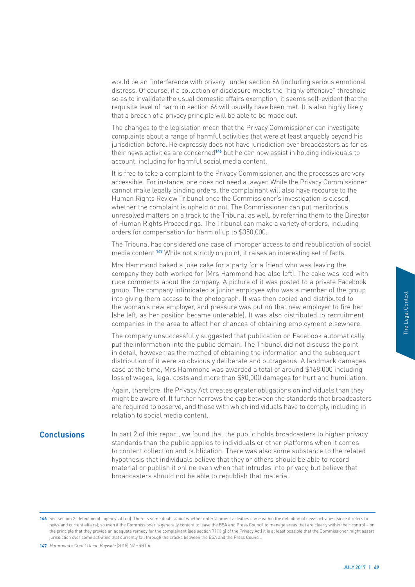would be an "interference with privacy" under section 66 (including serious emotional distress. Of course, if a collection or disclosure meets the "highly offensive" threshold so as to invalidate the usual domestic affairs exemption, it seems self-evident that the requisite level of harm in section 66 will usually have been met. It is also highly likely that a breach of a privacy principle will be able to be made out.

The changes to the legislation mean that the Privacy Commissioner can investigate complaints about a range of harmful activities that were at least arguably beyond his jurisdiction before. He expressly does not have jurisdiction over broadcasters as far as their news activities are concerned**146** but he can now assist in holding individuals to account, including for harmful social media content.

It is free to take a complaint to the Privacy Commissioner, and the processes are very accessible. For instance, one does not need a lawyer. While the Privacy Commissioner cannot make legally binding orders, the complainant will also have recourse to the Human Rights Review Tribunal once the Commissioner's investigation is closed, whether the complaint is upheld or not. The Commissioner can put meritorious unresolved matters on a track to the Tribunal as well, by referring them to the Director of Human Rights Proceedings. The Tribunal can make a variety of orders, including orders for compensation for harm of up to \$350,000.

The Tribunal has considered one case of improper access to and republication of social media content.**147** While not strictly on point, it raises an interesting set of facts.

Mrs Hammond baked a joke cake for a party for a friend who was leaving the company they both worked for (Mrs Hammond had also left). The cake was iced with rude comments about the company. A picture of it was posted to a private Facebook group. The company intimidated a junior employee who was a member of the group into giving them access to the photograph. It was then copied and distributed to the woman's new employer, and pressure was put on that new employer to fire her (she left, as her position became untenable). It was also distributed to recruitment companies in the area to affect her chances of obtaining employment elsewhere.

The company unsuccessfully suggested that publication on Facebook automatically put the information into the public domain. The Tribunal did not discuss the point in detail, however, as the method of obtaining the information and the subsequent distribution of it were so obviously deliberate and outrageous. A landmark damages case at the time, Mrs Hammond was awarded a total of around \$168,000 including loss of wages, legal costs and more than \$90,000 damages for hurt and humiliation.

Again, therefore, the Privacy Act creates greater obligations on individuals than they might be aware of. It further narrows the gap between the standards that broadcasters are required to observe, and those with which individuals have to comply, including in relation to social media content.

Example the transformal of the transformal of the transformal of the transformal of the transformal context and that<br>a finite discussed and the discussed of the discussed of the transformal of that<br>that<br>that<br>that that<br>that **Conclusions** In part 2 of this report, we found that the public holds broadcasters to higher privacy standards than the public applies to individuals or other platforms when it comes to content collection and publication. There was also some substance to the related hypothesis that individuals believe that they or others should be able to record material or publish it online even when that intrudes into privacy, but believe that broadcasters should not be able to republish that material.

**147** Hammond v Credit Union Baywide [2015] NZHRRT 6.

**<sup>146</sup>** See section 2: definition of 'agency' at (xiii). There is some doubt about whether entertainment activities come within the definition of news activities (since it refers to news and current affairs); so even if the Commissioner is generally content to leave the BSA and Press Council to manage areas that are clearly within their control – on the principle that they provide an adequate remedy for the complainant (see section 71(1)(g) of the Privacy Act) it is at least possible that the Commissioner might assert jurisdiction over some activities that currently fall through the cracks between the BSA and the Press Council.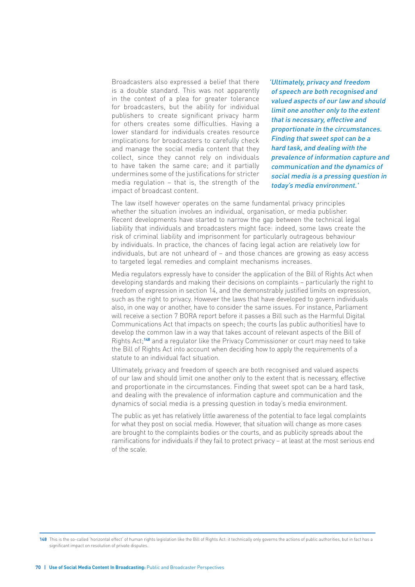Broadcasters also expressed a belief that there is a double standard. This was not apparently in the context of a plea for greater tolerance for broadcasters, but the ability for individual publishers to create significant privacy harm for others creates some difficulties. Having a lower standard for individuals creates resource implications for broadcasters to carefully check and manage the social media content that they collect, since they cannot rely on individuals to have taken the same care; and it partially undermines some of the justifications for stricter media regulation – that is, the strength of the impact of broadcast content.

'Ultimately, privacy and freedom of speech are both recognised and valued aspects of our law and should limit one another only to the extent that is necessary, effective and proportionate in the circumstances. Finding that sweet spot can be a hard task, and dealing with the prevalence of information capture and communication and the dynamics of social media is a pressing question in today's media environment.'

The law itself however operates on the same fundamental privacy principles whether the situation involves an individual, organisation, or media publisher. Recent developments have started to narrow the gap between the technical legal liability that individuals and broadcasters might face: indeed, some laws create the risk of criminal liability and imprisonment for particularly outrageous behaviour by individuals. In practice, the chances of facing legal action are relatively low for individuals, but are not unheard of – and those chances are growing as easy access to targeted legal remedies and complaint mechanisms increases.

Media regulators expressly have to consider the application of the Bill of Rights Act when developing standards and making their decisions on complaints – particularly the right to freedom of expression in section 14, and the demonstrably justified limits on expression, such as the right to privacy. However the laws that have developed to govern individuals also, in one way or another, have to consider the same issues. For instance, Parliament will receive a section 7 BORA report before it passes a Bill such as the Harmful Digital Communications Act that impacts on speech; the courts (as public authorities) have to develop the common law in a way that takes account of relevant aspects of the Bill of Rights Act;**<sup>148</sup>** and a regulator like the Privacy Commissioner or court may need to take the Bill of Rights Act into account when deciding how to apply the requirements of a statute to an individual fact situation.

Ultimately, privacy and freedom of speech are both recognised and valued aspects of our law and should limit one another only to the extent that is necessary, effective and proportionate in the circumstances. Finding that sweet spot can be a hard task, and dealing with the prevalence of information capture and communication and the dynamics of social media is a pressing question in today's media environment.

The public as yet has relatively little awareness of the potential to face legal complaints for what they post on social media. However, that situation will change as more cases are brought to the complaints bodies or the courts, and as publicity spreads about the ramifications for individuals if they fail to protect privacy – at least at the most serious end of the scale.

**<sup>148</sup>** This is the so-called 'horizontal effect' of human rights legislation like the Bill of Rights Act: it technically only governs the actions of public authorities, but in fact has a significant impact on resolution of private disputes.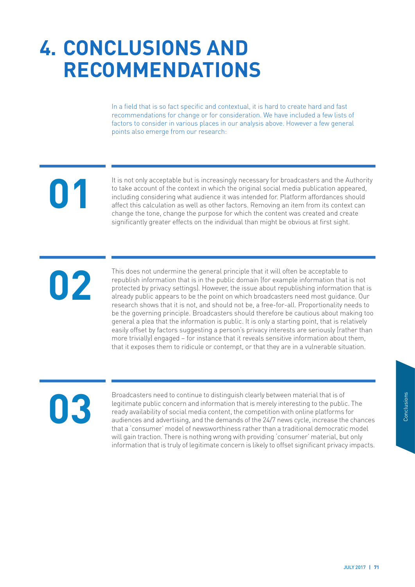# **4. CONCLUSIONS AND RECOMMENDATIONS**

In a field that is so fact specific and contextual, it is hard to create hard and fast recommendations for change or for consideration. We have included a few lists of factors to consider in various places in our analysis above. However a few general points also emerge from our research:

**01**

It is not only acceptable but is increasingly necessary for broadcasters and the Authority to take account of the context in which the original social media publication appeared, including considering what audience it was intended for. Platform affordances should affect this calculation as well as other factors. Removing an item from its context can change the tone, change the purpose for which the content was created and create significantly greater effects on the individual than might be obvious at first sight.

**02**

This does not undermine the general principle that it will often be acceptable to republish information that is in the public domain (for example information that is not protected by privacy settings). However, the issue about republishing information that is already public appears to be the point on which broadcasters need most guidance. Our research shows that it is not, and should not be, a free-for-all. Proportionality needs to be the governing principle. Broadcasters should therefore be cautious about making too general a plea that the information is public. It is only a starting point, that is relatively easily offset by factors suggesting a person's privacy interests are seriously (rather than more trivially) engaged – for instance that it reveals sensitive information about them, that it exposes them to ridicule or contempt, or that they are in a vulnerable situation.

# **03**

f<br>
ic. The<br>
s for<br>
the chances<br>
ic model<br>
ut only<br>
y impacts.<br> **JULY 2017 | 71** Broadcasters need to continue to distinguish clearly between material that is of legitimate public concern and information that is merely interesting to the public. The ready availability of social media content, the competition with online platforms for audiences and advertising, and the demands of the 24/7 news cycle, increase the chances that a 'consumer' model of newsworthiness rather than a traditional democratic model will gain traction. There is nothing wrong with providing 'consumer' material, but only information that is truly of legitimate concern is likely to offset significant privacy impacts.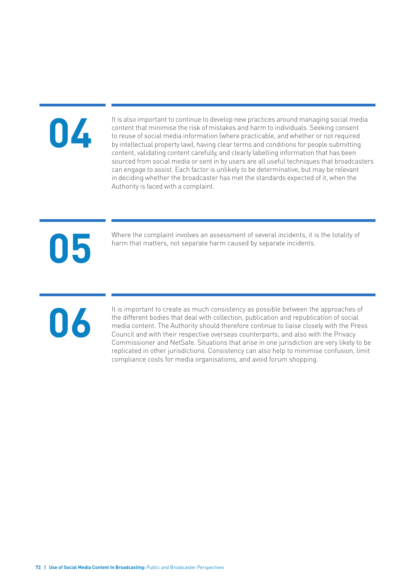# **04**

It is also important to continue to develop new practices around managing social media content that minimise the risk of mistakes and harm to individuals. Seeking consent to reuse of social media information (where practicable, and whether or not required by intellectual property law), having clear terms and conditions for people submitting content, validating content carefully, and clearly labelling information that has been sourced from social media or sent in by users are all useful techniques that broadcasters can engage to assist. Each factor is unlikely to be determinative, but may be relevant in deciding whether the broadcaster has met the standards expected of it, when the Authority is faced with a complaint.

# **05**

Where the complaint involves an assessment of several incidents, it is the totality of harm that matters, not separate harm caused by separate incidents.

# **06**

It is important to create as much consistency as possible between the approaches of the different bodies that deal with collection, publication and republication of social media content. The Authority should therefore continue to liaise closely with the Press Council and with their respective overseas counterparts; and also with the Privacy Commissioner and NetSafe. Situations that arise in one jurisdiction are very likely to be replicated in other jurisdictions. Consistency can also help to minimise confusion, limit compliance costs for media organisations, and avoid forum shopping.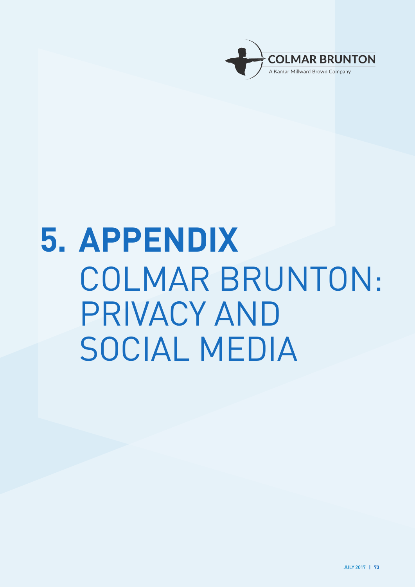

# **5. APPENDIX** COLMAR BRUNTON: PRIVACY AND SOCIAL MEDIA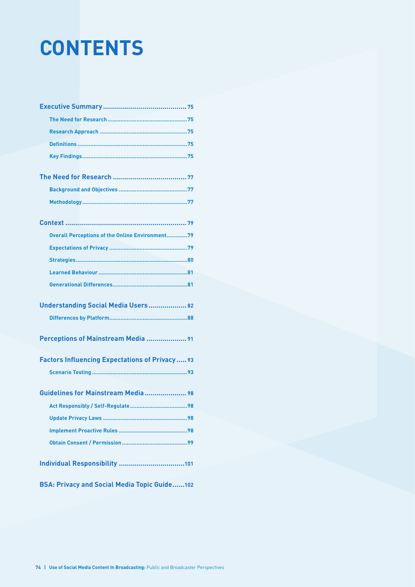# **CONTENTS**

| <b>Overall Perceptions of the Online Environment79</b> |
|--------------------------------------------------------|
|                                                        |
|                                                        |
|                                                        |
|                                                        |
| Understanding Social Media Users 82                    |
|                                                        |
| Perceptions of Mainstream Media  91                    |
| <b>Factors Influencing Expectations of Privacy 93</b>  |
|                                                        |
| Guidelines for Mainstream Media 98                     |
|                                                        |
| Update Privacy Laws<br>98                              |
|                                                        |
|                                                        |
|                                                        |
| <b>BSA: Privacy and Social Media Topic Guide102</b>    |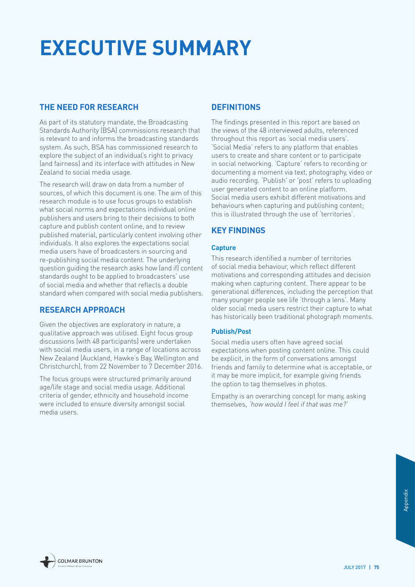# <span id="page-76-0"></span>**EXECUTIVE SUMMARY**

## **THE NEED FOR RESEARCH**

As part of its statutory mandate, the Broadcasting Standards Authority (BSA) commissions research that is relevant to and informs the broadcasting standards system. As such, BSA has commissioned research to explore the subject of an individual's right to privacy (and fairness) and its interface with attitudes in New Zealand to social media usage.

The research will draw on data from a number of sources, of which this document is one. The aim of this research module is to use focus groups to establish what social norms and expectations individual online publishers and users bring to their decisions to both capture and publish content online, and to review published material, particularly content involving other individuals. It also explores the expectations social media users have of broadcasters in sourcing and re-publishing social media content. The underlying question guiding the research asks how (and if) content standards ought to be applied to broadcasters' use of social media and whether that reflects a double standard when compared with social media publishers.

## **RESEARCH APPROACH**

Given the objectives are exploratory in nature, a qualitative approach was utilised. Eight focus group discussions (with 48 participants) were undertaken with social media users, in a range of locations across New Zealand (Auckland, Hawke's Bay, Wellington and Christchurch), from 22 November to 7 December 2016.

The focus groups were structured primarily around age/life stage and social media usage. Additional criteria of gender, ethnicity and household income were included to ensure diversity amongst social media users.

# **DEFINITIONS**

The findings presented in this report are based on the views of the 48 interviewed adults, referenced throughout this report as 'social media users'. 'Social Media' refers to any platform that enables users to create and share content or to participate in social networking. 'Capture' refers to recording or documenting a moment via text, photography, video or audio recording. 'Publish' or 'post' refers to uploading user generated content to an online platform. Social media users exhibit different motivations and behaviours when capturing and publishing content; this is illustrated through the use of 'territories'.

# **KEY FINDINGS**

#### **Capture**

This research identified a number of territories of social media behaviour, which reflect different motivations and corresponding attitudes and decision making when capturing content. There appear to be generational differences, including the perception that many younger people see life 'through a lens'. Many older social media users restrict their capture to what has historically been traditional photograph moments.

#### **Publish/Post**

Social media users often have agreed social expectations when posting content online. This could be explicit, in the form of conversations amongst friends and family to determine what is acceptable, or it may be more implicit, for example giving friends the option to tag themselves in photos.

Empathy is an overarching concept for many, asking themselves, 'how would I feel if that was me?'

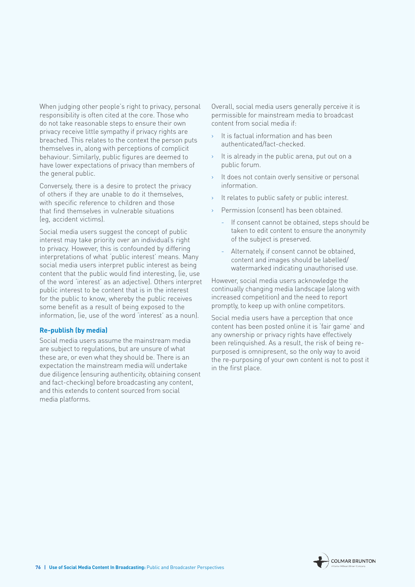When judging other people's right to privacy, personal responsibility is often cited at the core. Those who do not take reasonable steps to ensure their own privacy receive little sympathy if privacy rights are breached. This relates to the context the person puts themselves in, along with perceptions of complicit behaviour. Similarly, public figures are deemed to have lower expectations of privacy than members of the general public.

Conversely, there is a desire to protect the privacy of others if they are unable to do it themselves, with specific reference to children and those that find themselves in vulnerable situations (eg, accident victims).

Social media users suggest the concept of public interest may take priority over an individual's right to privacy. However, this is confounded by differing interpretations of what 'public interest' means. Many social media users interpret public interest as being content that the public would find interesting, (ie, use of the word 'interest' as an adjective). Others interpret public interest to be content that is in the interest for the public to know, whereby the public receives some benefit as a result of being exposed to the information, (ie, use of the word 'interest' as a noun).

#### **Re-publish (by media)**

Social media users assume the mainstream media are subject to regulations, but are unsure of what these are, or even what they should be. There is an expectation the mainstream media will undertake due diligence (ensuring authenticity, obtaining consent and fact-checking) before broadcasting any content, and this extends to content sourced from social media platforms.

Overall, social media users generally perceive it is permissible for mainstream media to broadcast content from social media if:

- It is factual information and has been authenticated/fact-checked.
- $\rightarrow$  It is already in the public arena, put out on a public forum.
- › It does not contain overly sensitive or personal information.
- It relates to public safety or public interest.
- Permission (consent) has been obtained.
	- If consent cannot be obtained, steps should be taken to edit content to ensure the anonymity of the subject is preserved.
	- Alternately, if consent cannot be obtained, content and images should be labelled/ watermarked indicating unauthorised use.

However, social media users acknowledge the continually changing media landscape (along with increased competition) and the need to report promptly, to keep up with online competitors.

Social media users have a perception that once content has been posted online it is 'fair game' and any ownership or privacy rights have effectively been relinquished. As a result, the risk of being repurposed is omnipresent, so the only way to avoid the re-purposing of your own content is not to post it in the first place.

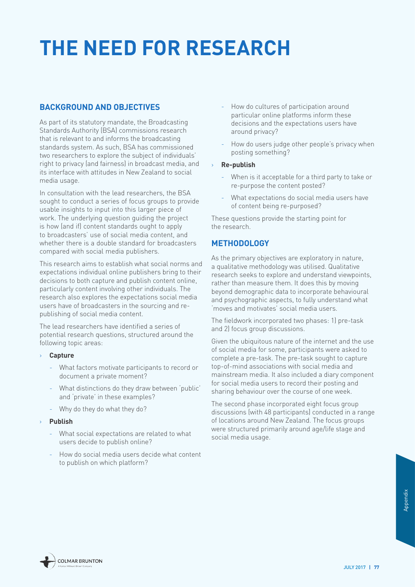# <span id="page-78-0"></span>**THE NEED FOR RESEARCH**

## **BACKGROUND AND OBJECTIVES**

As part of its statutory mandate, the Broadcasting Standards Authority (BSA) commissions research that is relevant to and informs the broadcasting standards system. As such, BSA has commissioned two researchers to explore the subject of individuals' right to privacy (and fairness) in broadcast media, and its interface with attitudes in New Zealand to social media usage.

In consultation with the lead researchers, the BSA sought to conduct a series of focus groups to provide usable insights to input into this larger piece of work. The underlying question guiding the project is how (and if) content standards ought to apply to broadcasters' use of social media content, and whether there is a double standard for broadcasters compared with social media publishers.

This research aims to establish what social norms and expectations individual online publishers bring to their decisions to both capture and publish content online, particularly content involving other individuals. The research also explores the expectations social media users have of broadcasters in the sourcing and republishing of social media content.

The lead researchers have identified a series of potential research questions, structured around the following topic areas:

- › **Capture**
	- What factors motivate participants to record or document a private moment?
	- What distinctions do they draw between 'public' and 'private' in these examples?
	- Why do they do what they do?
- › **Publish**
	- What social expectations are related to what users decide to publish online?
	- How do social media users decide what content to publish on which platform?
- How do cultures of participation around particular online platforms inform these decisions and the expectations users have around privacy?
- How do users judge other people's privacy when posting something?

#### › **Re-publish**

- When is it acceptable for a third party to take or re-purpose the content posted?
- What expectations do social media users have of content being re-purposed?

These questions provide the starting point for the research.

## **METHODOLOGY**

As the primary objectives are exploratory in nature, a qualitative methodology was utilised. Qualitative research seeks to explore and understand viewpoints, rather than measure them. It does this by moving beyond demographic data to incorporate behavioural and psychographic aspects, to fully understand what 'moves and motivates' social media users.

The fieldwork incorporated two phases: 1) pre-task and 2) focus group discussions.

Given the ubiquitous nature of the internet and the use of social media for some, participants were asked to complete a pre-task. The pre-task sought to capture top-of-mind associations with social media and mainstream media. It also included a diary component for social media users to record their posting and sharing behaviour over the course of one week.

The second phase incorporated eight focus group discussions (with 48 participants) conducted in a range of locations around New Zealand. The focus groups were structured primarily around age/life stage and social media usage.



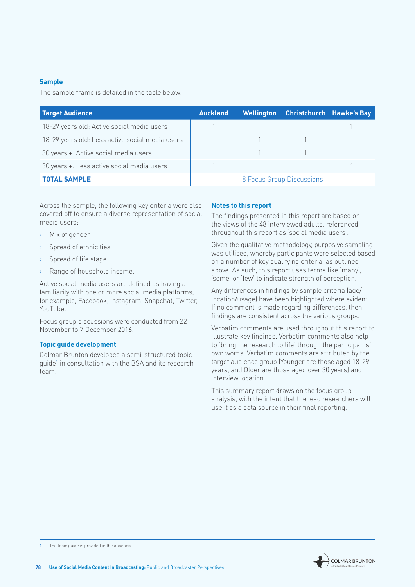#### **Sample**

The sample frame is detailed in the table below.

| Target Audience                                 | <b>Auckland</b>           |  | Wellington Christchurch Hawke's Bay |  |
|-------------------------------------------------|---------------------------|--|-------------------------------------|--|
| 18-29 years old: Active social media users      |                           |  |                                     |  |
| 18-29 years old: Less active social media users |                           |  |                                     |  |
| 30 years +: Active social media users           |                           |  |                                     |  |
| 30 years +: Less active social media users      |                           |  |                                     |  |
| <b>TOTAL SAMPLE</b>                             | 8 Focus Group Discussions |  |                                     |  |

Across the sample, the following key criteria were also covered off to ensure a diverse representation of social media users:

- › Mix of gender
- › Spread of ethnicities
- Spread of life stage
- Range of household income.

Active social media users are defined as having a familiarity with one or more social media platforms, for example, Facebook, Instagram, Snapchat, Twitter, YouTube.

Focus group discussions were conducted from 22 November to 7 December 2016.

#### **Topic guide development**

Colmar Brunton developed a semi-structured topic guide**<sup>1</sup>** in consultation with the BSA and its research team.

#### **Notes to this report**

The findings presented in this report are based on the views of the 48 interviewed adults, referenced throughout this report as 'social media users'.

Given the qualitative methodology, purposive sampling was utilised, whereby participants were selected based on a number of key qualifying criteria, as outlined above. As such, this report uses terms like 'many', 'some' or 'few' to indicate strength of perception.

Any differences in findings by sample criteria (age/ location/usage) have been highlighted where evident. If no comment is made regarding differences, then findings are consistent across the various groups.

Verbatim comments are used throughout this report to illustrate key findings. Verbatim comments also help to 'bring the research to life' through the participants' own words. Verbatim comments are attributed by the target audience group (Younger are those aged 18-29 years, and Older are those aged over 30 years) and interview location.

This summary report draws on the focus group analysis, with the intent that the lead researchers will use it as a data source in their final reporting.

**<sup>1</sup>** The topic guide is provided in the appendix.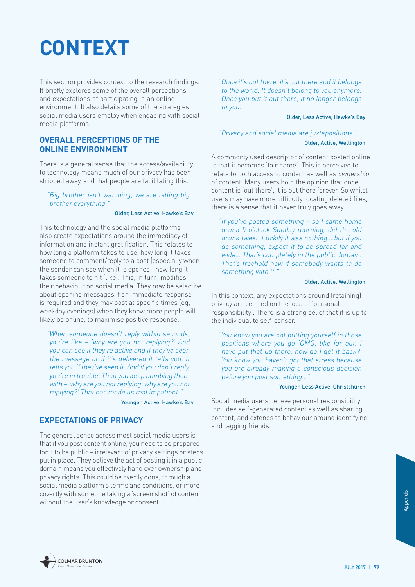# <span id="page-80-0"></span>**CONTEXT**

This section provides context to the research findings. It briefly explores some of the overall perceptions and expectations of participating in an online environment. It also details some of the strategies social media users employ when engaging with social media platforms.

#### **OVERALL PERCEPTIONS OF THE ONLINE ENVIRONMENT**

There is a general sense that the access/availability to technology means much of our privacy has been stripped away, and that people are facilitating this.

"Big brother isn't watching, we are telling big brother everything."

#### Older, Less Active, Hawke's Bay

This technology and the social media platforms also create expectations around the immediacy of information and instant gratification. This relates to how long a platform takes to use, how long it takes someone to comment/reply to a post (especially when the sender can see when it is opened), how long it takes someone to hit 'like'. This, in turn, modifies their behaviour on social media. They may be selective about opening messages if an immediate response is required and they may post at specific times (eg, weekday evenings) when they know more people will likely be online, to maximise positive response.

"When someone doesn't reply within seconds, you're like – 'why are you not replying?' And you can see if they're active and if they've seen the message or if it's delivered it tells you. It tells you if they've seen it. And if you don't reply, you're in trouble. Then you keep bombing them with – 'why are you not replying, why are you not replying?' That has made us real impatient."

Younger, Active, Hawke's Bay

#### **EXPECTATIONS OF PRIVACY**

The general sense across most social media users is that if you post content online, you need to be prepared for it to be public – irrelevant of privacy settings or steps put in place. They believe the act of posting it in a public domain means you effectively hand over ownership and privacy rights. This could be overtly done, through a social media platform's terms and conditions, or more covertly with someone taking a 'screen shot' of content without the user's knowledge or consent.

"Once it's out there, it's out there and it belongs to the world. It doesn't belong to you anymore. Once you put it out there, it no longer belongs to you."

#### Older, Less Active, Hawke's Bay

"Privacy and social media are juxtapositions."

#### Older, Active, Wellington

A commonly used descriptor of content posted online is that it becomes 'fair game'. This is perceived to relate to both access to content as well as ownership of content. Many users hold the opinion that once content is 'out there', it is out there forever. So whilst users may have more difficulty locating deleted files, there is a sense that it never truly goes away.

"If you've posted something – so I came home drunk 5 o'clock Sunday morning, did the old drunk tweet. Luckily it was nothing …but if you do something, expect it to be spread far and wide… That's completely in the public domain. That's freehold now if somebody wants to do something with it."

#### Older, Active, Wellington

In this context, any expectations around (retaining) privacy are centred on the idea of 'personal responsibility'. There is a strong belief that it is up to the individual to self-censor.

"You know you are not putting yourself in those positions where you go 'OMG, like far out, I have put that up there, how do I get it back?' You know you haven't got that stress because you are already making a conscious decision before you post something…"

#### Younger, Less Active, Christchurch

Social media users believe personal responsibility includes self-generated content as well as sharing content, and extends to behaviour around identifying and tagging friends.

**COLMAR BRUNTON**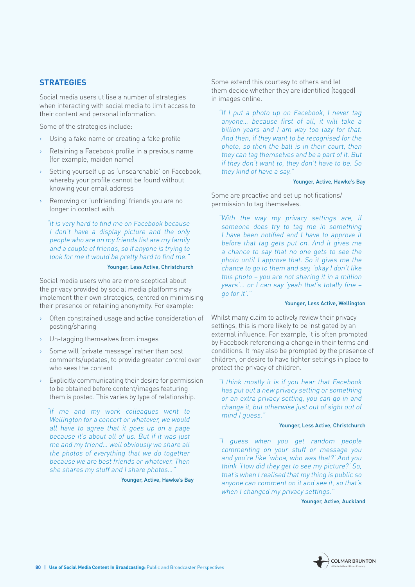### <span id="page-81-0"></span>**STRATEGIES**

Social media users utilise a number of strategies when interacting with social media to limit access to their content and personal information.

Some of the strategies include:

- Using a fake name or creating a fake profile
- Retaining a Facebook profile in a previous name (for example, maiden name)
- Setting yourself up as 'unsearchable' on Facebook, whereby your profile cannot be found without knowing your email address
- › Removing or 'unfriending' friends you are no longer in contact with.

"It is very hard to find me on Facebook because I don't have a display picture and the only people who are on my friends list are my family and a couple of friends, so if anyone is trying to look for me it would be pretty hard to find me."

#### Younger, Less Active, Christchurch

Social media users who are more sceptical about the privacy provided by social media platforms may implement their own strategies, centred on minimising their presence or retaining anonymity. For example:

- › Often constrained usage and active consideration of posting/sharing
- › Un-tagging themselves from images
- Some will 'private message' rather than post comments/updates, to provide greater control over who sees the content
- › Explicitly communicating their desire for permission to be obtained before content/images featuring them is posted. This varies by type of relationship.

"If me and my work colleagues went to Wellington for a concert or whatever, we would all have to agree that it goes up on a page because it's about all of us. But if it was just me and my friend… well obviously we share all the photos of everything that we do together because we are best friends or whatever. Then she shares my stuff and I share photos…"

Younger, Active, Hawke's Bay

Some extend this courtesy to others and let them decide whether they are identified (tagged) in images online.

"If I put a photo up on Facebook, I never tag anyone… because first of all, it will take a billion years and I am way too lazy for that. And then, if they want to be recognised for the photo, so then the ball is in their court, then they can tag themselves and be a part of it. But if they don't want to, they don't have to be. So they kind of have a say.'

#### Younger, Active, Hawke's Bay

Some are proactive and set up notifications/ permission to tag themselves.

"With the way my privacy settings are, if someone does try to tag me in something I have been notified and I have to approve it before that tag gets put on. And it gives me a chance to say that no one gets to see the photo until I approve that. So it gives me the chance to go to them and say, 'okay I don't like this photo – you are not sharing it in a million years'… or I can say 'yeah that's totally fine – go for it'."

#### Younger, Less Active, Wellington

Whilst many claim to actively review their privacy settings, this is more likely to be instigated by an external influence. For example, it is often prompted by Facebook referencing a change in their terms and conditions. It may also be prompted by the presence of children, or desire to have tighter settings in place to protect the privacy of children.

"I think mostly it is if you hear that Facebook has put out a new privacy setting or something or an extra privacy setting, you can go in and change it, but otherwise just out of sight out of mind I guess."

#### Younger, Less Active, Christchurch

"I guess when you get random people commenting on your stuff or message you and you're like 'whoa, who was that?' And you think 'How did they get to see my picture?' So, that's when I realised that my thing is public so anyone can comment on it and see it, so that's when I changed my privacy settings.'

Younger, Active, Auckland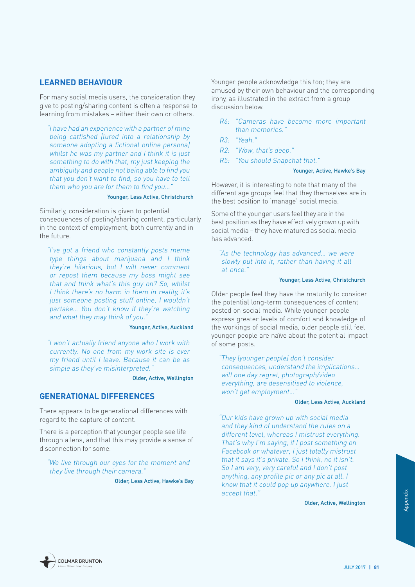#### <span id="page-82-0"></span>**LEARNED BEHAVIOUR**

For many social media users, the consideration they give to posting/sharing content is often a response to learning from mistakes – either their own or others.

"I have had an experience with a partner of mine being catfished [lured into a relationship by someone adopting a fictional online persona] whilst he was my partner and I think it is just something to do with that, my just keeping the ambiguity and people not being able to find you that you don't want to find, so you have to tell them who you are for them to find you...'

#### Younger, Less Active, Christchurch

Similarly, consideration is given to potential consequences of posting/sharing content, particularly in the context of employment, both currently and in the future.

"I've got a friend who constantly posts meme type things about marijuana and I think they're hilarious, but I will never comment or repost them because my boss might see that and think what's this guy on? So, whilst I think there's no harm in them in reality, it's just someone posting stuff online, I wouldn't partake… You don't know if they're watching and what they may think of you."

#### Younger, Active, Auckland

"I won't actually friend anyone who I work with currently. No one from my work site is ever my friend until I leave. Because it can be as simple as they've misinterpreted."

Older, Active, Wellington

#### **GENERATIONAL DIFFERENCES**

There appears to be generational differences with regard to the capture of content.

There is a perception that younger people see life through a lens, and that this may provide a sense of disconnection for some.

"We live through our eyes for the moment and they live through their camera."

Older, Less Active, Hawke's Bay

Younger people acknowledge this too; they are amused by their own behaviour and the corresponding irony, as illustrated in the extract from a group discussion below.

- R6: "Cameras have become more important than memories."
- R3: "Yeah."
- R2: "Wow, that's deep."
- R5: "You should Snapchat that."

#### Younger, Active, Hawke's Bay

However, it is interesting to note that many of the different age groups feel that they themselves are in the best position to 'manage' social media.

Some of the younger users feel they are in the best position as they have effectively grown up with social media – they have matured as social media has advanced.

"As the technology has advanced… we were slowly put into it, rather than having it all at once."

#### Younger, Less Active, Christchurch

Older people feel they have the maturity to consider the potential long-term consequences of content posted on social media. While younger people express greater levels of comfort and knowledge of the workings of social media, older people still feel younger people are naïve about the potential impact of some posts.

"They [younger people] don't consider consequences, understand the implications… will one day regret, photograph/video everything, are desensitised to violence, won't get employment…"

#### Older, Less Active, Auckland

"Our kids have grown up with social media and they kind of understand the rules on a different level, whereas I mistrust everything. That's why I'm saying, if I post something on Facebook or whatever, I just totally mistrust that it says it's private. So I think, no it isn't. So I am very, very careful and I don't post anything, any profile pic or any pic at all. I know that it could pop up anywhere. I just accept that."

Older, Active, Wellington

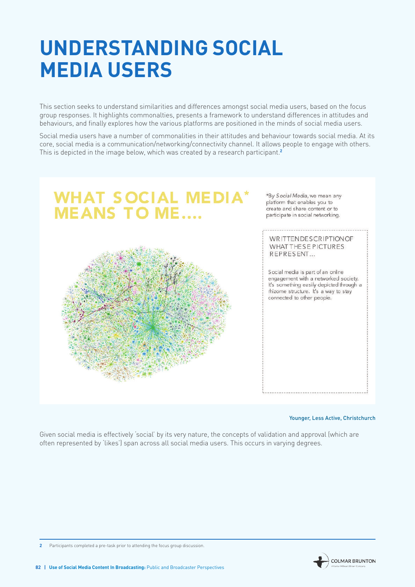# <span id="page-83-0"></span>**UNDERSTANDING SOCIAL MEDIA USERS**

This section seeks to understand similarities and differences amongst social media users, based on the focus group responses. It highlights commonalties, presents a framework to understand differences in attitudes and behaviours, and finally explores how the various platforms are positioned in the minds of social media users.

Social media users have a number of commonalities in their attitudes and behaviour towards social media. At its core, social media is a communication/networking/connectivity channel. It allows people to engage with others. This is depicted in the image below, which was created by a research participant.**<sup>2</sup>**



\*By Social Media, we mean any platform that enables you to create and share content or to participate in social networking.

#### **WRITTENDESCRIPTION OF** WHAT THESE PICTURES REPRESENT...

Social media is part of an online engagement with a networked society. It's something easily depicted through a rhizome structure. It's a way to stay connected to other people.

#### Younger, Less Active, Christchurch

Given social media is effectively 'social' by its very nature, the concepts of validation and approval (which are often represented by 'likes') span across all social media users. This occurs in varying degrees.

**2** Participants completed a pre-task prior to attending the focus group discussion.

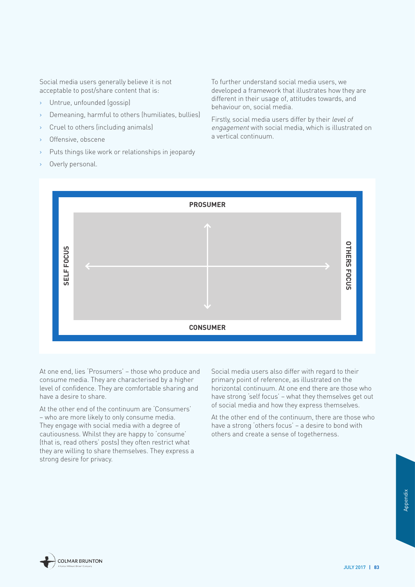Social media users generally believe it is not acceptable to post/share content that is:

- › Untrue, unfounded (gossip)
- Demeaning, harmful to others (humiliates, bullies)
- Cruel to others (including animals)
- Offensive, obscene
- Puts things like work or relationships in jeopardy
- Overly personal.

To further understand social media users, we developed a framework that illustrates how they are different in their usage of, attitudes towards, and behaviour on, social media.

Firstly, social media users differ by their level of engagemen<sup>t</sup> with social media, which is illustrated on a vertical continuum.



At one end, lies 'Prosumers' – those who produce and consume media. They are characterised by a higher level of confidence. They are comfortable sharing and have a desire to share.

At the other end of the continuum are 'Consumers' – who are more likely to only consume media. They engage with social media with a degree of cautiousness. Whilst they are happy to 'consume' (that is, read others' posts) they often restrict what they are willing to share themselves. They express a Social media users also differ with regard to their primary point of reference, as illustrated on the horizontal continuum. At one end there are those who have strong 'self focus' – what they themselves get out of social media and how they express themselves.

At the other end of the continuum, there are those who have a strong 'others focus' – a desire to bond with others and create a sense of togetherness.

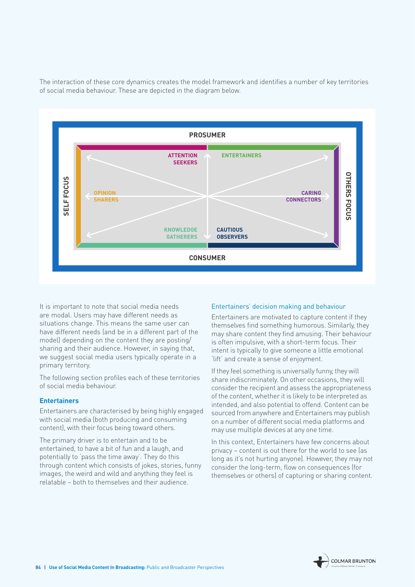The interaction of these core dynamics creates the model framework and identifies a number of key territories of social media behaviour. These are depicted in the diagram below.



It is important to note that social media needs are modal. Users may have different needs as situations change. This means the same user can have different needs (and be in a different part of the model) depending on the content they are posting/ sharing and their audience. However, in saying that we suggest social media users typically operate in a primary territory.

The following section profiles each of these territories of social media behaviour.

#### **Entertainers**

Entertainers are characterised by being highly engaged with social media (both producing and consuming content), with their focus being toward others.

The primary driver is to entertain and to be entertained, to have a bit of fun and a laugh, and potentially to 'pass the time away'. They do this through content which consists of jokes, stories, funny images, the weird and wild and anything they feel is relatable – both to themselves and their audience.

#### Entertainers' decision making and behaviour

Entertainers are motivated to capture content if they themselves find something humorous. Similarly, they may share content they find amusing. Their behaviour is often impulsive, with a short-term focus. Their intent is typically to give someone a little emotional 'lift' and create a sense of enjoyment.

If they feel something is universally funny, they will share indiscriminately. On other occasions, they will consider the recipient and assess the appropriateness of the content, whether it is likely to be interpreted as intended, and also potential to offend. Content can be sourced from anywhere and Entertainers may publish on a number of different social media platforms and may use multiple devices at any one time.

In this context, Entertainers have few concerns about privacy – content is out there for the world to see (as long as it's not hurting anyone). However, they may not consider the long-term, flow on consequences (for themselves or others) of capturing or sharing content.

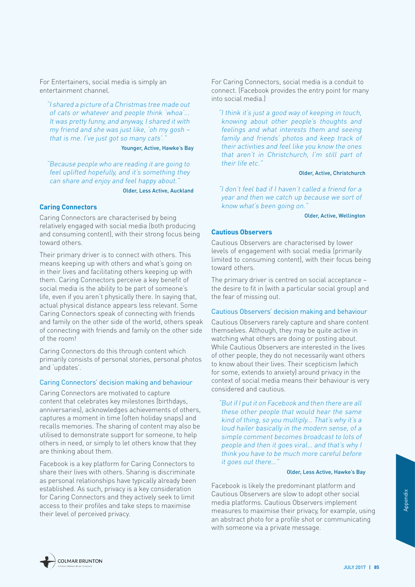For Entertainers, social media is simply an entertainment channel.

"I shared a picture of a Christmas tree made out of cats or whatever and people think 'whoa'... It was pretty funny, and anyway, I shared it with my friend and she was just like, 'oh my gosh – that is me. I've just got so many cats'.

#### Younger, Active, Hawke's Bay

"Because people who are reading it are going to feel uplifted hopefully, and it's something they can share and enjoy and feel happy about.

Older, Less Active, Auckland

#### **Caring Connectors**

Caring Connectors are characterised by being relatively engaged with social media (both producing and consuming content), with their strong focus being toward others.

Their primary driver is to connect with others. This means keeping up with others and what's going on in their lives and facilitating others keeping up with them. Caring Connectors perceive a key benefit of social media is the ability to be part of someone's life, even if you aren't physically there. In saying that, actual physical distance appears less relevant. Some Caring Connectors speak of connecting with friends and family on the other side of the world, others speak of connecting with friends and family on the other side of the room!

Caring Connectors do this through content which primarily consists of personal stories, personal photos and 'updates'.

#### Caring Connectors' decision making and behaviour

Caring Connectors are motivated to capture content that celebrates key milestones (birthdays, anniversaries), acknowledges achievements of others, captures a moment in time (often holiday snaps) and recalls memories. The sharing of content may also be utilised to demonstrate support for someone, to help others in need, or simply to let others know that they are thinking about them.

Facebook is a key platform for Caring Connectors to share their lives with others. Sharing is discriminate as personal relationships have typically already been established. As such, privacy is a key consideration for Caring Connectors and they actively seek to limit access to their profiles and take steps to maximise their level of perceived privacy.

For Caring Connectors, social media is a conduit to connect. (Facebook provides the entry point for many into social media.)

"I think it's just a good way of keeping in touch, knowing about other people's thoughts and feelings and what interests them and seeing family and friends' photos and keep track of their activities and feel like you know the ones that aren't in Christchurch, I'm still part of their life etc."

#### Older, Active, Christchurch

"I don't feel bad if I haven't called a friend for a year and then we catch up because we sort of know what's been going on."

Older, Active, Wellington

#### **Cautious Observers**

Cautious Observers are characterised by lower levels of engagement with social media (primarily limited to consuming content), with their focus being toward others.

The primary driver is centred on social acceptance – the desire to fit in (with a particular social group) and the fear of missing out.

#### Cautious Observers' decision making and behaviour

Cautious Observers rarely capture and share content themselves. Although, they may be quite active in watching what others are doing or posting about. While Cautious Observers are interested in the lives of other people, they do not necessarily want others to know about their lives. Their scepticism (which for some, extends to anxiety) around privacy in the context of social media means their behaviour is very considered and cautious.

"But if I put it on Facebook and then there are all these other people that would hear the same kind of thing, so you multiply... That's why it's a loud hailer basically in the modern sense, of a simple comment becomes broadcast to lots of people and then it goes viral… and that's why I think you have to be much more careful before it goes out there…"

#### Older, Less Active, Hawke's Bay

Social<br>
ment<br>
mple, using<br>
unicating<br>
UULY 2017 **| 85**<br> **SOCIE 185** Facebook is likely the predominant platform and Cautious Observers are slow to adopt other social media platforms. Cautious Observers implement measures to maximise their privacy, for example, using an abstract photo for a profile shot or communicating with someone via a private message.

**COLMAR BRUNTON**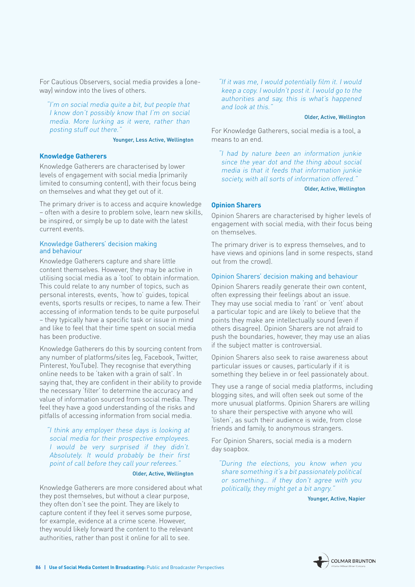For Cautious Observers, social media provides a (oneway) window into the lives of others.

"I'm on social media quite a bit, but people that I know don't possibly know that I'm on social media. More lurking as it were, rather than posting stuff out there."

#### Younger, Less Active, Wellington

#### **Knowledge Gatherers**

Knowledge Gatherers are characterised by lower levels of engagement with social media (primarily limited to consuming content), with their focus being on themselves and what they get out of it.

The primary driver is to access and acquire knowledge – often with a desire to problem solve, learn new skills, be inspired, or simply be up to date with the latest current events.

#### Knowledge Gatherers' decision making and behaviour

Knowledge Gatherers capture and share little content themselves. However, they may be active in utilising social media as a 'tool' to obtain information. This could relate to any number of topics, such as personal interests, events, 'how to' guides, topical events, sports results or recipes, to name a few. Their accessing of information tends to be quite purposeful – they typically have a specific task or issue in mind and like to feel that their time spent on social media has been productive.

Knowledge Gatherers do this by sourcing content from any number of platforms/sites (eg, Facebook, Twitter, Pinterest, YouTube). They recognise that everything online needs to be 'taken with a grain of salt'. In saying that, they are confident in their ability to provide the necessary 'filter' to determine the accuracy and value of information sourced from social media. They feel they have a good understanding of the risks and pitfalls of accessing information from social media.

"I think any employer these days is looking at social media for their prospective employees. I would be very surprised if they didn't. Absolutely. It would probably be their first point of call before they call your referees."

#### Older, Active, Wellington

Knowledge Gatherers are more considered about what they post themselves, but without a clear purpose, they often don't see the point. They are likely to capture content if they feel it serves some purpose, for example, evidence at a crime scene. However, they would likely forward the content to the relevant authorities, rather than post it online for all to see.

"If it was me, I would potentially film it. I would keep a copy. I wouldn't post it. I would go to the authorities and say, this is what's happened and look at this."

#### Older, Active, Wellington

For Knowledge Gatherers, social media is a tool, a means to an end.

"I had by nature been an information junkie since the year dot and the thing about social media is that it feeds that information junkie society, with all sorts of information offered."

#### Older, Active, Wellington

#### **Opinion Sharers**

Opinion Sharers are characterised by higher levels of engagement with social media, with their focus being on themselves.

The primary driver is to express themselves, and to have views and opinions (and in some respects, stand out from the crowd).

#### Opinion Sharers' decision making and behaviour

Opinion Sharers readily generate their own content, often expressing their feelings about an issue. They may use social media to 'rant' or 'vent' about a particular topic and are likely to believe that the points they make are intellectually sound (even if others disagree). Opinion Sharers are not afraid to push the boundaries, however, they may use an alias if the subject matter is controversial.

Opinion Sharers also seek to raise awareness about particular issues or causes, particularly if it is something they believe in or feel passionately about.

They use a range of social media platforms, including blogging sites, and will often seek out some of the more unusual platforms. Opinion Sharers are willing to share their perspective with anyone who will 'listen', as such their audience is wide, from close friends and family, to anonymous strangers.

For Opinion Sharers, social media is a modern day soapbox.

"During the elections, you know when you share something it's a bit passionately political or something… if they don't agree with you politically, they might get a bit angry.'

Younger, Active, Napier

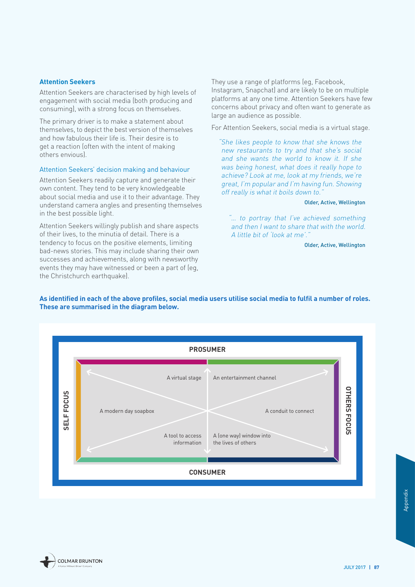#### **Attention Seekers**

Attention Seekers are characterised by high levels of engagement with social media (both producing and consuming), with a strong focus on themselves.

The primary driver is to make a statement about themselves, to depict the best version of themselves and how fabulous their life is. Their desire is to get a reaction (often with the intent of making others envious).

#### Attention Seekers' decision making and behaviour

Attention Seekers readily capture and generate their own content. They tend to be very knowledgeable about social media and use it to their advantage. They understand camera angles and presenting themselves in the best possible light.

Attention Seekers willingly publish and share aspects of their lives, to the minutia of detail. There is a tendency to focus on the positive elements, limiting bad-news stories. This may include sharing their own successes and achievements, along with newsworthy events they may have witnessed or been a part of (eg, the Christchurch earthquake).

They use a range of platforms (eg, Facebook, Instagram, Snapchat) and are likely to be on multiple platforms at any one time. Attention Seekers have few concerns about privacy and often want to generate as large an audience as possible.

For Attention Seekers, social media is a virtual stage.

"She likes people to know that she knows the new restaurants to try and that she's social and she wants the world to know it. If she was being honest, what does it really hope to achieve? Look at me, look at my friends, we're great, I'm popular and I'm having fun. Showing off really is what it boils down to."

#### Older, Active, Wellington

"… to portray that I've achieved something and then I want to share that with the world. A little bit of 'look at me'."

Older, Active, Wellington

#### **As identified in each of the above profiles, social media users utilise social media to fulfil a number of roles. These are summarised in the diagram below.**



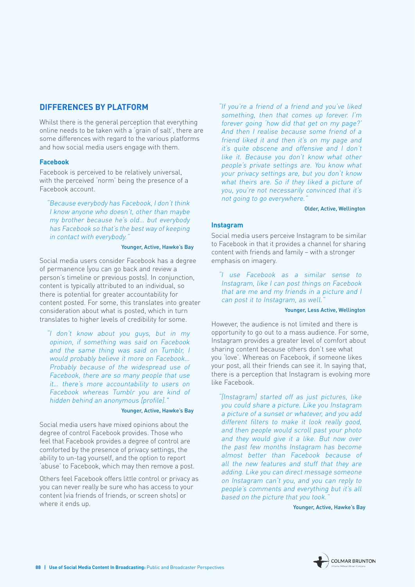### <span id="page-89-0"></span>**DIFFERENCES BY PLATFORM**

Whilst there is the general perception that everything online needs to be taken with a 'grain of salt', there are some differences with regard to the various platforms and how social media users engage with them.

#### **Facebook**

Facebook is perceived to be relatively universal, with the perceived 'norm' being the presence of a Facebook account.

"Because everybody has Facebook, I don't think I know anyone who doesn't, other than maybe my brother because he's old… but everybody has Facebook so that's the best way of keeping in contact with everybody."

#### Younger, Active, Hawke's Bay

Social media users consider Facebook has a degree of permanence (you can go back and review a person's timeline or previous posts). In conjunction, content is typically attributed to an individual, so there is potential for greater accountability for content posted. For some, this translates into greater consideration about what is posted, which in turn translates to higher levels of credibility for some.

"I don't know about you guys, but in my opinion, if something was said on Facebook and the same thing was said on Tumblr, I would probably believe it more on Facebook… Probably because of the widespread use of Facebook, there are so many people that use it… there's more accountability to users on Facebook whereas Tumblr you are kind of hidden behind an anonymous [profile]."

#### Younger, Active, Hawke's Bay

Social media users have mixed opinions about the degree of control Facebook provides. Those who feel that Facebook provides a degree of control are comforted by the presence of privacy settings, the ability to un-tag yourself, and the option to report 'abuse' to Facebook, which may then remove a post.

Others feel Facebook offers little control or privacy as you can never really be sure who has access to your content (via friends of friends, or screen shots) or where it ends up.

"If you're a friend of a friend and you've liked something, then that comes up forever. I'm forever going 'how did that get on my page?' And then I realise because some friend of a friend liked it and then it's on my page and it's quite obscene and offensive and I don't like it. Because you don't know what other people's private settings are. You know what your privacy settings are, but you don't know what theirs are. So if they liked a picture of you, you're not necessarily convinced that it's not going to go everywhere.'

#### Older, Active, Wellington

#### **Instagram**

Social media users perceive Instagram to be similar to Facebook in that it provides a channel for sharing content with friends and family – with a stronger emphasis on imagery.

"I use Facebook as a similar sense to Instagram, like I can post things on Facebook that are me and my friends in a picture and I can post it to Instagram, as well.'

#### Younger, Less Active, Wellington

However, the audience is not limited and there is opportunity to go out to a mass audience. For some, Instagram provides a greater level of comfort about sharing content because others don't see what you 'love'. Whereas on Facebook, if someone likes your post, all their friends can see it. In saying that, there is a perception that Instagram is evolving more like Facebook.

"[Instagram] started off as just pictures, like you could share a picture. Like you Instagram a picture of a sunset or whatever, and you add different filters to make it look really good, and then people would scroll past your photo and they would give it a like. But now over the past few months Instagram has become almost better than Facebook because of all the new features and stuff that they are adding. Like you can direct message someone on Instagram can't you, and you can reply to people's comments and everything but it's all based on the picture that you took.

Younger, Active, Hawke's Bay

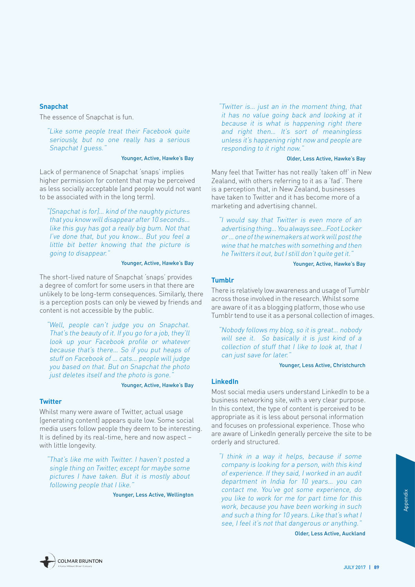#### **Snapchat**

The essence of Snapchat is fun.

"Like some people treat their Facebook quite seriously, but no one really has a serious Snapchat I guess."

#### Younger, Active, Hawke's Bay

Lack of permanence of Snapchat 'snaps' implies higher permission for content that may be perceived as less socially acceptable (and people would not want to be associated with in the long term).

"[Snapchat is for]… kind of the naughty pictures that you know will disappear after 10 seconds… like this guy has got a really big bum. Not that I've done that, but you know… But you feel a little bit better knowing that the picture is going to disappear."

#### Younger, Active, Hawke's Bay

The short-lived nature of Snapchat 'snaps' provides a degree of comfort for some users in that there are unlikely to be long-term consequences. Similarly, there is a perception posts can only be viewed by friends and content is not accessible by the public.

"Well, people can't judge you on Snapchat. That's the beauty of it. If you go for a job, they'll look up your Facebook profile or whatever because that's there… So if you put heaps of stuff on Facebook of … cats… people will judge you based on that. But on Snapchat the photo just deletes itself and the photo is gone.

#### Younger, Active, Hawke's Bay

#### **Twitter**

Whilst many were aware of Twitter, actual usage (generating content) appears quite low. Some social media users follow people they deem to be interesting. It is defined by its real-time, here and now aspect – with little longevity.

"That's like me with Twitter. I haven't posted a single thing on Twitter, except for maybe some pictures I have taken. But it is mostly about following people that I like."

Younger, Less Active, Wellington

"Twitter is… just an in the moment thing, that it has no value going back and looking at it because it is what is happening right there and right then... It's sort of meaningless unless it's happening right now and people are responding to it right now."

#### Older, Less Active, Hawke's Bay

Many feel that Twitter has not really 'taken off' in New Zealand, with others referring to it as a 'fad'. There is a perception that, in New Zealand, businesses have taken to Twitter and it has become more of a marketing and advertising channel.

"I would say that Twitter is even more of an advertising thing… You always see…Foot Locker or … one of the winemakers at work will post the wine that he matches with something and then he Twitters it out, but I still don't quite get it."

Younger, Active, Hawke's Bay

#### **Tumblr**

There is relatively low awareness and usage of Tumblr across those involved in the research. Whilst some are aware of it as a blogging platform, those who use Tumblr tend to use it as a personal collection of images.

"Nobody follows my blog, so it is great… nobody will see it. So basically it is just kind of a collection of stuff that I like to look at, that I can just save for later."

Younger, Less Active, Christchurch

#### **LinkedIn**

Most social media users understand LinkedIn to be a business networking site, with a very clear purpose. In this context, the type of content is perceived to be appropriate as it is less about personal information and focuses on professional experience. Those who are aware of LinkedIn generally perceive the site to be orderly and structured.

Let, do<br>
or this<br>
1 such<br>
what I<br>
hing."<br> **Auckland**<br> **JULY 2017 | 89** "I think in a way it helps, because if some company is looking for a person, with this kind of experience. If they said, I worked in an audit department in India for 10 years… you can contact me. You've got some experience, do you like to work for me for part time for this work, because you have been working in such and such a thing for 10 years. Like that's what I see, I feel it's not that dangerous or anything."

Older, Less Active, Auckland

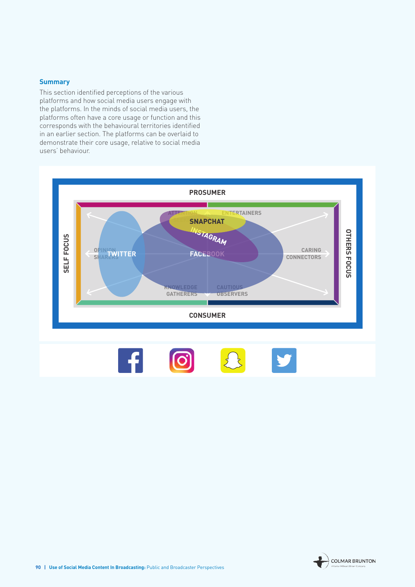#### **Summary**

This section identified perceptions of the various platforms and how social media users engage with the platforms. In the minds of social media users, the platforms often have a core usage or function and this corresponds with the behavioural territories identified in an earlier section. The platforms can be overlaid to demonstrate their core usage, relative to social media users' behaviour.

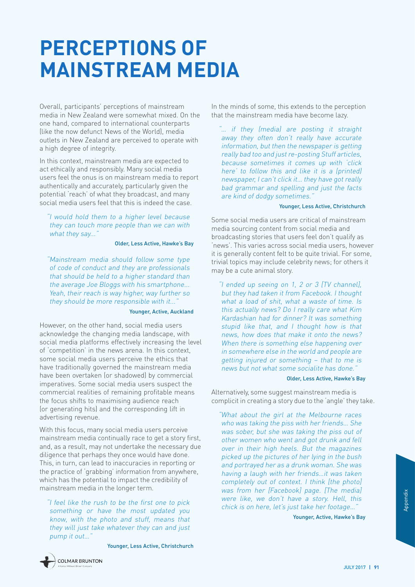# <span id="page-92-0"></span>**PERCEPTIONS OF MAINSTREAM MEDIA**

Overall, participants' perceptions of mainstream media in New Zealand were somewhat mixed. On the one hand, compared to international counterparts (like the now defunct News of the World), media outlets in New Zealand are perceived to operate with a high degree of integrity.

In this context, mainstream media are expected to act ethically and responsibly. Many social media users feel the onus is on mainstream media to report authentically and accurately, particularly given the potential 'reach' of what they broadcast, and many social media users feel that this is indeed the case.

"I would hold them to a higher level because they can touch more people than we can with what they say..."

#### Older, Less Active, Hawke's Bay

"Mainstream media should follow some type of code of conduct and they are professionals that should be held to a higher standard than the average Joe Bloggs with his smartphone... Yeah, their reach is way higher, way further so they should be more responsible with it...'

#### Younger, Active, Auckland

However, on the other hand, social media users acknowledge the changing media landscape, with social media platforms effectively increasing the level of 'competition' in the news arena. In this context, some social media users perceive the ethics that have traditionally governed the mainstream media have been overtaken (or shadowed) by commercial imperatives. Some social media users suspect the commercial realities of remaining profitable means the focus shifts to maximising audience reach (or generating hits) and the corresponding lift in advertising revenue.

With this focus, many social media users perceive mainstream media continually race to get a story first, and, as a result, may not undertake the necessary due diligence that perhaps they once would have done. This, in turn, can lead to inaccuracies in reporting or the practice of 'grabbing' information from anywhere, which has the potential to impact the credibility of mainstream media in the longer term.

"I feel like the rush to be the first one to pick something or have the most updated you know, with the photo and stuff, means that they will just take whatever they can and just pump it out…"

Younger, Less Active, Christchurch



"… if they (media) are posting it straight away they often don't really have accurate information, but then the newspaper is getting really bad too and just re-posting Stuff articles, because sometimes it comes up with 'click here' to follow this and like it is a (printed) newspaper, I can't click it… they have got really bad grammar and spelling and just the facts are kind of dodgy sometimes."

#### Younger, Less Active, Christchurch

Some social media users are critical of mainstream media sourcing content from social media and broadcasting stories that users feel don't qualify as 'news'. This varies across social media users, however it is generally content felt to be quite trivial. For some, trivial topics may include celebrity news; for others it may be a cute animal story.

"I ended up seeing on 1, 2 or 3 [TV channel], but they had taken it from Facebook. I thought what a load of shit, what a waste of time. Is this actually news? Do I really care what Kim Kardashian had for dinner? It was something stupid like that, and I thought how is that news, how does that make it onto the news? When there is something else happening over in somewhere else in the world and people are getting injured or something – that to me is news but not what some socialite has done."

#### Older, Less Active, Hawke's Bay

Alternatively, some suggest mainstream media is complicit in creating a story due to the 'angle' they take.

neala)<br>l, this<br>ge..."<br>whe's Bay<br>ULY 2017 **| 91** "What about the girl at the Melbourne races who was taking the piss with her friends… She was sober, but she was taking the piss out of other women who went and got drunk and fell over in their high heels. But the magazines picked up the pictures of her lying in the bush and portrayed her as a drunk woman. She was having a laugh with her friends…it was taken completely out of context. I think [the photo] was from her [Facebook] page. [The media] were like, we don't have a story. Hell, this chick is on here, let's just take her footage…"

Younger, Active, Hawke's Bay

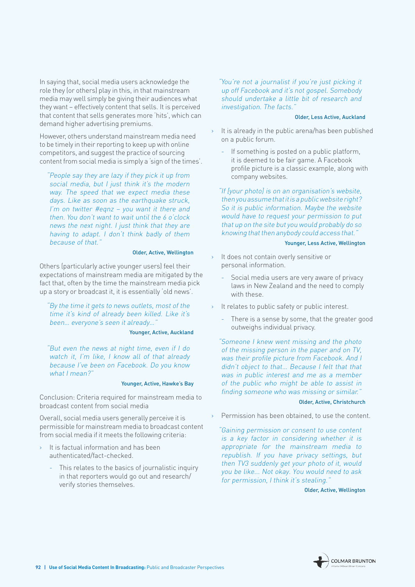In saying that, social media users acknowledge the role they (or others) play in this, in that mainstream media may well simply be giving their audiences what they want – effectively content that sells. It is perceived that content that sells generates more 'hits', which can demand higher advertising premiums.

However, others understand mainstream media need to be timely in their reporting to keep up with online competitors, and suggest the practice of sourcing content from social media is simply a 'sign of the times'.

"People say they are lazy if they pick it up from social media, but I just think it's the modern way. The speed that we expect media these days. Like as soon as the earthquake struck, I'm on twitter #eqnz – you want it there and then. You don't want to wait until the 6 o'clock news the next night. I just think that they are having to adapt. I don't think badly of them because of that."

#### Older, Active, Wellington

Others (particularly active younger users) feel their expectations of mainstream media are mitigated by the fact that, often by the time the mainstream media pick up a story or broadcast it, it is essentially 'old news'.

"By the time it gets to news outlets, most of the time it's kind of already been killed. Like it's been… everyone's seen it already…"

#### Younger, Active, Auckland

"But even the news at night time, even if I do watch it, I'm like, I know all of that already because I've been on Facebook. Do you know what I mean?"

#### Younger, Active, Hawke's Bay

Conclusion: Criteria required for mainstream media to broadcast content from social media

Overall, social media users generally perceive it is permissible for mainstream media to broadcast content from social media if it meets the following criteria:

- › It is factual information and has been authenticated/fact-checked.
	- This relates to the basics of journalistic inquiry in that reporters would go out and research/ verify stories themselves.

#### "You're not a journalist if you're just picking it up off Facebook and it's not gospel. Somebody should undertake a little bit of research and investigation. The facts."

#### Older, Less Active, Auckland

- $\rightarrow$  It is already in the public arena/has been published on a public forum.
	- If something is posted on a public platform, it is deemed to be fair game. A Facebook profile picture is a classic example, along with company websites.

"If [your photo] is on an organisation's website, then you assume that it is a public website right? So it is public information. Maybe the website would have to request your permission to put that up on the site but you would probably do so knowing that then anybody could access that."

#### Younger, Less Active, Wellington

- It does not contain overly sensitive or personal information.
	- Social media users are very aware of privacy laws in New Zealand and the need to comply with these.
- › It relates to public safety or public interest.
	- There is a sense by some, that the greater good outweighs individual privacy.

"Someone I knew went missing and the photo of the missing person in the paper and on TV, was their profile picture from Facebook. And I didn't object to that… Because I felt that that was in public interest and me as a member of the public who might be able to assist in finding someone who was missing or similar.'

#### Older, Active, Christchurch

› Permission has been obtained, to use the content.

"Gaining permission or consent to use content is a key factor in considering whether it is appropriate for the mainstream media to republish. If you have privacy settings, but then TV3 suddenly get your photo of it, would you be like... Not okay. You would need to ask for permission, I think it's stealing."

Older, Active, Wellington

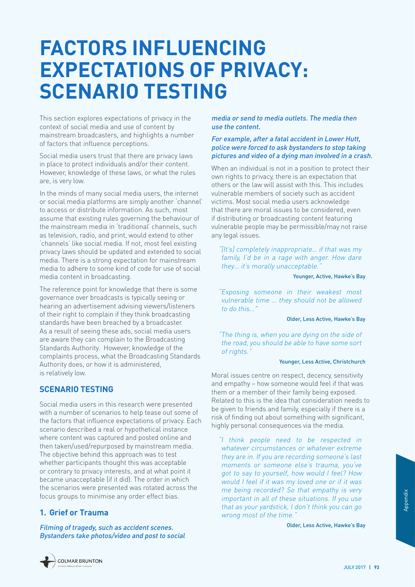# <span id="page-94-0"></span>**FACTORS INFLUENCING EXPECTATIONS OF PRIVACY: SCENARIO TESTING**

This section explores expectations of privacy in the context of social media and use of content by mainstream broadcasters, and highlights a number of factors that influence perceptions.

Social media users trust that there are privacy laws in place to protect individuals and/or their content. However, knowledge of these laws, or what the rules are, is very low.

In the minds of many social media users, the internet or social media platforms are simply another 'channel' to access or distribute information. As such, most assume that existing rules governing the behaviour of the mainstream media in 'traditional' channels, such as television, radio, and print, would extend to other 'channels' like social media. If not, most feel existing privacy laws should be updated and extended to social media. There is a strong expectation for mainstream media to adhere to some kind of code for use of social media content in broadcasting.

The reference point for knowledge that there is some governance over broadcasts is typically seeing or hearing an advertisement advising viewers/listeners of their right to complain if they think broadcasting standards have been breached by a broadcaster. As a result of seeing these ads, social media users are aware they can complain to the Broadcasting Standards Authority. However, knowledge of the complaints process, what the Broadcasting Standards Authority does, or how it is administered, is relatively low.

### **SCENARIO TESTING**

Social media users in this research were presented with a number of scenarios to help tease out some of the factors that influence expectations of privacy. Each scenario described a real or hypothetical instance where content was captured and posted online and then taken/used/repurposed by mainstream media. The objective behind this approach was to test whether participants thought this was acceptable or contrary to privacy interests, and at what point it became unacceptable (if it did). The order in which the scenarios were presented was rotated across the focus groups to minimise any order effect bias.

### **1. Grief or Trauma**

Filming of tragedy, such as accident scenes. Bystanders take photos/video and post to social media or send to media outlets. The media then use the content.

#### For example, after a fatal accident in Lower Hutt, police were forced to ask bystanders to stop taking pictures and video of a dying man involved in a crash.

When an individual is not in a position to protect their own rights to privacy, there is an expectation that others or the law will assist with this. This includes vulnerable members of society such as accident victims. Most social media users acknowledge that there are moral issues to be considered, even if distributing or broadcasting content featuring vulnerable people may be permissible/may not raise any legal issues.

"[It's] completely inappropriate… if that was my family, I'd be in a rage with anger. How dare they... it's morally unacceptable.

#### Younger, Active, Hawke's Bay

"Exposing someone in their weakest most vulnerable time … they should not be allowed to do this…"

#### Older, Less Active, Hawke's Bay

"The thing is, when you are dying on the side of the road, you should be able to have some sort of rights."

#### Younger, Less Active, Christchurch

Moral issues centre on respect, decency, sensitivity and empathy – how someone would feel if that was them or a member of their family being exposed. Related to this is the idea that consideration needs to be given to friends and family, especially if there is a risk of finding out about something with significant, highly personal consequences via the media.

S Very<br>
Du use<br>
can go<br> **vke's Bay<br>
yuLY 2017 | 93** "I think people need to be respected in whatever circumstances or whatever extreme they are in. If you are recording someone's last moments or someone else's trauma, you've got to say to yourself, how would I feel? How would I feel if it was my loved one or if it was me being recorded? So that empathy is very important in all of these situations. If you use that as your yardstick, I don't think you can go wrong most of the time."

Older, Less Active, Hawke's Bay

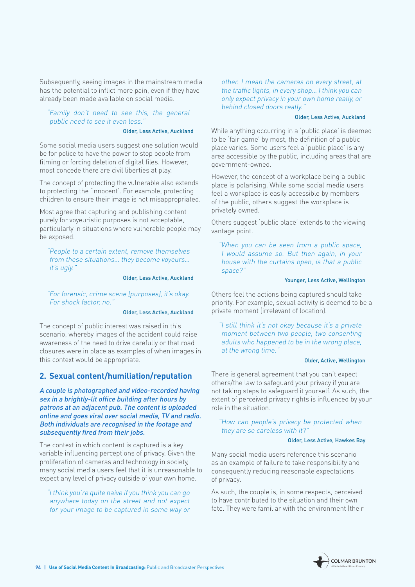Subsequently, seeing images in the mainstream media has the potential to inflict more pain, even if they have already been made available on social media.

#### "Family don't need to see this, the general public need to see it even less.

#### Older, Less Active, Auckland

Some social media users suggest one solution would be for police to have the power to stop people from filming or forcing deletion of digital files. However, most concede there are civil liberties at play.

The concept of protecting the vulnerable also extends to protecting the 'innocent'. For example, protecting children to ensure their image is not misappropriated.

Most agree that capturing and publishing content purely for voyeuristic purposes is not acceptable, particularly in situations where vulnerable people may be exposed.

"People to a certain extent, remove themselves from these situations… they become voyeurs… it's ugly."

#### Older, Less Active, Auckland

"For forensic, crime scene [purposes], it's okay. For shock factor, no."

#### Older, Less Active, Auckland

The concept of public interest was raised in this scenario, whereby images of the accident could raise awareness of the need to drive carefully or that road closures were in place as examples of when images in this context would be appropriate.

#### **2. Sexual content/humiliation/reputation**

A couple is photographed and video-recorded having sex in a brightly-lit office building after hours by patrons at an adjacent pub. The content is uploaded online and goes viral over social media, TV and radio. Both individuals are recognised in the footage and subsequently fired from their jobs.

The context in which content is captured is a key variable influencing perceptions of privacy. Given the proliferation of cameras and technology in society, many social media users feel that it is unreasonable to expect any level of privacy outside of your own home.

"I think you're quite naive if you think you can go anywhere today on the street and not expect for your image to be captured in some way or

other. I mean the cameras on every street, at the traffic lights, in every shop… I think you can only expect privacy in your own home really, or behind closed doors really."

#### Older, Less Active, Auckland

While anything occurring in a 'public place' is deemed to be 'fair game' by most, the definition of a public place varies. Some users feel a 'public place' is any area accessible by the public, including areas that are government-owned.

However, the concept of a workplace being a public place is polarising. While some social media users feel a workplace is easily accessible by members of the public, others suggest the workplace is privately owned.

Others suggest 'public place' extends to the viewing vantage point.

"When you can be seen from a public space, I would assume so. But then again, in your house with the curtains open, is that a public space?"

#### Younger, Less Active, Wellington

Others feel the actions being captured should take priority. For example, sexual activity is deemed to be a private moment (irrelevant of location).

"I still think it's not okay because it's a private moment between two people, two consenting adults who happened to be in the wrong place, at the wrong time."

#### Older, Active, Wellington

There is general agreement that you can't expect others/the law to safeguard your privacy if you are not taking steps to safeguard it yourself. As such, the extent of perceived privacy rights is influenced by your role in the situation.

#### "How can people's privacy be protected when they are so careless with it?"

#### Older, Less Active, Hawkes Bay

Many social media users reference this scenario as an example of failure to take responsibility and consequently reducing reasonable expectations of privacy.

As such, the couple is, in some respects, perceived to have contributed to the situation and their own fate. They were familiar with the environment (their

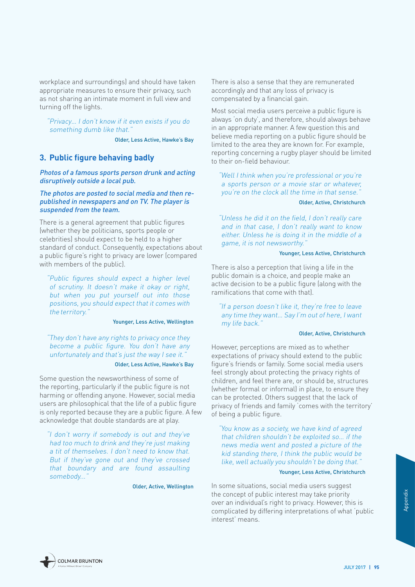workplace and surroundings) and should have taken appropriate measures to ensure their privacy, such as not sharing an intimate moment in full view and turning off the lights.

"Privacy… I don't know if it even exists if you do something dumb like that."

Older, Less Active, Hawke's Bay

#### **3. Public figure behaving badly**

Photos of a famous sports person drunk and acting disruptively outside a local pub.

#### The photos are posted to social media and then republished in newspapers and on TV. The player is suspended from the team.

There is a general agreement that public figures (whether they be politicians, sports people or celebrities) should expect to be held to a higher standard of conduct. Consequently, expectations about a public figure's right to privacy are lower (compared with members of the public).

"Public figures should expect a higher level of scrutiny. It doesn't make it okay or right, but when you put yourself out into those positions, you should expect that it comes with the territory."

#### Younger, Less Active, Wellington

"They don't have any rights to privacy once they become a public figure. You don't have any unfortunately and that's just the way I see it."

#### Older, Less Active, Hawke's Bay

Some question the newsworthiness of some of the reporting, particularly if the public figure is not harming or offending anyone. However, social media users are philosophical that the life of a public figure is only reported because they are a public figure. A few acknowledge that double standards are at play.

"I don't worry if somebody is out and they've had too much to drink and they're just making a tit of themselves. I don't need to know that. But if they've gone out and they've crossed that boundary and are found assaulting somebody..."

Older, Active, Wellington

There is also a sense that they are remunerated accordingly and that any loss of privacy is compensated by a financial gain.

Most social media users perceive a public figure is always 'on duty', and therefore, should always behave in an appropriate manner. A few question this and believe media reporting on a public figure should be limited to the area they are known for. For example, reporting concerning a rugby player should be limited to their on-field behaviour.

"Well I think when you're professional or you're a sports person or a movie star or whatever, you're on the clock all the time in that sense."

#### Older, Active, Christchurch

"Unless he did it on the field, I don't really care and in that case, I don't really want to know either. Unless he is doing it in the middle of a game, it is not newsworthy."

#### Younger, Less Active, Christchurch

There is also a perception that living a life in the public domain is a choice, and people make an active decision to be a public figure (along with the ramifications that come with that).

"If a person doesn't like it, they're free to leave any time they want… Say I'm out of here, I want my life back."

#### Older, Active, Christchurch

However, perceptions are mixed as to whether expectations of privacy should extend to the public figure's friends or family. Some social media users feel strongly about protecting the privacy rights of children, and feel there are, or should be, structures (whether formal or informal) in place, to ensure they can be protected. Others suggest that the lack of privacy of friends and family 'comes with the territory' of being a public figure.

"You know as a society, we have kind of agreed that children shouldn't be exploited so… if the news media went and posted a picture of the kid standing there, I think the public would be like, well actually you shouldn't be doing that.'

#### Younger, Less Active, Christchurch

ity<br>
this is<br>
hat 'public<br> **JULY 2017 | 95** In some situations, social media users suggest the concept of public interest may take priority over an individual's right to privacy. However, this is complicated by differing interpretations of what 'public interest' means.

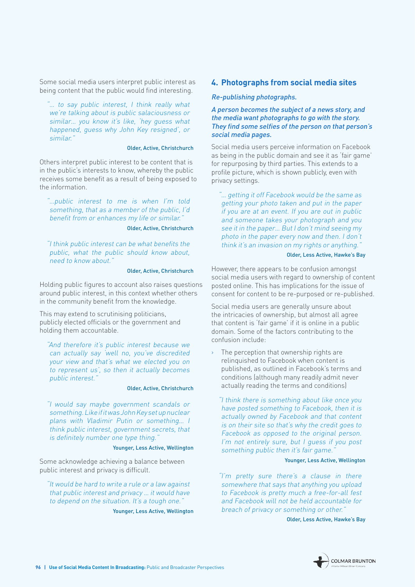Some social media users interpret public interest as being content that the public would find interesting.

"… to say public interest, I think really what we're talking about is public salaciousness or similar… you know it's like, 'hey guess what happened, guess why John Key resigned', or similar."

#### Older, Active, Christchurch

Others interpret public interest to be content that is in the public's interests to know, whereby the public receives some benefit as a result of being exposed to the information.

"…public interest to me is when I'm told something, that as a member of the public, I'd benefit from or enhances my life or similar."

Older, Active, Christchurch

"I think public interest can be what benefits the public, what the public should know about, need to know about."

#### Older, Active, Christchurch

Holding public figures to account also raises questions around public interest, in this context whether others in the community benefit from the knowledge.

This may extend to scrutinising politicians, publicly elected officials or the government and holding them accountable.

"And therefore it's public interest because we can actually say 'well no, you've discredited your view and that's what we elected you on to represent us', so then it actually becomes public interest."

#### Older, Active, Christchurch

"I would say maybe government scandals or something. Like if it was John Key set up nuclear plans with Vladimir Putin or something… I think public interest, government secrets, that is definitely number one type thing.'

#### Younger, Less Active, Wellington

Some acknowledge achieving a balance between public interest and privacy is difficult.

"It would be hard to write a rule or a law against that public interest and privacy … it would have to depend on the situation. It's a tough one.'

Younger, Less Active, Wellington

#### **4. Photographs from social media sites**

#### Re-publishing photographs.

A person becomes the subject of a news story, and the media want photographs to go with the story. They find some selfies of the person on that person's social media pages.

Social media users perceive information on Facebook as being in the public domain and see it as 'fair game' for repurposing by third parties. This extends to a profile picture, which is shown publicly, even with privacy settings.

"… getting it off Facebook would be the same as getting your photo taken and put in the paper if you are at an event. If you are out in public and someone takes your photograph and you see it in the paper… But I don't mind seeing my photo in the paper every now and then. I don't think it's an invasion on my rights or anything.'

#### Older, Less Active, Hawke's Bay

However, there appears to be confusion amongst social media users with regard to ownership of content posted online. This has implications for the issue of consent for content to be re-purposed or re-published.

Social media users are generally unsure about the intricacies of ownership, but almost all agree that content is 'fair game' if it is online in a public domain. Some of the factors contributing to the confusion include:

The perception that ownership rights are relinquished to Facebook when content is published, as outlined in Facebook's terms and conditions (although many readily admit never actually reading the terms and conditions)

"I think there is something about like once you have posted something to Facebook, then it is actually owned by Facebook and that content is on their site so that's why the credit goes to Facebook as opposed to the original person. I'm not entirely sure, but I guess if you post something public then it's fair game.'

#### Younger, Less Active, Wellington

"I'm pretty sure there's a clause in there somewhere that says that anything you upload to Facebook is pretty much a free-for-all fest and Facebook will not be held accountable for breach of privacy or something or other."

Older, Less Active, Hawke's Bay

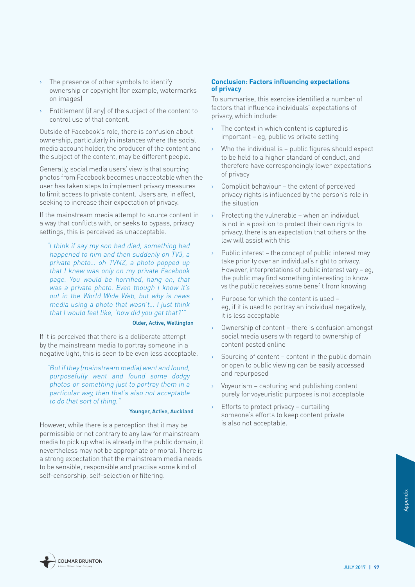- › The presence of other symbols to identify ownership or copyright (for example, watermarks on images)
- › Entitlement (if any) of the subject of the content to control use of that content.

Outside of Facebook's role, there is confusion about ownership, particularly in instances where the social media account holder, the producer of the content and the subject of the content, may be different people.

Generally, social media users' view is that sourcing photos from Facebook becomes unacceptable when the user has taken steps to implement privacy measures to limit access to private content. Users are, in effect, seeking to increase their expectation of privacy.

If the mainstream media attempt to source content in a way that conflicts with, or seeks to bypass, privacy settings, this is perceived as unacceptable.

"I think if say my son had died, something had happened to him and then suddenly on TV3, a private photo… oh TVNZ, a photo popped up that I knew was only on my private Facebook page. You would be horrified, hang on, that was a private photo. Even though I know it's out in the World Wide Web, but why is news media using a photo that wasn't… I just think that I would feel like, 'how did you get that?'"

#### Older, Active, Wellington

If it is perceived that there is a deliberate attempt by the mainstream media to portray someone in a negative light, this is seen to be even less acceptable.

"But if they (mainstream media) went and found, purposefully went and found some dodgy photos or something just to portray them in a particular way, then that's also not acceptable to do that sort of thing."

#### Younger, Active, Auckland

However, while there is a perception that it may be permissible or not contrary to any law for mainstream media to pick up what is already in the public domain, it nevertheless may not be appropriate or moral. There is a strong expectation that the mainstream media needs to be sensible, responsible and practise some kind of self-censorship, self-selection or filtering.

#### **Conclusion: Factors influencing expectations of privacy**

To summarise, this exercise identified a number of factors that influence individuals' expectations of privacy, which include:

- › The context in which content is captured is important – eg, public vs private setting
- $\rightarrow$  Who the individual is public figures should expect to be held to a higher standard of conduct, and therefore have correspondingly lower expectations of privacy
- Complicit behaviour the extent of perceived privacy rights is influenced by the person's role in the situation
- $\rightarrow$  Protecting the vulnerable when an individual is not in a position to protect their own rights to privacy, there is an expectation that others or the law will assist with this
- Public interest the concept of public interest may take priority over an individual's right to privacy. However, interpretations of public interest vary – eg, the public may find something interesting to know vs the public receives some benefit from knowing
- › Purpose for which the content is used eg, if it is used to portray an individual negatively, it is less acceptable
- Ownership of content there is confusion amongst social media users with regard to ownership of content posted online
- $\rightarrow$  Sourcing of content content in the public domain or open to public viewing can be easily accessed and repurposed
- › Voyeurism capturing and publishing content purely for voyeuristic purposes is not acceptable
- Efforts to protect privacy curtailing someone's efforts to keep content private is also not acceptable.

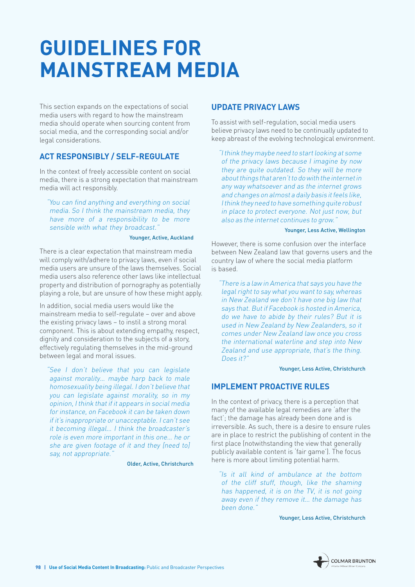# <span id="page-99-0"></span>**GUIDELINES FOR MAINSTREAM MEDIA**

This section expands on the expectations of social media users with regard to how the mainstream media should operate when sourcing content from social media, and the corresponding social and/or legal considerations.

### **ACT RESPONSIBLY / SELF-REGULATE**

In the context of freely accessible content on social media, there is a strong expectation that mainstream media will act responsibly.

"You can find anything and everything on social media. So I think the mainstream media, they have more of a responsibility to be more sensible with what they broadcast."

#### Younger, Active, Auckland

There is a clear expectation that mainstream media will comply with/adhere to privacy laws, even if social media users are unsure of the laws themselves. Social media users also reference other laws like intellectual property and distribution of pornography as potentially playing a role, but are unsure of how these might apply.

In addition, social media users would like the mainstream media to self-regulate – over and above the existing privacy laws – to instil a strong moral component. This is about extending empathy, respect, dignity and consideration to the subjects of a story, effectively regulating themselves in the mid-ground between legal and moral issues.

"See I don't believe that you can legislate against morality… maybe harp back to male homosexuality being illegal. I don't believe that you can legislate against morality, so in my opinion, I think that if it appears in social media for instance, on Facebook it can be taken down if it's inappropriate or unacceptable. I can't see it becoming illegal… I think the broadcaster's role is even more important in this one… he or she are given footage of it and they [need to] say, not appropriate."

Older, Active, Christchurch

### **UPDATE PRIVACY LAWS**

To assist with self-regulation, social media users believe privacy laws need to be continually updated to keep abreast of the evolving technological environment.

"I think they maybe need to start looking at some of the privacy laws because I imagine by now they are quite outdated. So they will be more about things that aren't to do with the internet in any way whatsoever and as the internet grows and changes on almost a daily basis it feels like, I think they need to have something quite robust in place to protect everyone. Not just now, but also as the internet continues to grow."

#### Younger, Less Active, Wellington

However, there is some confusion over the interface between New Zealand law that governs users and the country law of where the social media platform is based.

"There is a law in America that says you have the legal right to say what you want to say, whereas in New Zealand we don't have one big law that says that. But if Facebook is hosted in America, do we have to abide by their rules? But it is used in New Zealand by New Zealanders, so it comes under New Zealand law once you cross the international waterline and step into New Zealand and use appropriate, that's the thing. Does it?"

Younger, Less Active, Christchurch

# **IMPLEMENT PROACTIVE RULES**

In the context of privacy, there is a perception that many of the available legal remedies are 'after the fact'; the damage has already been done and is irreversible. As such, there is a desire to ensure rules are in place to restrict the publishing of content in the first place (notwithstanding the view that generally publicly available content is 'fair game'). The focus here is more about limiting potential harm.

"Is it all kind of ambulance at the bottom of the cliff stuff, though, like the shaming has happened, it is on the TV, it is not going away even if they remove it… the damage has been done."

Younger, Less Active, Christchurch

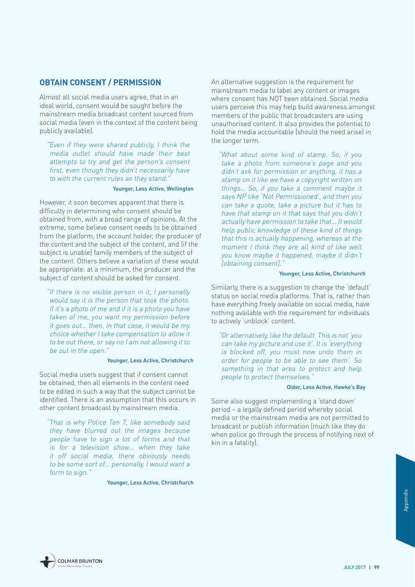### <span id="page-100-0"></span>**OBTAIN CONSENT / PERMISSION**

Almost all social media users agree, that in an ideal world, consent would be sought before the mainstream media broadcast content sourced from social media (even in the context of the content being publicly available).

"Even if they were shared publicly, I think the media outlet should have made their best attempts to try and get the person's consent first, even though they didn't necessarily have to with the current rules as they stand."

#### Younger, Less Active, Wellington

However, it soon becomes apparent that there is difficulty in determining who consent should be obtained from, with a broad range of opinions. At the extreme, some believe consent needs to be obtained from the platform, the account holder, the producer of the content and the subject of the content, and (if the subject is unable) family members of the subject of the content. Others believe a variation of these would be appropriate: at a minimum, the producer and the subject of content should be asked for consent.

"If there is no visible person in it, I personally would say it is the person that took the photo. If it's a photo of me and if it is a photo you have taken of me, you want my permission before it goes out… then, in that case, it would be my choice whether I take compensation to allow it to be out there, or say no I am not allowing it to be out in the open."

#### Younger, Less Active, Christchurch

Social media users suggest that if consent cannot be obtained, then all elements in the content need to be edited in such a way that the subject cannot be identified. There is an assumption that this occurs in other content broadcast by mainstream media.

"That is why Police Ten 7, like somebody said they have blurred out the images because people have to sign a lot of forms and that is for a television show… when they take it off social media, there obviously needs to be some sort of… personally, I would want a form to sign."

Younger, Less Active, Christchurch

An alternative suggestion is the requirement for mainstream media to label any content or images where consent has NOT been obtained. Social media users perceive this may help build awareness amongst members of the public that broadcasters are using unauthorised content. It also provides the potential to hold the media accountable (should the need arise) in the longer term.

"What about some kind of stamp. So, if you take a photo from someone's page and you didn't ask for permission or anything, it has a stamp on it like we have a copyright written on things… So, if you take a comment maybe it says NP like 'Not Permissioned', and then you can take a quote, take a picture but it has to have that stamp on it that says that you didn't actually have permission to take that… It would help public knowledge of these kind of things that this is actually happening, whereas at the moment I think they are all kind of like well you know maybe it happened, maybe it didn't [obtaining consent].'

#### Younger, Less Active, Christchurch

Similarly, there is a suggestion to change the 'default' status on social media platforms. That is, rather than have everything freely available on social media, have nothing available with the requirement for individuals to actively 'unblock' content.

"Or alternatively, like the default. This is not 'you can take my picture and use it'. It is 'everything is blocked off, you must now undo them in order for people to be able to see them'. So something in that area to protect and help people to protect themselves.'

#### Older, Less Active, Hawke's Bay

Some also suggest implementing a 'stand down' period – a legally defined period whereby social media or the mainstream media are not permitted to broadcast or publish information (much like they do when police go through the process of notifying next of kin in a fatality).



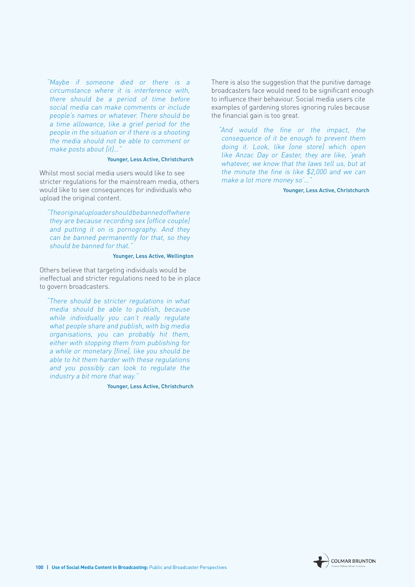"Maybe if someone died or there is a circumstance where it is interference with, there should be a period of time before social media can make comments or include people's names or whatever. There should be a time allowance, like a grief period for the people in the situation or if there is a shooting the media should not be able to comment or make posts about [it]...

#### Younger, Less Active, Christchurch

Whilst most social media users would like to see stricter regulations for the mainstream media, others would like to see consequences for individuals who upload the original content.

"The original uploader should be banned off where they are because recording sex [office couple] and putting it on is pornography. And they can be banned permanently for that, so they should be banned for that."

#### Younger, Less Active, Wellington

Others believe that targeting individuals would be ineffectual and stricter regulations need to be in place to govern broadcasters.

"There should be stricter regulations in what media should be able to publish, because while individually you can't really regulate what people share and publish, with big media organisations, you can probably hit them, either with stopping them from publishing for a while or monetary [fine], like you should be able to hit them harder with these regulations and you possibly can look to regulate the industry a bit more that way."

Younger, Less Active, Christchurch

There is also the suggestion that the punitive damage broadcasters face would need to be significant enough to influence their behaviour. Social media users cite examples of gardening stores ignoring rules because the financial gain is too great.

"And would the fine or the impact, the consequence of it be enough to prevent them doing it. Look, like [one store] which open like Anzac Day or Easter, they are like, 'yeah whatever, we know that the laws tell us, but at the minute the fine is like \$2,000 and we can make a lot more money so'...

Younger, Less Active, Christchurch

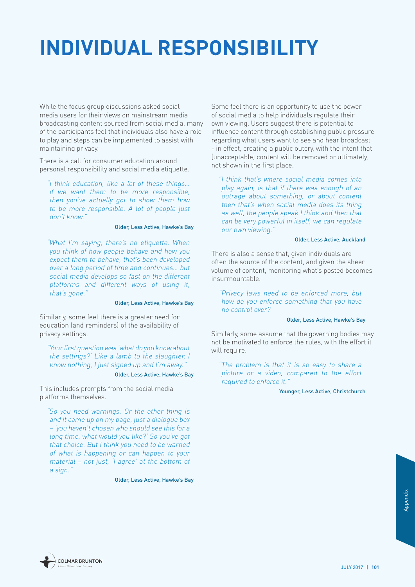# <span id="page-102-0"></span>**INDIVIDUAL RESPONSIBILITY**

While the focus group discussions asked social media users for their views on mainstream media broadcasting content sourced from social media, many of the participants feel that individuals also have a role to play and steps can be implemented to assist with maintaining privacy.

There is a call for consumer education around personal responsibility and social media etiquette.

"I think education, like a lot of these things… if we want them to be more responsible, then you've actually got to show them how to be more responsible. A lot of people just don't know."

#### Older, Less Active, Hawke's Bay

"What I'm saying, there's no etiquette. When you think of how people behave and how you expect them to behave, that's been developed over a long period of time and continues… but social media develops so fast on the different platforms and different ways of using it, that's gone."

#### Older, Less Active, Hawke's Bay

Similarly, some feel there is a greater need for education (and reminders) of the availability of privacy settings.

"Your first question was 'what do you know about the settings?' Like a lamb to the slaughter, I know nothing, I just signed up and I'm away."

#### Older, Less Active, Hawke's Bay

This includes prompts from the social media platforms themselves.

"So you need warnings. Or the other thing is and it came up on my page, just a dialogue box – 'you haven't chosen who should see this for a long time, what would you like?' So you've got that choice. But I think you need to be warned of what is happening or can happen to your material – not just, 'I agree' at the bottom of a sign."

Older, Less Active, Hawke's Bay

Some feel there is an opportunity to use the power of social media to help individuals regulate their own viewing. Users suggest there is potential to influence content through establishing public pressure regarding what users want to see and hear broadcast - in effect, creating a public outcry, with the intent that (unacceptable) content will be removed or ultimately, not shown in the first place.

"I think that's where social media comes into play again, is that if there was enough of an outrage about something, or about content then that's when social media does its thing as well, the people speak I think and then that can be very powerful in itself, we can regulate our own viewing."

#### Older, Less Active, Auckland

There is also a sense that, given individuals are often the source of the content, and given the sheer volume of content, monitoring what's posted becomes insurmountable.

"Privacy laws need to be enforced more, but how do you enforce something that you have no control over?

#### Older, Less Active, Hawke's Bay

Similarly, some assume that the governing bodies may not be motivated to enforce the rules, with the effort it will require.

"The problem is that it is so easy to share a picture or a video, compared to the effort required to enforce it."

Younger, Less Active, Christchurch

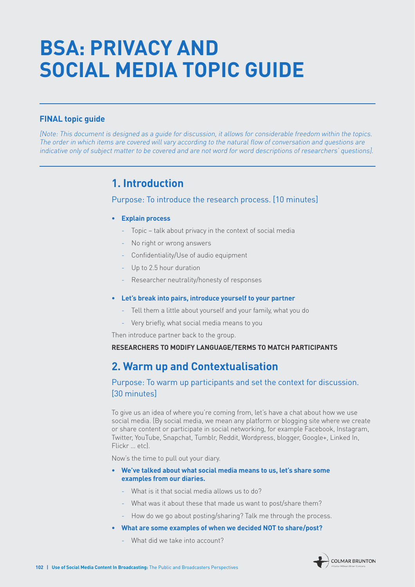# <span id="page-103-0"></span>**BSA: PRIVACY AND SOCIAL MEDIA TOPIC GUIDE**

### **FINAL topic guide**

[Note: This document is designed as a guide for discussion, it allows for considerable freedom within the topics. The order in which items are covered will vary according to the natural flow of conversation and questions are indicative only of subject matter to be covered and are not word for word descriptions of researchers' questions].

# **1. Introduction**

### Purpose: To introduce the research process. [10 minutes]

#### **• Explain process**

- Topic talk about privacy in the context of social media
- No right or wrong answers
- Confidentiality/Use of audio equipment
- Up to 2.5 hour duration
- Researcher neutrality/honesty of responses

#### **• Let's break into pairs, introduce yourself to your partner**

- Tell them a little about yourself and your family, what you do
- Very briefly, what social media means to you

Then introduce partner back to the group.

#### **RESEARCHERS TO MODIFY LANGUAGE/TERMS TO MATCH PARTICIPANTS**

# **2. Warm up and Contextualisation**

## Purpose: To warm up participants and set the context for discussion. [30 minutes]

To give us an idea of where you're coming from, let's have a chat about how we use social media. (By social media, we mean any platform or blogging site where we create or share content or participate in social networking, for example Facebook, Instagram, Twitter, YouTube, Snapchat, Tumblr, Reddit, Wordpress, blogger, Google+, Linked In, Flickr … etc).

Now's the time to pull out your diary.

- **• We've talked about what social media means to us, let's share some examples from our diaries.**
	- What is it that social media allows us to do?
	- What was it about these that made us want to post/share them?
	- How do we go about posting/sharing? Talk me through the process.
- **• What are some examples of when we decided NOT to share/post?** 
	- What did we take into account?

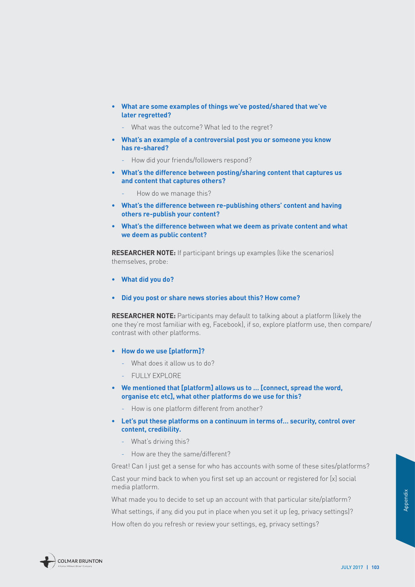- **• What are some examples of things we've posted/shared that we've later regretted?** 
	- What was the outcome? What led to the regret?
- **• What's an example of a controversial post you or someone you know has re-shared?** 
	- How did your friends/followers respond?
- **• What's the difference between posting/sharing content that captures us and content that captures others?** 
	- How do we manage this?
- **• What's the difference between re-publishing others' content and having others re-publish your content?**
- **• What's the difference between what we deem as private content and what we deem as public content?**

**RESEARCHER NOTE:** If participant brings up examples (like the scenarios) themselves, probe:

- **• What did you do?**
- **• Did you post or share news stories about this? How come?**

**RESEARCHER NOTE:** Participants may default to talking about a platform (likely the one they're most familiar with eg, Facebook), if so, explore platform use, then compare/ contrast with other platforms.

- **• How do we use [platform]?** 
	- What does it allow us to do?
	- FULLY EXPLORE
- **• We mentioned that [platform] allows us to … [connect, spread the word, organise etc etc], what other platforms do we use for this?** 
	- How is one platform different from another?
- **• Let's put these platforms on a continuum in terms of… security, control over content, credibility.** 
	- What's driving this?
	- How are they the same/different?

Great! Can I just get a sense for who has accounts with some of these sites/platforms? Cast your mind back to when you first set up an account or registered for [x] social media platform.

What made you to decide to set up an account with that particular site/platform?

-m?<br>|<br>| gs|?<br>| appendix<br>| JULY 2017 || 103 What settings, if any, did you put in place when you set it up (eg, privacy settings)? How often do you refresh or review your settings, eg, privacy settings?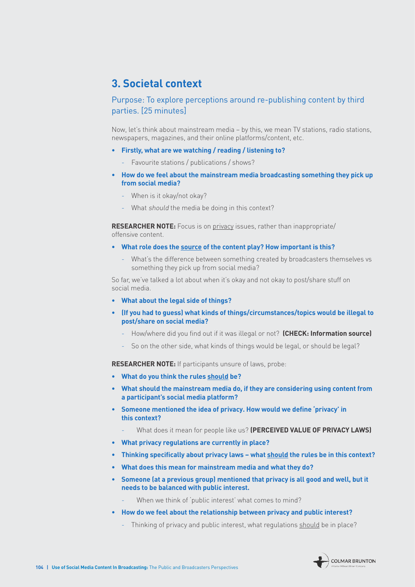# **3. Societal context**

## Purpose: To explore perceptions around re-publishing content by third parties. [25 minutes]

Now, let's think about mainstream media – by this, we mean TV stations, radio stations, newspapers, magazines, and their online platforms/content, etc.

- **• Firstly, what are we watching / reading / listening to?**
	- Favourite stations / publications / shows?
- **• How do we feel about the mainstream media broadcasting something they pick up from social media?**
	- When is it okay/not okay?
	- What should the media be doing in this context?

**RESEARCHER NOTE:** Focus is on privacy issues, rather than inappropriate/ offensive content.

- **• What role does the source of the content play? How important is this?** 
	- What's the difference between something created by broadcasters themselves vs something they pick up from social media?

So far, we've talked a lot about when it's okay and not okay to post/share stuff on social media.

- **• What about the legal side of things?**
- **• (If you had to guess) what kinds of things/circumstances/topics would be illegal to post/share on social media?** 
	- How/where did you find out if it was illegal or not? **(CHECK: Information source)**
	- So on the other side, what kinds of things would be legal, or should be legal?

**RESEARCHER NOTE:** If participants unsure of laws, probe:

- **• What do you think the rules should be?**
- **• What should the mainstream media do, if they are considering using content from a participant's social media platform?**
- **• Someone mentioned the idea of privacy. How would we define 'privacy' in this context?**
	- What does it mean for people like us? **(PERCEIVED VALUE OF PRIVACY LAWS)**
- **• What privacy regulations are currently in place?**
- **• Thinking specifically about privacy laws what should the rules be in this context?**
- **• What does this mean for mainstream media and what they do?**
- **• Someone (at a previous group) mentioned that privacy is all good and well, but it needs to be balanced with public interest.** 
	- When we think of 'public interest' what comes to mind?
- **• How do we feel about the relationship between privacy and public interest?**
	- Thinking of privacy and public interest, what regulations should be in place?

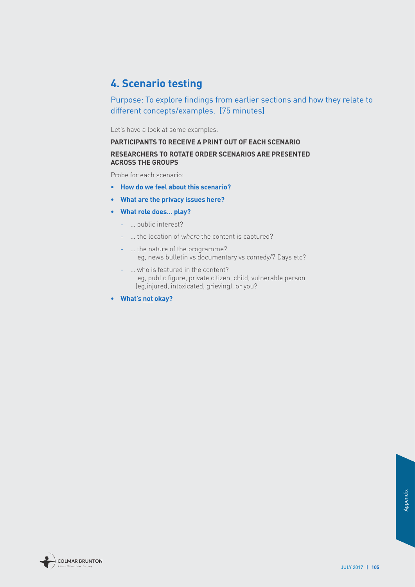# **4. Scenario testing**

Purpose: To explore findings from earlier sections and how they relate to different concepts/examples. [75 minutes]

Let's have a look at some examples.

# **PARTICIPANTS TO RECEIVE A PRINT OUT OF EACH SCENARIO**

#### **RESEARCHERS TO ROTATE ORDER SCENARIOS ARE PRESENTED ACROSS THE GROUPS**

Probe for each scenario:

- **• How do we feel about this scenario?**
- **• What are the privacy issues here?**
- **• What role does... play?**
	- … public interest?
	- … the location of where the content is captured?
	- … the nature of the programme? eg, news bulletin vs documentary vs comedy/7 Days etc?
	- … who is featured in the content? eg, public figure, private citizen, child, vulnerable person (eg,injured, intoxicated, grieving), or you?
- **• What's not okay?**

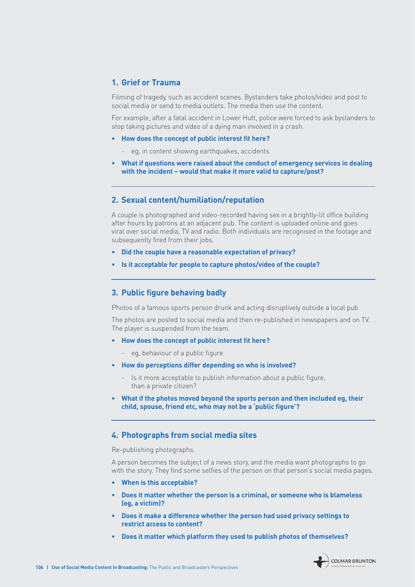### **1. Grief or Trauma**

Filming of tragedy, such as accident scenes. Bystanders take photos/video and post to social media or send to media outlets. The media then use the content.

For example, after a fatal accident in Lower Hutt, police were forced to ask bystanders to stop taking pictures and video of a dying man involved in a crash.

- **• How does the concept of public interest fit here?** 
	- eg, in content showing earthquakes, accidents
- **• What if questions were raised about the conduct of emergency services in dealing with the incident – would that make it more valid to capture/post?**

#### **2. Sexual content/humiliation/reputation**

A couple is photographed and video-recorded having sex in a brightly-lit office building after hours by patrons at an adjacent pub. The content is uploaded online and goes viral over social media, TV and radio. Both individuals are recognised in the footage and subsequently fired from their jobs.

- **• Did the couple have a reasonable expectation of privacy?**
- **• Is it acceptable for people to capture photos/video of the couple?**

#### **3. Public figure behaving badly**

Photos of a famous sports person drunk and acting disruptively outside a local pub.

The photos are posted to social media and then re-published in newspapers and on TV. The player is suspended from the team.

- **• How does the concept of public interest fit here?** 
	- eg, behaviour of a public figure
- **• How do perceptions differ depending on who is involved?** 
	- Is it more acceptable to publish information about a public figure, than a private citizen?
- **• What if the photos moved beyond the sports person and then included eg, their child, spouse, friend etc, who may not be a 'public figure'?**

#### **4. Photographs from social media sites**

Re-publishing photographs.

A person becomes the subject of a news story, and the media want photographs to go with the story. They find some selfies of the person on that person's social media pages.

- **• When is this acceptable?**
- **• Does it matter whether the person is a criminal, or someone who is blameless (eg, a victim)?**
- **• Does it make a difference whether the person had used privacy settings to restrict access to content?**
- **• Does it matter which platform they used to publish photos of themselves?**

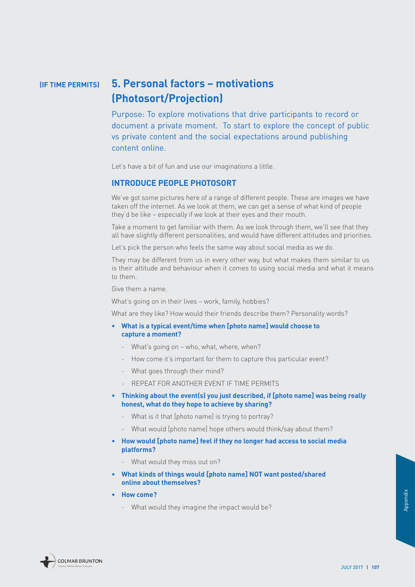#### **5. Personal factors – motivations (Photosort/Projection) (IF TIME PERMITS)**

Purpose: To explore motivations that drive participants to record or document a private moment. To start to explore the concept of public vs private content and the social expectations around publishing content online.

Let's have a bit of fun and use our imaginations a little.

#### **INTRODUCE PEOPLE PHOTOSORT**

We've got some pictures here of a range of different people. These are images we have taken off the internet. As we look at them, we can get a sense of what kind of people they'd be like – especially if we look at their eyes and their mouth.

Take a moment to get familiar with them. As we look through them, we'll see that they all have slightly different personalities, and would have different attitudes and priorities.

Let's pick the person who feels the same way about social media as we do.

They may be different from us in every other way, but what makes them similar to us is their attitude and behaviour when it comes to using social media and what it means to them.

Give them a name.

What's going on in their lives – work, family, hobbies?

What are they like? How would their friends describe them? Personality words?

- **• What is a typical event/time when [photo name] would choose to capture a moment?**
	- What's going on who, what, where, when?
	- How come it's important for them to capture this particular event?
	- What goes through their mind?
	- REPEAT FOR ANOTHER EVENT IF TIME PERMITS
- **• Thinking about the event(s) you just described, if [photo name] was being really honest, what do they hope to achieve by sharing?**
	- What is it that [photo name] is trying to portray?
	- What would [photo name] hope others would think/say about them?
- **• How would [photo name] feel if they no longer had access to social media platforms?** 
	- What would they miss out on?
- **• What kinds of things would [photo name] NOT want posted/shared online about themselves?**
- **• How come?**
	- What would they imagine the impact would be?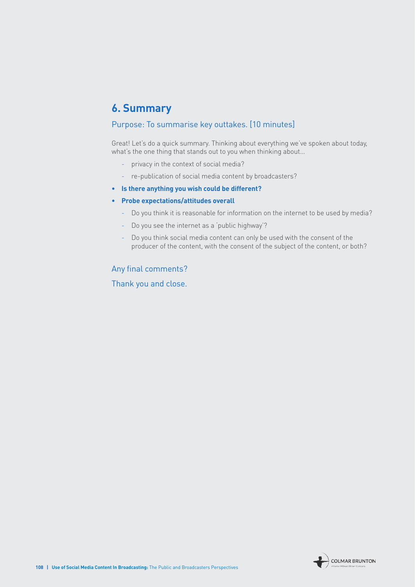### **6. Summary**

#### Purpose: To summarise key outtakes. [10 minutes]

Great! Let's do a quick summary. Thinking about everything we've spoken about today, what's the one thing that stands out to you when thinking about…

- privacy in the context of social media?
- re-publication of social media content by broadcasters?
- **• Is there anything you wish could be different?**

#### **• Probe expectations/attitudes overall**

- Do you think it is reasonable for information on the internet to be used by media?
- Do you see the internet as a 'public highway'?
- Do you think social media content can only be used with the consent of the producer of the content, with the consent of the subject of the content, or both?

#### Any final comments?

Thank you and close.

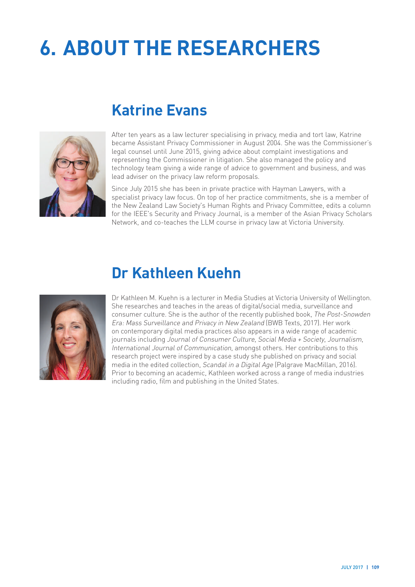# **6. ABOUT THE RESEARCHERS**



## **Katrine Evans**

After ten years as a law lecturer specialising in privacy, media and tort law, Katrine became Assistant Privacy Commissioner in August 2004. She was the Commissioner's legal counsel until June 2015, giving advice about complaint investigations and representing the Commissioner in litigation. She also managed the policy and technology team giving a wide range of advice to government and business, and was lead adviser on the privacy law reform proposals.

Since July 2015 she has been in private practice with Hayman Lawyers, with a specialist privacy law focus. On top of her practice commitments, she is a member of the New Zealand Law Society's Human Rights and Privacy Committee, edits a column for the IEEE's Security and Privacy Journal, is a member of the Asian Privacy Scholars Network, and co-teaches the LLM course in privacy law at Victoria University.



## **Dr Kathleen Kuehn**

Dr Kathleen M. Kuehn is a lecturer in Media Studies at Victoria University of Wellington. She researches and teaches in the areas of digital/social media, surveillance and consumer culture. She is the author of the recently published book, The Post-Snowden Era: Mass Surveillance and Privacy in New Zealand (BWB Texts, 2017). Her work on contemporary digital media practices also appears in a wide range of academic journals including Journal of Consumer Culture, Social Media + Society, Journalism, International Journal of Communication, amongst others. Her contributions to this research project were inspired by a case study she published on privacy and social media in the edited collection, Scandal in a Digital Age (Palgrave MacMillan, 2016). Prior to becoming an academic, Kathleen worked across a range of media industries including radio, film and publishing in the United States.